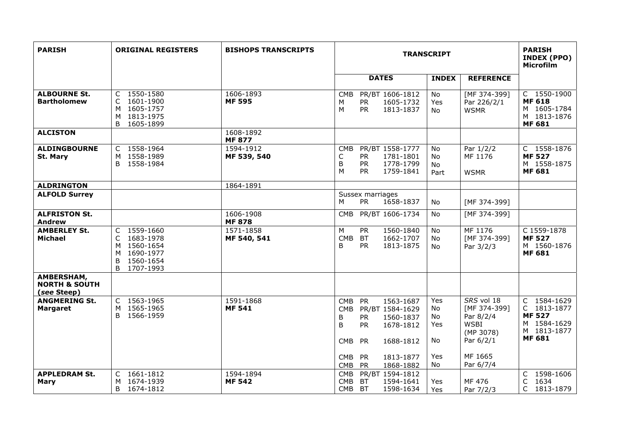| <b>PARISH</b>                                         | <b>ORIGINAL REGISTERS</b>                                                                                                      | <b>BISHOPS TRANSCRIPTS</b> |                                                                                                                                                                                                                                               | <b>TRANSCRIPT</b>                                                                                                                                      | <b>PARISH</b><br><b>INDEX (PPO)</b><br><b>Microfilm</b>                                    |
|-------------------------------------------------------|--------------------------------------------------------------------------------------------------------------------------------|----------------------------|-----------------------------------------------------------------------------------------------------------------------------------------------------------------------------------------------------------------------------------------------|--------------------------------------------------------------------------------------------------------------------------------------------------------|--------------------------------------------------------------------------------------------|
|                                                       |                                                                                                                                |                            | <b>DATES</b>                                                                                                                                                                                                                                  | <b>INDEX</b><br><b>REFERENCE</b>                                                                                                                       |                                                                                            |
| <b>ALBOURNE St.</b><br><b>Bartholomew</b>             | 1550-1580<br>C<br>1601-1900<br>C<br>1605-1757<br>м<br>1813-1975<br>M<br>B 1605-1899                                            | 1606-1893<br><b>MF 595</b> | PR/BT 1606-1812<br><b>CMB</b><br><b>PR</b><br>1605-1732<br>М<br>M<br><b>PR</b><br>1813-1837                                                                                                                                                   | No<br>[MF 374-399]<br>Yes<br>Par 226/2/1<br><b>WSMR</b><br>No.                                                                                         | C 1550-1900<br><b>MF 618</b><br>M 1605-1784<br>M 1813-1876<br><b>MF 681</b>                |
| <b>ALCISTON</b>                                       |                                                                                                                                | 1608-1892<br><b>MF 877</b> |                                                                                                                                                                                                                                               |                                                                                                                                                        |                                                                                            |
| <b>ALDINGBOURNE</b><br>St. Mary                       | 1558-1964<br>$\mathsf{C}$<br>1558-1989<br>м<br>B<br>1558-1984                                                                  | 1594-1912<br>MF 539, 540   | PR/BT 1558-1777<br><b>CMB</b><br>C<br><b>PR</b><br>1781-1801<br>B<br><b>PR</b><br>1778-1799<br>M<br>1759-1841<br><b>PR</b>                                                                                                                    | <b>No</b><br>Par 1/2/2<br><b>No</b><br>MF 1176<br><b>No</b><br>Part<br><b>WSMR</b>                                                                     | C 1558-1876<br><b>MF 527</b><br>M 1558-1875<br><b>MF 681</b>                               |
| <b>ALDRINGTON</b>                                     |                                                                                                                                | 1864-1891                  |                                                                                                                                                                                                                                               |                                                                                                                                                        |                                                                                            |
| <b>ALFOLD Surrey</b>                                  |                                                                                                                                |                            | Sussex marriages<br><b>PR</b><br>1658-1837<br>М                                                                                                                                                                                               | No.<br>[MF 374-399]                                                                                                                                    |                                                                                            |
| <b>ALFRISTON St.</b><br><b>Andrew</b>                 |                                                                                                                                | 1606-1908<br><b>MF 878</b> | PR/BT 1606-1734<br><b>CMB</b>                                                                                                                                                                                                                 | [MF 374-399]<br>No                                                                                                                                     |                                                                                            |
| <b>AMBERLEY St.</b><br>Michael                        | 1559-1660<br>C<br>$\mathsf{C}$<br>1683-1978<br>1560-1654<br>M<br>1690-1977<br>M<br>B<br>1560-1654<br><sub>B</sub><br>1707-1993 | 1571-1858<br>MF 540, 541   | M<br><b>PR</b><br>1560-1840<br><b>BT</b><br><b>CMB</b><br>1662-1707<br><sub>B</sub><br><b>PR</b><br>1813-1875                                                                                                                                 | <b>No</b><br>MF 1176<br><b>No</b><br>[MF 374-399]<br>Par 3/2/3<br>No.                                                                                  | C 1559-1878<br><b>MF 527</b><br>M 1560-1876<br><b>MF 681</b>                               |
| AMBERSHAM,<br><b>NORTH &amp; SOUTH</b><br>(see Steep) |                                                                                                                                |                            |                                                                                                                                                                                                                                               |                                                                                                                                                        |                                                                                            |
| <b>ANGMERING St.</b><br><b>Margaret</b>               | 1563-1965<br>C<br>1565-1965<br>M<br>1566-1959<br>B.                                                                            | 1591-1868<br><b>MF 541</b> | <b>PR</b><br>1563-1687<br><b>CMB</b><br>CMB<br>PR/BT 1584-1629<br>B<br><b>PR</b><br>1560-1837<br>B<br><b>PR</b><br>1678-1812<br><b>PR</b><br><b>CMB</b><br>1688-1812<br>PR<br>1813-1877<br><b>CMB</b><br><b>CMB</b><br><b>PR</b><br>1868-1882 | SRS vol 18<br>Yes<br>[MF 374-399]<br>No<br>Par 8/2/4<br>No<br><b>WSBI</b><br>Yes<br>(MP 3078)<br>Par 6/2/1<br>No.<br>MF 1665<br>Yes<br>Par 6/7/4<br>No | C 1584-1629<br>C 1813-1877<br><b>MF 527</b><br>M 1584-1629<br>M 1813-1877<br><b>MF 681</b> |
| <b>APPLEDRAM St.</b><br>Mary                          | $\mathsf{C}$<br>1661-1812<br>1674-1939<br>м<br>1674-1812<br>B                                                                  | 1594-1894<br><b>MF 542</b> | PR/BT 1594-1812<br><b>CMB</b><br><b>CMB</b><br><b>BT</b><br>1594-1641<br>CMB BT<br>1598-1634                                                                                                                                                  | MF 476<br>Yes<br>Yes<br>Par 7/2/3                                                                                                                      | 1598-1606<br>C<br>C<br>1634<br>C<br>1813-1879                                              |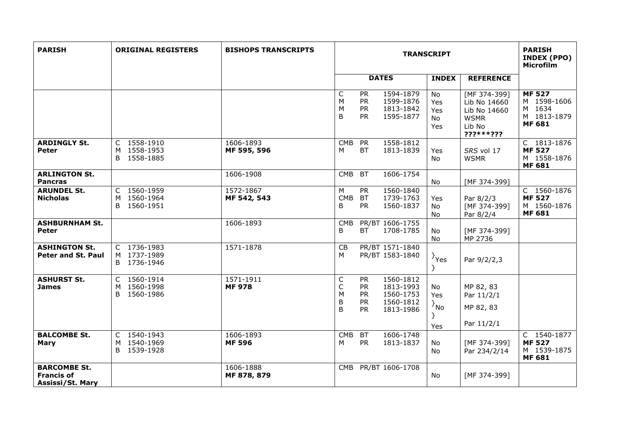| <b>PARISH</b>                                                | <b>ORIGINAL REGISTERS</b>                        | <b>BISHOPS TRANSCRIPTS</b> | <b>TRANSCRIPT</b>     |                                                        |                                                               |                                  | <b>PARISH</b><br><b>INDEX (PPO)</b><br>Microfilm                                   |                                                                        |
|--------------------------------------------------------------|--------------------------------------------------|----------------------------|-----------------------|--------------------------------------------------------|---------------------------------------------------------------|----------------------------------|------------------------------------------------------------------------------------|------------------------------------------------------------------------|
|                                                              |                                                  |                            |                       |                                                        | <b>DATES</b>                                                  | <b>INDEX</b>                     | <b>REFERENCE</b>                                                                   |                                                                        |
|                                                              |                                                  |                            | C<br>M<br>M<br>B      | <b>PR</b><br><b>PR</b><br><b>PR</b><br><b>PR</b>       | 1594-1879<br>1599-1876<br>1813-1842<br>1595-1877              | No<br>Yes<br>Yes<br>No<br>Yes    | [MF 374-399]<br>Lib No 14660<br>Lib No 14660<br><b>WSMR</b><br>Lib No<br>???***??? | <b>MF 527</b><br>M 1598-1606<br>M 1634<br>M 1813-1879<br><b>MF 681</b> |
| <b>ARDINGLY St.</b><br><b>Peter</b>                          | C 1558-1910<br>M 1558-1953<br>B 1558-1885        | 1606-1893<br>MF 595, 596   | <b>CMB</b><br>М       | <b>PR</b><br><b>BT</b>                                 | 1558-1812<br>1813-1839                                        | Yes<br>No                        | SRS vol 17<br><b>WSMR</b>                                                          | C 1813-1876<br><b>MF 527</b><br>M 1558-1876<br><b>MF 681</b>           |
| <b>ARLINGTON St.</b><br><b>Pancras</b>                       |                                                  | 1606-1908                  | <b>CMB</b>            | <b>BT</b>                                              | 1606-1754                                                     | No                               | [MF 374-399]                                                                       |                                                                        |
| <b>ARUNDEL St.</b><br><b>Nicholas</b>                        | C 1560-1959<br>1560-1964<br>M<br>1560-1951<br>B. | 1572-1867<br>MF 542, 543   | M<br><b>CMB</b><br>B  | <b>PR</b><br><b>BT</b><br><b>PR</b>                    | 1560-1840<br>1739-1763<br>1560-1837                           | Yes<br>No.<br><b>No</b>          | Par 8/2/3<br>[MF 374-399]<br>Par 8/2/4                                             | C 1560-1876<br><b>MF 527</b><br>M 1560-1876<br><b>MF 681</b>           |
| <b>ASHBURNHAM St.</b><br><b>Peter</b>                        |                                                  | 1606-1893                  | <b>CMB</b><br>B       | <b>BT</b>                                              | PR/BT 1606-1755<br>1708-1785                                  | No<br>No                         | [MF 374-399]<br>MP 2736                                                            |                                                                        |
| <b>ASHINGTON St.</b><br>Peter and St. Paul                   | C 1736-1983<br>M 1737-1989<br>B 1736-1946        | 1571-1878                  | CB<br>M               |                                                        | PR/BT 1571-1840<br>PR/BT 1583-1840                            | $\}$ Yes<br>Y                    | Par 9/2/2,3                                                                        |                                                                        |
| <b>ASHURST St.</b><br><b>James</b>                           | C 1560-1914<br>1560-1998<br>м<br>B<br>1560-1986  | 1571-1911<br><b>MF 978</b> | C<br>C<br>M<br>B<br>B | <b>PR</b><br><b>PR</b><br>PR<br><b>PR</b><br><b>PR</b> | 1560-1812<br>1813-1993<br>1560-1753<br>1560-1812<br>1813-1986 | No<br>Yes<br>$\{A_{NQ}\}$<br>Yes | MP 82, 83<br>Par 11/2/1<br>MP 82, 83<br>Par 11/2/1                                 |                                                                        |
| <b>BALCOMBE St.</b><br><b>Mary</b>                           | C 1540-1943<br>M 1540-1969<br>1539-1928<br>B     | 1606-1893<br><b>MF 596</b> | <b>CMB</b><br>М       | <b>BT</b><br><b>PR</b>                                 | 1606-1748<br>1813-1837                                        | No<br>No                         | [MF 374-399]<br>Par 234/2/14                                                       | C 1540-1877<br><b>MF 527</b><br>M 1539-1875<br><b>MF 681</b>           |
| <b>BARCOMBE St.</b><br><b>Francis of</b><br>Assissi/St. Mary |                                                  | 1606-1888<br>MF 878, 879   | CMB                   |                                                        | PR/BT 1606-1708                                               | No                               | [MF 374-399]                                                                       |                                                                        |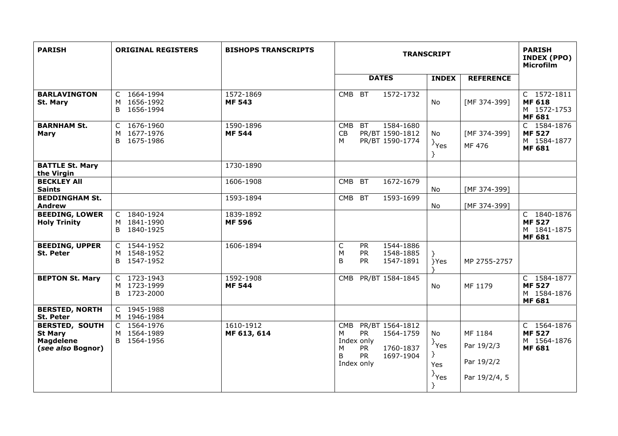| <b>PARISH</b>                                                                    | <b>ORIGINAL REGISTERS</b>                               | <b>BISHOPS TRANSCRIPTS</b> | <b>TRANSCRIPT</b>                                                                                                                                                 |                                                                     |                                                      | <b>PARISH</b><br>INDEX (PPO)<br><b>Microfilm</b>             |
|----------------------------------------------------------------------------------|---------------------------------------------------------|----------------------------|-------------------------------------------------------------------------------------------------------------------------------------------------------------------|---------------------------------------------------------------------|------------------------------------------------------|--------------------------------------------------------------|
|                                                                                  |                                                         |                            | <b>DATES</b>                                                                                                                                                      | <b>INDEX</b>                                                        | <b>REFERENCE</b>                                     |                                                              |
| <b>BARLAVINGTON</b><br><b>St. Mary</b>                                           | C 1664-1994<br>1656-1992<br>M<br>B 1656-1994            | 1572-1869<br><b>MF 543</b> | 1572-1732<br><b>BT</b><br><b>CMB</b>                                                                                                                              | <b>No</b>                                                           | [MF 374-399]                                         | C 1572-1811<br><b>MF 618</b><br>M 1572-1753<br><b>MF 681</b> |
| <b>BARNHAM St.</b><br>Mary                                                       | C 1676-1960<br>1677-1976<br>M<br>B 1675-1986            | 1590-1896<br><b>MF 544</b> | <b>BT</b><br>1584-1680<br><b>CMB</b><br>CB<br>PR/BT 1590-1812<br>М<br>PR/BT 1590-1774                                                                             | No<br>$\}$ Yes<br>$\}$                                              | [MF 374-399]<br>MF 476                               | C 1584-1876<br><b>MF527</b><br>M 1584-1877<br><b>MF 681</b>  |
| <b>BATTLE St. Mary</b><br>the Virgin                                             |                                                         | 1730-1890                  |                                                                                                                                                                   |                                                                     |                                                      |                                                              |
| <b>BECKLEY AII</b><br><b>Saints</b>                                              |                                                         | 1606-1908                  | <b>CMB</b><br><b>BT</b><br>1672-1679                                                                                                                              | No.                                                                 | [MF 374-399]                                         |                                                              |
| <b>BEDDINGHAM St.</b><br><b>Andrew</b>                                           |                                                         | 1593-1894                  | CMB BT<br>1593-1699                                                                                                                                               | No                                                                  | [MF 374-399]                                         |                                                              |
| <b>BEEDING, LOWER</b><br><b>Holy Trinity</b>                                     | C 1840-1924<br>M 1841-1990<br>B<br>1840-1925            | 1839-1892<br><b>MF 596</b> |                                                                                                                                                                   |                                                                     |                                                      | C 1840-1876<br><b>MF527</b><br>M 1841-1875<br><b>MF 681</b>  |
| <b>BEEDING, UPPER</b><br><b>St. Peter</b>                                        | C 1544-1952<br>M 1548-1952<br>B 1547-1952               | 1606-1894                  | $\mathsf{C}$<br>1544-1886<br><b>PR</b><br>M<br><b>PR</b><br>1548-1885<br>B<br><b>PR</b><br>1547-1891                                                              | }Yes                                                                | MP 2755-2757                                         |                                                              |
| <b>BEPTON St. Mary</b>                                                           | C 1723-1943<br>M 1723-1999<br>B<br>1723-2000            | 1592-1908<br><b>MF 544</b> | PR/BT 1584-1845<br>CMB                                                                                                                                            | No                                                                  | MF 1179                                              | C 1584-1877<br><b>MF 527</b><br>M 1584-1876<br><b>MF 681</b> |
| <b>BERSTED, NORTH</b><br>St. Peter                                               | C 1945-1988<br>M 1946-1984                              |                            |                                                                                                                                                                   |                                                                     |                                                      |                                                              |
| <b>BERSTED, SOUTH</b><br><b>St Mary</b><br><b>Magdelene</b><br>(see also Bognor) | 1564-1976<br>$\mathsf{C}$<br>M 1564-1989<br>B 1564-1956 | 1610-1912<br>MF 613, 614   | <b>CMB</b><br>PR/BT 1564-1812<br><b>PR</b><br>м<br>1564-1759<br>Index only<br>M<br><b>PR</b><br>1760-1837<br><b>PR</b><br><sub>B</sub><br>1697-1904<br>Index only | No.<br>$\{Y_{\text{res}}\}$<br><sup>}</sup><br>Yes<br>$\}$ Yes<br>} | MF 1184<br>Par 19/2/3<br>Par 19/2/2<br>Par 19/2/4, 5 | C 1564-1876<br><b>MF527</b><br>M 1564-1876<br><b>MF 681</b>  |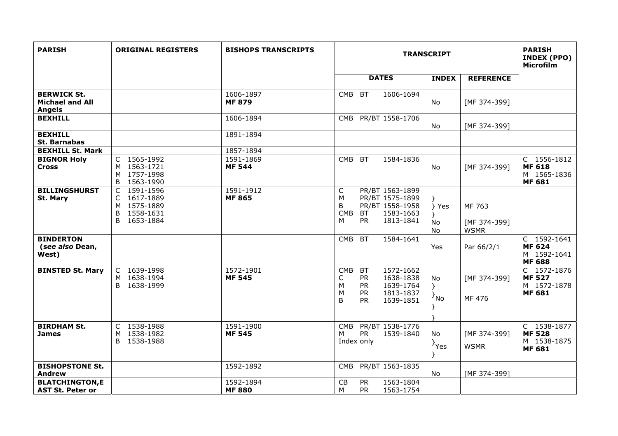| <b>PARISH</b>                                                 | <b>ORIGINAL REGISTERS</b>                                                      | <b>BISHOPS TRANSCRIPTS</b> | <b>TRANSCRIPT</b>                                                                                                                                          |                               |                                       | <b>PARISH</b><br><b>INDEX (PPO)</b><br><b>Microfilm</b>      |
|---------------------------------------------------------------|--------------------------------------------------------------------------------|----------------------------|------------------------------------------------------------------------------------------------------------------------------------------------------------|-------------------------------|---------------------------------------|--------------------------------------------------------------|
|                                                               |                                                                                |                            | <b>DATES</b>                                                                                                                                               | <b>INDEX</b>                  | <b>REFERENCE</b>                      |                                                              |
| <b>BERWICK St.</b><br><b>Michael and All</b><br><b>Angels</b> |                                                                                | 1606-1897<br><b>MF 879</b> | <b>BT</b><br>1606-1694<br><b>CMB</b>                                                                                                                       | No.                           | [MF 374-399]                          |                                                              |
| <b>BEXHILL</b>                                                |                                                                                | 1606-1894                  | PR/BT 1558-1706<br>CMB                                                                                                                                     | No                            | [MF 374-399]                          |                                                              |
| <b>BEXHILL</b><br><b>St. Barnabas</b>                         |                                                                                | 1891-1894                  |                                                                                                                                                            |                               |                                       |                                                              |
| <b>BEXHILL St. Mark</b>                                       |                                                                                | 1857-1894                  |                                                                                                                                                            |                               |                                       |                                                              |
| <b>BIGNOR Holy</b><br><b>Cross</b>                            | C 1565-1992<br>M 1563-1721<br>M 1757-1998<br>B<br>1563-1990                    | 1591-1869<br><b>MF 544</b> | <b>BT</b><br>1584-1836<br><b>CMB</b>                                                                                                                       | <b>No</b>                     | [MF 374-399]                          | C 1556-1812<br><b>MF 618</b><br>M 1565-1836<br><b>MF 681</b> |
| <b>BILLINGSHURST</b><br>St. Mary                              | C 1591-1596<br>C 1617-1889<br>M 1575-1889<br>1558-1631<br>B<br>1653-1884<br>B. | 1591-1912<br><b>MF 865</b> | C<br>PR/BT 1563-1899<br>M<br>PR/BT 1575-1899<br>B<br>PR/BT 1558-1958<br>1583-1663<br><b>CMB</b><br><b>BT</b><br>1813-1841<br>M<br>PR.                      | } Yes<br>No<br>No             | MF 763<br>[MF 374-399]<br><b>WSMR</b> |                                                              |
| <b>BINDERTON</b><br>(see also Dean,<br>West)                  |                                                                                |                            | <b>CMB</b><br><b>BT</b><br>1584-1641                                                                                                                       | Yes                           | Par 66/2/1                            | C 1592-1641<br><b>MF 624</b><br>M 1592-1641<br><b>MF 688</b> |
| <b>BINSTED St. Mary</b>                                       | C 1639-1998<br>M 1638-1994<br>1638-1999<br>B.                                  | 1572-1901<br><b>MF 545</b> | <b>CMB</b><br>1572-1662<br><b>BT</b><br><b>PR</b><br>С<br>1638-1838<br>M<br><b>PR</b><br>1639-1764<br>M<br><b>PR</b><br>1813-1837<br>B<br>1639-1851<br>PR. | No<br>$\}$<br><sup>}</sup> No | [MF 374-399]<br>MF 476                | C 1572-1876<br><b>MF 527</b><br>M 1572-1878<br><b>MF 681</b> |
| <b>BIRDHAM St.</b><br><b>James</b>                            | C 1538-1988<br>1538-1982<br>M<br>B<br>1538-1988                                | 1591-1900<br><b>MF 545</b> | PR/BT 1538-1776<br><b>CMB</b><br><b>PR</b><br>1539-1840<br>М<br>Index only                                                                                 | No<br>$\}$ Yes<br>ł           | [MF 374-399]<br><b>WSMR</b>           | C 1538-1877<br><b>MF528</b><br>M 1538-1875<br><b>MF 681</b>  |
| <b>BISHOPSTONE St.</b><br><b>Andrew</b>                       |                                                                                | 1592-1892                  | PR/BT 1563-1835<br><b>CMB</b>                                                                                                                              | No                            | [MF 374-399]                          |                                                              |
| <b>BLATCHINGTON,E</b><br><b>AST St. Peter or</b>              |                                                                                | 1592-1894<br><b>MF 880</b> | CB<br><b>PR</b><br>1563-1804<br>M<br><b>PR</b><br>1563-1754                                                                                                |                               |                                       |                                                              |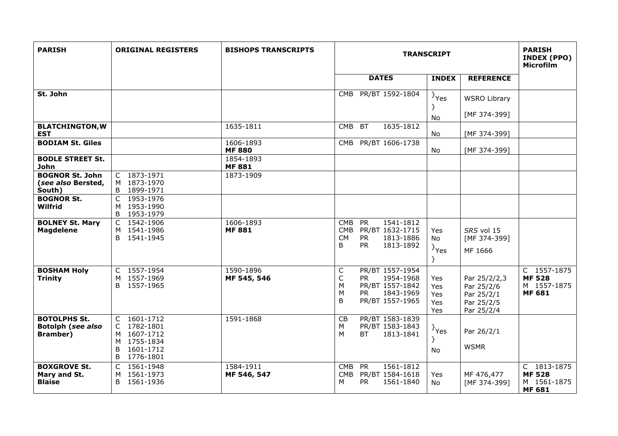| <b>PARISH</b>                                                       | <b>ORIGINAL REGISTERS</b>                                                                     | <b>BISHOPS TRANSCRIPTS</b> | <b>TRANSCRIPT</b>                                                                                                                           |                                   |                                                                      | <b>PARISH</b><br><b>INDEX (PPO)</b><br><b>Microfilm</b>      |
|---------------------------------------------------------------------|-----------------------------------------------------------------------------------------------|----------------------------|---------------------------------------------------------------------------------------------------------------------------------------------|-----------------------------------|----------------------------------------------------------------------|--------------------------------------------------------------|
|                                                                     |                                                                                               |                            | <b>DATES</b>                                                                                                                                | <b>INDEX</b>                      | <b>REFERENCE</b>                                                     |                                                              |
| St. John                                                            |                                                                                               |                            | PR/BT 1592-1804<br>CMB                                                                                                                      | $\}$ Yes<br>}<br>No               | <b>WSRO Library</b><br>[MF 374-399]                                  |                                                              |
| <b>BLATCHINGTON, W</b><br><b>EST</b>                                |                                                                                               | 1635-1811                  | <b>BT</b><br>1635-1812<br><b>CMB</b>                                                                                                        | No                                | [MF 374-399]                                                         |                                                              |
| <b>BODIAM St. Giles</b>                                             |                                                                                               | 1606-1893<br><b>MF 880</b> | CMB PR/BT 1606-1738                                                                                                                         | No                                | [MF 374-399]                                                         |                                                              |
| <b>BODLE STREET St.</b><br><b>John</b>                              |                                                                                               | 1854-1893<br><b>MF 881</b> |                                                                                                                                             |                                   |                                                                      |                                                              |
| <b>BOGNOR St. John</b><br>(see also Bersted,<br>South)              | C 1873-1971<br>M 1873-1970<br>B 1899-1971                                                     | 1873-1909                  |                                                                                                                                             |                                   |                                                                      |                                                              |
| <b>BOGNOR St.</b><br>Wilfrid                                        | 1953-1976<br>C<br>M 1953-1990<br>B 1953-1979                                                  |                            |                                                                                                                                             |                                   |                                                                      |                                                              |
| <b>BOLNEY St. Mary</b><br><b>Magdelene</b>                          | C 1542-1906<br>M 1541-1986<br>B 1541-1945                                                     | 1606-1893<br><b>MF 881</b> | 1541-1812<br><b>CMB</b><br><b>PR</b><br><b>CMB</b><br>PR/BT 1632-1715<br><b>PR</b><br>1813-1886<br><b>CM</b><br><b>PR</b><br>B<br>1813-1892 | <b>Yes</b><br>No<br>$\}$ Yes<br>Y | SRS vol 15<br>[MF 374-399]<br>MF 1666                                |                                                              |
| <b>BOSHAM Holy</b><br><b>Trinity</b>                                | C 1557-1954<br>1557-1969<br>M<br>B.<br>1557-1965                                              | 1590-1896<br>MF 545, 546   | PR/BT 1557-1954<br>C<br>С<br><b>PR</b><br>1954-1968<br>M<br>PR/BT 1557-1842<br>M<br>1843-1969<br><b>PR</b><br>B<br>PR/BT 1557-1965          | Yes<br>Yes<br>Yes<br>Yes<br>Yes   | Par 25/2/2,3<br>Par 25/2/6<br>Par 25/2/1<br>Par 25/2/5<br>Par 25/2/4 | C 1557-1875<br><b>MF 528</b><br>M 1557-1875<br><b>MF 681</b> |
| <b>BOTOLPHS St.</b><br><b>Botolph (see also</b><br><b>Bramber</b> ) | C 1601-1712<br>C 1782-1801<br>M 1607-1712<br>M 1755-1834<br>1601-1712<br>B.<br>1776-1801<br>B | 1591-1868                  | PR/BT 1583-1839<br>CB<br>M<br>PR/BT 1583-1843<br>М<br>ВT<br>1813-1841                                                                       | $\}$ Yes<br>Y<br>No               | Par 26/2/1<br><b>WSMR</b>                                            |                                                              |
| <b>BOXGROVE St.</b><br>Mary and St.<br><b>Blaise</b>                | 1561-1948<br>C<br>1561-1973<br>м<br>1561-1936<br>B.                                           | 1584-1911<br>MF 546, 547   | PR<br>1561-1812<br><b>CMB</b><br>PR/BT 1584-1618<br><b>CMB</b><br><b>PR</b><br>м<br>1561-1840                                               | Yes<br>No.                        | MF 476,477<br>[MF 374-399]                                           | C 1813-1875<br><b>MF528</b><br>M 1561-1875<br><b>MF 681</b>  |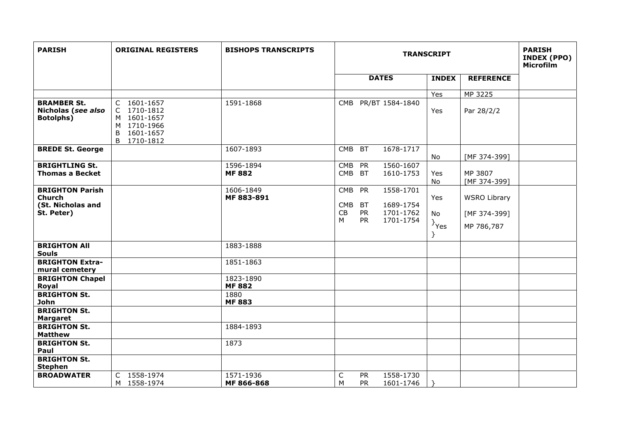| <b>PARISH</b>                                                              | <b>ORIGINAL REGISTERS</b>                                                                        | <b>BISHOPS TRANSCRIPTS</b> | <b>TRANSCRIPT</b>                                                                                                                           |                                   |                                                   | <b>PARISH</b><br><b>INDEX (PPO)</b><br>Microfilm |
|----------------------------------------------------------------------------|--------------------------------------------------------------------------------------------------|----------------------------|---------------------------------------------------------------------------------------------------------------------------------------------|-----------------------------------|---------------------------------------------------|--------------------------------------------------|
|                                                                            |                                                                                                  |                            | <b>DATES</b>                                                                                                                                | <b>INDEX</b>                      | <b>REFERENCE</b>                                  |                                                  |
|                                                                            |                                                                                                  |                            |                                                                                                                                             | Yes                               | MP 3225                                           |                                                  |
| <b>BRAMBER St.</b><br>Nicholas (see also<br><b>Botolphs)</b>               | C 1601-1657<br>1710-1812<br>C.<br>M 1601-1657<br>M 1710-1966<br>B<br>1601-1657<br>B<br>1710-1812 | 1591-1868                  | CMB PR/BT 1584-1840                                                                                                                         | Yes                               | Par 28/2/2                                        |                                                  |
| <b>BREDE St. George</b>                                                    |                                                                                                  | 1607-1893                  | <b>CMB</b><br><b>BT</b><br>1678-1717                                                                                                        | No                                | [MF 374-399]                                      |                                                  |
| <b>BRIGHTLING St.</b><br><b>Thomas a Becket</b>                            |                                                                                                  | 1596-1894<br><b>MF 882</b> | 1560-1607<br><b>PR</b><br><b>CMB</b><br><b>CMB</b><br><b>BT</b><br>1610-1753                                                                | Yes<br>No                         | MP 3807<br>[MF 374-399]                           |                                                  |
| <b>BRIGHTON Parish</b><br><b>Church</b><br>(St. Nicholas and<br>St. Peter) |                                                                                                  | 1606-1849<br>MF 883-891    | 1558-1701<br><b>CMB</b><br><b>PR</b><br>1689-1754<br><b>CMB</b><br><b>BT</b><br>CB<br><b>PR</b><br>1701-1762<br><b>PR</b><br>М<br>1701-1754 | Yes<br><b>No</b><br>$\}$ Yes<br>} | <b>WSRO Library</b><br>[MF 374-399]<br>MP 786,787 |                                                  |
| <b>BRIGHTON All</b><br><b>Souls</b>                                        |                                                                                                  | 1883-1888                  |                                                                                                                                             |                                   |                                                   |                                                  |
| <b>BRIGHTON Extra-</b><br>mural cemetery                                   |                                                                                                  | 1851-1863                  |                                                                                                                                             |                                   |                                                   |                                                  |
| <b>BRIGHTON Chapel</b><br>Royal                                            |                                                                                                  | 1823-1890<br><b>MF882</b>  |                                                                                                                                             |                                   |                                                   |                                                  |
| <b>BRIGHTON St.</b><br><b>John</b>                                         |                                                                                                  | 1880<br><b>MF 883</b>      |                                                                                                                                             |                                   |                                                   |                                                  |
| <b>BRIGHTON St.</b><br><b>Margaret</b>                                     |                                                                                                  |                            |                                                                                                                                             |                                   |                                                   |                                                  |
| <b>BRIGHTON St.</b><br><b>Matthew</b>                                      |                                                                                                  | 1884-1893                  |                                                                                                                                             |                                   |                                                   |                                                  |
| <b>BRIGHTON St.</b><br>Paul                                                |                                                                                                  | 1873                       |                                                                                                                                             |                                   |                                                   |                                                  |
| <b>BRIGHTON St.</b><br><b>Stephen</b>                                      |                                                                                                  |                            |                                                                                                                                             |                                   |                                                   |                                                  |
| <b>BROADWATER</b>                                                          | C 1558-1974<br>M 1558-1974                                                                       | 1571-1936<br>MF 866-868    | C<br>1558-1730<br><b>PR</b><br>M<br><b>PR</b><br>1601-1746                                                                                  |                                   |                                                   |                                                  |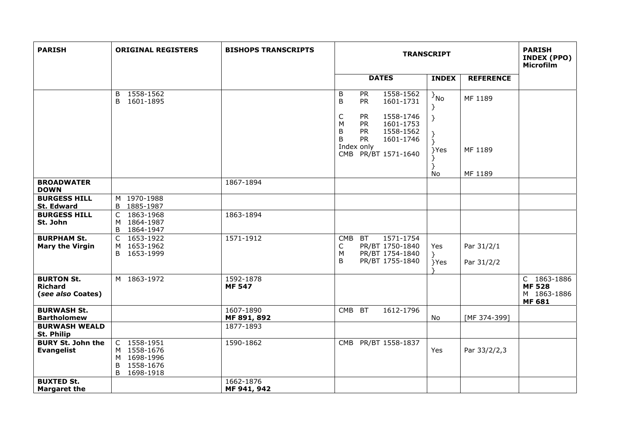| <b>PARISH</b>                                            | <b>ORIGINAL REGISTERS</b>                                                  | <b>BISHOPS TRANSCRIPTS</b> | <b>TRANSCRIPT</b>                                                                                                                                                                                                           |                              |                          | <b>PARISH</b><br>INDEX (PPO)<br><b>Microfilm</b>             |
|----------------------------------------------------------|----------------------------------------------------------------------------|----------------------------|-----------------------------------------------------------------------------------------------------------------------------------------------------------------------------------------------------------------------------|------------------------------|--------------------------|--------------------------------------------------------------|
|                                                          |                                                                            |                            | <b>DATES</b>                                                                                                                                                                                                                | <b>INDEX</b>                 | <b>REFERENCE</b>         |                                                              |
|                                                          | 1558-1562<br>B<br>B<br>1601-1895                                           |                            | B<br><b>PR</b><br>1558-1562<br>B<br><b>PR</b><br>1601-1731<br>C<br>1558-1746<br><b>PR</b><br>M<br><b>PR</b><br>1601-1753<br><b>PR</b><br>1558-1562<br>B<br><b>PR</b><br>B<br>1601-1746<br>Index only<br>CMB PR/BT 1571-1640 | $\{N_{\rm O}\}$<br>Y<br>}Yes | MF 1189<br>MF 1189       |                                                              |
| <b>BROADWATER</b>                                        |                                                                            | 1867-1894                  |                                                                                                                                                                                                                             | <b>No</b>                    | MF 1189                  |                                                              |
| <b>DOWN</b>                                              |                                                                            |                            |                                                                                                                                                                                                                             |                              |                          |                                                              |
| <b>BURGESS HILL</b><br>St. Edward                        | M 1970-1988<br>B 1885-1987                                                 |                            |                                                                                                                                                                                                                             |                              |                          |                                                              |
| <b>BURGESS HILL</b><br>St. John                          | C 1863-1968<br>M 1864-1987<br>B 1864-1947                                  | 1863-1894                  |                                                                                                                                                                                                                             |                              |                          |                                                              |
| <b>BURPHAM St.</b><br><b>Mary the Virgin</b>             | C 1653-1922<br>M 1653-1962<br>B 1653-1999                                  | 1571-1912                  | 1571-1754<br>CMB BT<br>PR/BT 1750-1840<br>C<br>PR/BT 1754-1840<br>M<br>B<br>PR/BT 1755-1840                                                                                                                                 | Yes<br>ን⊹<br>}Yes            | Par 31/2/1<br>Par 31/2/2 |                                                              |
| <b>BURTON St.</b><br><b>Richard</b><br>(see also Coates) | M 1863-1972                                                                | 1592-1878<br><b>MF 547</b> |                                                                                                                                                                                                                             |                              |                          | C 1863-1886<br><b>MF 528</b><br>M 1863-1886<br><b>MF 681</b> |
| <b>BURWASH St.</b><br><b>Bartholomew</b>                 |                                                                            | 1607-1890<br>MF 891, 892   | CMB BT<br>1612-1796                                                                                                                                                                                                         | No                           | [MF 374-399]             |                                                              |
| <b>BURWASH WEALD</b><br><b>St. Philip</b>                |                                                                            | 1877-1893                  |                                                                                                                                                                                                                             |                              |                          |                                                              |
| <b>BURY St. John the</b><br><b>Evangelist</b>            | C 1558-1951<br>M 1558-1676<br>M 1698-1996<br>1558-1676<br>B<br>B 1698-1918 | 1590-1862                  | CMB PR/BT 1558-1837                                                                                                                                                                                                         | Yes                          | Par 33/2/2,3             |                                                              |
| <b>BUXTED St.</b><br><b>Margaret the</b>                 |                                                                            | 1662-1876<br>MF 941, 942   |                                                                                                                                                                                                                             |                              |                          |                                                              |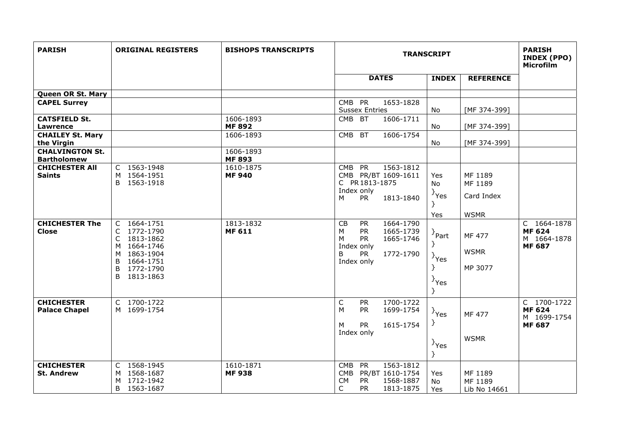| <b>PARISH</b>                                | <b>ORIGINAL REGISTERS</b>                                                                                                              | <b>BISHOPS TRANSCRIPTS</b> | <b>TRANSCRIPT</b>                                                                                                                                     |                                                       |                                         | <b>PARISH</b><br><b>INDEX (PPO)</b><br>Microfilm             |
|----------------------------------------------|----------------------------------------------------------------------------------------------------------------------------------------|----------------------------|-------------------------------------------------------------------------------------------------------------------------------------------------------|-------------------------------------------------------|-----------------------------------------|--------------------------------------------------------------|
|                                              |                                                                                                                                        |                            | <b>DATES</b>                                                                                                                                          | <b>INDEX</b>                                          | <b>REFERENCE</b>                        |                                                              |
| Queen OR St. Mary                            |                                                                                                                                        |                            |                                                                                                                                                       |                                                       |                                         |                                                              |
| <b>CAPEL Surrey</b>                          |                                                                                                                                        |                            | CMB PR<br>1653-1828<br><b>Sussex Entries</b>                                                                                                          | No                                                    | [MF 374-399]                            |                                                              |
| <b>CATSFIELD St.</b><br><b>Lawrence</b>      |                                                                                                                                        | 1606-1893<br><b>MF 892</b> | CMB BT<br>1606-1711                                                                                                                                   | No                                                    | [MF 374-399]                            |                                                              |
| <b>CHAILEY St. Mary</b><br>the Virgin        |                                                                                                                                        | $1606 - 1893$              | <b>CMB</b><br><b>BT</b><br>1606-1754                                                                                                                  | No                                                    | [MF 374-399]                            |                                                              |
| <b>CHALVINGTON St.</b><br><b>Bartholomew</b> |                                                                                                                                        | 1606-1893<br><b>MF 893</b> |                                                                                                                                                       |                                                       |                                         |                                                              |
| <b>CHICHESTER AII</b><br><b>Saints</b>       | C 1563-1948<br>M 1564-1951<br>1563-1918<br>B                                                                                           | 1610-1875<br><b>MF 940</b> | 1563-1812<br><b>PR</b><br><b>CMB</b><br>CMB PR/BT 1609-1611<br>C PR 1813-1875<br>Index only<br><b>PR</b><br>1813-1840<br>М                            | Yes<br><b>No</b><br>$\}$ Yes                          | MF 1189<br>MF 1189<br>Card Index        |                                                              |
|                                              |                                                                                                                                        |                            |                                                                                                                                                       | Yes                                                   | <b>WSMR</b>                             |                                                              |
| <b>CHICHESTER The</b><br><b>Close</b>        | C 1664-1751<br>C<br>1772-1790<br>C<br>1813-1862<br>M 1664-1746<br>1863-1904<br>M<br>1664-1751<br>B<br>1772-1790<br>B<br>B<br>1813-1863 | 1813-1832<br><b>MF 611</b> | 1664-1790<br>CB<br><b>PR</b><br>M<br><b>PR</b><br>1665-1739<br><b>PR</b><br>1665-1746<br>М<br>Index only<br><b>PR</b><br>1772-1790<br>B<br>Index only | $\overline{P}$ Part<br>$\}$ Yes<br>}<br>$\}$ Yes<br>} | <b>MF 477</b><br><b>WSMR</b><br>MP 3077 | C 1664-1878<br><b>MF 624</b><br>M 1664-1878<br><b>MF 687</b> |
| <b>CHICHESTER</b><br><b>Palace Chapel</b>    | C 1700-1722<br>M 1699-1754                                                                                                             |                            | $\mathsf C$<br>1700-1722<br><b>PR</b><br>M<br><b>PR</b><br>1699-1754<br><b>PR</b><br>1615-1754<br>М<br>Index only                                     | $\}$ Yes<br>}<br>$\rightarrow$ Yes<br>Y               | MF 477<br><b>WSMR</b>                   | C 1700-1722<br><b>MF 624</b><br>M 1699-1754<br><b>MF 687</b> |
| <b>CHICHESTER</b><br><b>St. Andrew</b>       | C 1568-1945<br>M 1568-1687<br>1712-1942<br>M<br>B<br>1563-1687                                                                         | 1610-1871<br><b>MF938</b>  | 1563-1812<br>PR<br><b>CMB</b><br>PR/BT 1610-1754<br><b>CMB</b><br><b>CM</b><br><b>PR</b><br>1568-1887<br><b>PR</b><br>С<br>1813-1875                  | Yes<br>No<br>Yes                                      | MF 1189<br>MF 1189<br>Lib No 14661      |                                                              |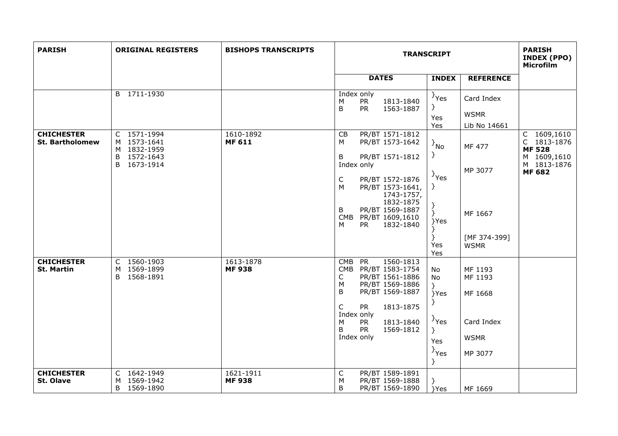| <b>PARISH</b>                               | <b>ORIGINAL REGISTERS</b>                                                     | <b>BISHOPS TRANSCRIPTS</b> | <b>TRANSCRIPT</b>                                                                                                                                                                                                                                                                                                                                                                            | <b>PARISH</b><br><b>INDEX (PPO)</b><br>Microfilm                                   |                                                                                            |
|---------------------------------------------|-------------------------------------------------------------------------------|----------------------------|----------------------------------------------------------------------------------------------------------------------------------------------------------------------------------------------------------------------------------------------------------------------------------------------------------------------------------------------------------------------------------------------|------------------------------------------------------------------------------------|--------------------------------------------------------------------------------------------|
|                                             |                                                                               |                            | <b>DATES</b><br><b>INDEX</b>                                                                                                                                                                                                                                                                                                                                                                 | <b>REFERENCE</b>                                                                   |                                                                                            |
|                                             | B 1711-1930                                                                   |                            | Index only<br>$\}$ Yes<br><b>PR</b><br>1813-1840<br>M<br>}<br><b>PR</b><br>B<br>1563-1887<br>Yes                                                                                                                                                                                                                                                                                             | Card Index<br><b>WSMR</b>                                                          |                                                                                            |
| <b>CHICHESTER</b><br><b>St. Bartholomew</b> | C 1571-1994<br>M 1573-1641<br>M 1832-1959<br>1572-1643<br>B<br>B<br>1673-1914 | 1610-1892<br><b>MF 611</b> | Yes<br>PR/BT 1571-1812<br>CB<br>M<br>PR/BT 1573-1642<br>$\{P_{NQ}\}$<br>$\mathcal{F}$<br>B<br>PR/BT 1571-1812<br>Index only<br>$\}$ Yes<br>$\mathsf C$<br>PR/BT 1572-1876<br>$\}$<br>M<br>PR/BT 1573-1641,<br>1743-1757,<br>1832-1875<br>B<br>PR/BT 1569-1887<br>$\mathcal{F}$<br><b>CMB</b><br>PR/BT 1609,1610<br>}Yes<br><b>PR</b><br>1832-1840<br>м<br>ł<br>$\}$<br>Yes<br>Yes            | Lib No 14661<br><b>MF 477</b><br>MP 3077<br>MF 1667<br>[MF 374-399]<br><b>WSMR</b> | C 1609,1610<br>C 1813-1876<br><b>MF 528</b><br>M 1609,1610<br>M 1813-1876<br><b>MF 682</b> |
| <b>CHICHESTER</b><br><b>St. Martin</b>      | C 1560-1903<br>1569-1899<br>м<br>1568-1891<br>B                               | 1613-1878<br><b>MF938</b>  | <b>PR</b><br>1560-1813<br><b>CMB</b><br>CMB PR/BT 1583-1754<br>No<br>PR/BT 1561-1886<br>C<br><b>No</b><br>PR/BT 1569-1886<br>М<br>$\mathcal{F}$<br>B<br>PR/BT 1569-1887<br>}Yes<br>Y<br>C<br>1813-1875<br><b>PR</b><br>Index only<br>$\{Y_{\text{res}}\}$<br><b>PR</b><br>1813-1840<br>M<br><b>PR</b><br><sub>B</sub><br>1569-1812<br>$\}$<br>Index only<br>Yes<br>$\rightarrow$ Yes<br>$\}$ | MF 1193<br>MF 1193<br>MF 1668<br>Card Index<br><b>WSMR</b><br>MP 3077              |                                                                                            |
| <b>CHICHESTER</b><br>St. Olave              | C 1642-1949<br>1569-1942<br>м<br>1569-1890<br>B                               | 1621-1911<br><b>MF938</b>  | С<br>PR/BT 1589-1891<br>M<br>PR/BT 1569-1888<br>B<br>PR/BT 1569-1890<br>}Yes                                                                                                                                                                                                                                                                                                                 | MF 1669                                                                            |                                                                                            |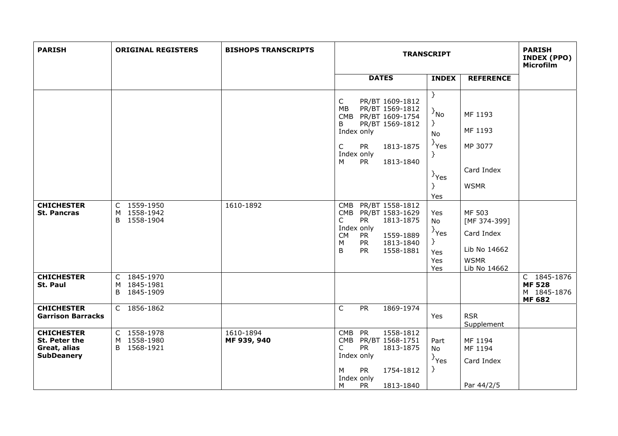| <b>PARISH</b>                                                           | <b>ORIGINAL REGISTERS</b>                    | <b>BISHOPS TRANSCRIPTS</b> | <b>TRANSCRIPT</b>                                                                                                                                                                                            |                                                                             |                                                                                     | <b>PARISH</b><br>INDEX (PPO)<br><b>Microfilm</b>             |
|-------------------------------------------------------------------------|----------------------------------------------|----------------------------|--------------------------------------------------------------------------------------------------------------------------------------------------------------------------------------------------------------|-----------------------------------------------------------------------------|-------------------------------------------------------------------------------------|--------------------------------------------------------------|
|                                                                         |                                              |                            | <b>DATES</b>                                                                                                                                                                                                 | <b>INDEX</b>                                                                | <b>REFERENCE</b>                                                                    |                                                              |
|                                                                         |                                              |                            | $\mathsf C$<br>PR/BT 1609-1812<br>PR/BT 1569-1812<br>МB<br>CMB PR/BT 1609-1754<br>B<br>PR/BT 1569-1812<br>Index only<br><b>PR</b><br>1813-1875<br>C<br>Index only<br>M<br><b>PR</b><br>1813-1840             | $\}$<br>$\{N_0\}$<br>$\}$<br>No<br><sup>}</sup> Yes<br>$\}$ Yes<br>Y<br>Yes | MF 1193<br>MF 1193<br>MP 3077<br>Card Index<br><b>WSMR</b>                          |                                                              |
| <b>CHICHESTER</b><br><b>St. Pancras</b>                                 | C 1559-1950<br>M 1558-1942<br>B 1558-1904    | 1610-1892                  | PR/BT 1558-1812<br><b>CMB</b><br>CMB PR/BT 1583-1629<br><b>PR</b><br>1813-1875<br>C<br>Index only<br>1559-1889<br><b>CM</b><br>PR <sup>1</sup><br><b>PR</b><br>1813-1840<br>M<br>1558-1881<br><b>PR</b><br>B | Yes<br>No<br>$\}$ Yes<br>₹.<br>Yes<br>Yes<br>Yes                            | MF 503<br>[MF 374-399]<br>Card Index<br>Lib No 14662<br><b>WSMR</b><br>Lib No 14662 |                                                              |
| <b>CHICHESTER</b><br>St. Paul                                           | C 1845-1970<br>M 1845-1981<br>1845-1909<br>B |                            |                                                                                                                                                                                                              |                                                                             |                                                                                     | C 1845-1876<br><b>MF 528</b><br>M 1845-1876<br><b>MF 682</b> |
| <b>CHICHESTER</b><br><b>Garrison Barracks</b>                           | C 1856-1862                                  |                            | $\mathsf{C}$<br><b>PR</b><br>1869-1974                                                                                                                                                                       | Yes                                                                         | <b>RSR</b><br>Supplement                                                            |                                                              |
| <b>CHICHESTER</b><br>St. Peter the<br>Great, alias<br><b>SubDeanery</b> | C 1558-1978<br>M 1558-1980<br>1568-1921<br>B | 1610-1894<br>MF 939, 940   | 1558-1812<br><b>CMB</b><br>PR<br>CMB PR/BT 1568-1751<br><b>PR</b><br>1813-1875<br>C<br>Index only<br><b>PR</b><br>1754-1812<br>М<br>Index only<br>1813-1840<br>M<br><b>PR</b>                                | Part<br>No<br>$\{Y_{\text{S}}\}$<br>₹.                                      | MF 1194<br>MF 1194<br>Card Index<br>Par 44/2/5                                      |                                                              |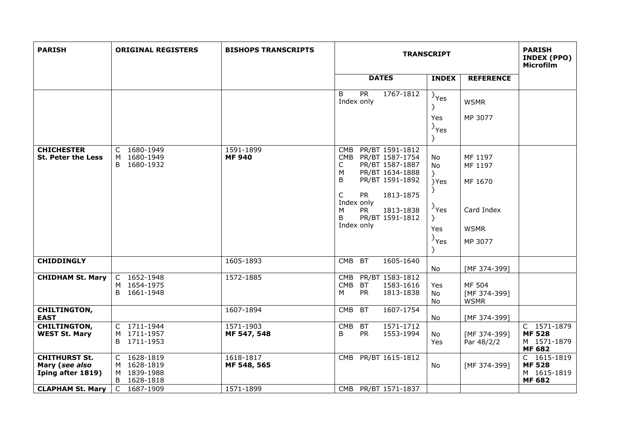| <b>PARISH</b>                                               | <b>ORIGINAL REGISTERS</b>                                | <b>BISHOPS TRANSCRIPTS</b> | <b>TRANSCRIPT</b>                                                                                                                                                                                                                              |                                                                                                             |                                                                       | <b>PARISH</b><br>INDEX (PPO)<br><b>Microfilm</b>             |
|-------------------------------------------------------------|----------------------------------------------------------|----------------------------|------------------------------------------------------------------------------------------------------------------------------------------------------------------------------------------------------------------------------------------------|-------------------------------------------------------------------------------------------------------------|-----------------------------------------------------------------------|--------------------------------------------------------------|
|                                                             |                                                          |                            | <b>DATES</b>                                                                                                                                                                                                                                   | <b>INDEX</b>                                                                                                | <b>REFERENCE</b>                                                      |                                                              |
|                                                             |                                                          |                            | $\overline{PR}$<br>1767-1812<br><sub>B</sub><br>Index only                                                                                                                                                                                     | $\}$ Yes<br>}                                                                                               | <b>WSMR</b>                                                           |                                                              |
|                                                             |                                                          |                            |                                                                                                                                                                                                                                                | Yes<br>$\}$ Yes<br>}                                                                                        | MP 3077                                                               |                                                              |
| <b>CHICHESTER</b><br><b>St. Peter the Less</b>              | C 1680-1949<br>M 1680-1949<br>B.<br>1680-1932            | 1591-1899<br><b>MF 940</b> | PR/BT 1591-1812<br><b>CMB</b><br>CMB PR/BT 1587-1754<br>PR/BT 1587-1887<br>C<br>M<br>PR/BT 1634-1888<br>B<br>PR/BT 1591-1892<br>C<br><b>PR</b><br>1813-1875<br>Index only<br><b>PR</b><br>1813-1838<br>м<br>PR/BT 1591-1812<br>B<br>Index only | No<br><b>No</b><br>$\}$<br>}Yes<br>$\{Y_{\text{res}}\}$<br>$\mathcal{F}$<br>Yes<br>$\}$ Yes<br><sup>}</sup> | MF 1197<br>MF 1197<br>MF 1670<br>Card Index<br><b>WSMR</b><br>MP 3077 |                                                              |
| <b>CHIDDINGLY</b>                                           |                                                          | 1605-1893                  | <b>BT</b><br><b>CMB</b><br>1605-1640                                                                                                                                                                                                           | No                                                                                                          | [MF 374-399]                                                          |                                                              |
| <b>CHIDHAM St. Mary</b>                                     | 1652-1948<br>C<br>M 1654-1975<br>B 1661-1948             | 1572-1885                  | PR/BT 1583-1812<br><b>CMB</b><br>CMB BT<br>1583-1616<br><b>PR</b><br>1813-1838<br>М                                                                                                                                                            | Yes<br>No<br>No                                                                                             | MF 504<br>[MF 374-399]<br><b>WSMR</b>                                 |                                                              |
| <b>CHILTINGTON,</b><br><b>EAST</b>                          |                                                          | 1607-1894                  | 1607-1754<br><b>CMB</b><br><b>BT</b>                                                                                                                                                                                                           | No                                                                                                          | [MF 374-399]                                                          |                                                              |
| <b>CHILTINGTON,</b><br><b>WEST St. Mary</b>                 | C 1711-1944<br>M 1711-1957<br>B 1711-1953                | 1571-1903<br>MF 547, 548   | 1571-1712<br>CMB<br><b>BT</b><br>B<br><b>PR</b><br>1553-1994                                                                                                                                                                                   | No<br>Yes                                                                                                   | [MF 374-399]<br>Par 48/2/2                                            | C 1571-1879<br><b>MF528</b><br>M 1571-1879<br><b>MF 682</b>  |
| <b>CHITHURST St.</b><br>Mary (see also<br>Iping after 1819) | C 1628-1819<br>M 1628-1819<br>M 1839-1988<br>B 1628-1818 | 1618-1817<br>MF 548, 565   | CMB PR/BT 1615-1812                                                                                                                                                                                                                            | No                                                                                                          | [MF 374-399]                                                          | C 1615-1819<br><b>MF 528</b><br>M 1615-1819<br><b>MF 682</b> |
| <b>CLAPHAM St. Mary</b>                                     | $\mathsf{C}$<br>1687-1909                                | 1571-1899                  | CMB PR/BT 1571-1837                                                                                                                                                                                                                            |                                                                                                             |                                                                       |                                                              |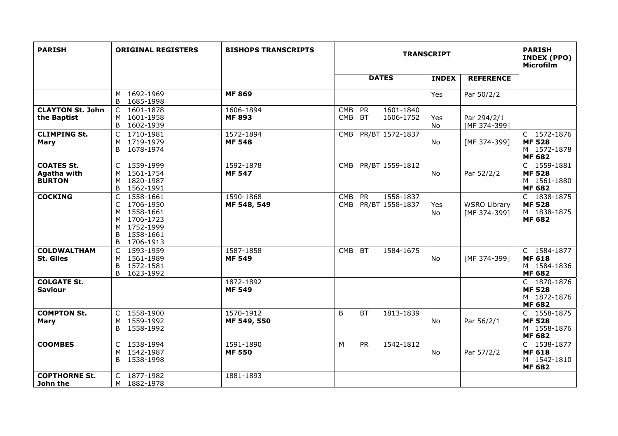| <b>PARISH</b>                                     | <b>ORIGINAL REGISTERS</b>                                                                                            | <b>BISHOPS TRANSCRIPTS</b> | <b>TRANSCRIPT</b>                                                            |              |                                     | <b>PARISH</b><br><b>INDEX (PPO)</b><br><b>Microfilm</b>      |
|---------------------------------------------------|----------------------------------------------------------------------------------------------------------------------|----------------------------|------------------------------------------------------------------------------|--------------|-------------------------------------|--------------------------------------------------------------|
|                                                   |                                                                                                                      |                            | <b>DATES</b>                                                                 | <b>INDEX</b> | <b>REFERENCE</b>                    |                                                              |
|                                                   | M 1692-1969<br>1685-1998<br>B                                                                                        | <b>MF 869</b>              |                                                                              | Yes          | Par 50/2/2                          |                                                              |
| <b>CLAYTON St. John</b><br>the Baptist            | 1601-1878<br>C<br>1601-1958<br>M<br>1602-1939<br>B                                                                   | 1606-1894<br><b>MF 893</b> | <b>CMB</b><br><b>PR</b><br>1601-1840<br><b>BT</b><br><b>CMB</b><br>1606-1752 | Yes<br>No    | Par 294/2/1<br>[MF 374-399]         |                                                              |
| <b>CLIMPING St.</b><br><b>Mary</b>                | 1710-1981<br>C<br>1719-1979<br>м<br>B 1678-1974                                                                      | 1572-1894<br><b>MF 548</b> | PR/BT 1572-1837<br><b>CMB</b>                                                | No           | [MF 374-399]                        | C 1572-1876<br><b>MF 528</b><br>M 1572-1878<br><b>MF 682</b> |
| <b>COATES St.</b><br>Agatha with<br><b>BURTON</b> | C 1559-1999<br>M 1561-1754<br>1820-1987<br>M<br>B<br>1562-1991                                                       | 1592-1878<br><b>MF 547</b> | PR/BT 1559-1812<br><b>CMB</b>                                                | No.          | Par 52/2/2                          | C 1559-1881<br><b>MF528</b><br>M 1561-1880<br><b>MF 682</b>  |
| <b>COCKING</b>                                    | C<br>1558-1661<br>1706-1950<br>C<br>1558-1661<br>М<br>M 1706-1723<br>M 1752-1999<br>1558-1661<br>B<br>1706-1913<br>B | 1590-1868<br>MF 548, 549   | <b>PR</b><br>1558-1837<br><b>CMB</b><br>PR/BT 1558-1837<br><b>CMB</b>        | Yes<br>No.   | <b>WSRO Library</b><br>[MF 374-399] | C 1838-1875<br><b>MF528</b><br>M 1838-1875<br><b>MF 682</b>  |
| <b>COLDWALTHAM</b><br><b>St. Giles</b>            | 1593-1959<br>C<br>1561-1989<br>м<br>B<br>1572-1581<br>B<br>1623-1992                                                 | 1587-1858<br><b>MF 549</b> | <b>BT</b><br><b>CMB</b><br>1584-1675                                         | <b>No</b>    | [MF 374-399]                        | C 1584-1877<br><b>MF 618</b><br>M 1584-1836<br><b>MF 682</b> |
| <b>COLGATE St.</b><br><b>Saviour</b>              |                                                                                                                      | 1872-1892<br><b>MF 549</b> |                                                                              |              |                                     | C 1870-1876<br><b>MF 528</b><br>M 1872-1876<br><b>MF 682</b> |
| <b>COMPTON St.</b><br><b>Mary</b>                 | C 1558-1900<br>1559-1992<br>М<br>1558-1992<br>B.                                                                     | 1570-1912<br>MF 549, 550   | B<br><b>BT</b><br>1813-1839                                                  | No.          | Par 56/2/1                          | C 1558-1875<br><b>MF528</b><br>M 1558-1876<br><b>MF 682</b>  |
| <b>COOMBES</b>                                    | C 1538-1994<br>1542-1987<br>М<br>B<br>1538-1998                                                                      | 1591-1890<br><b>MF 550</b> | M<br><b>PR</b><br>1542-1812                                                  | No           | Par 57/2/2                          | C 1538-1877<br><b>MF 618</b><br>M 1542-1810<br><b>MF 682</b> |
| <b>COPTHORNE St.</b><br>John the                  | C 1877-1982<br>M 1882-1978                                                                                           | 1881-1893                  |                                                                              |              |                                     |                                                              |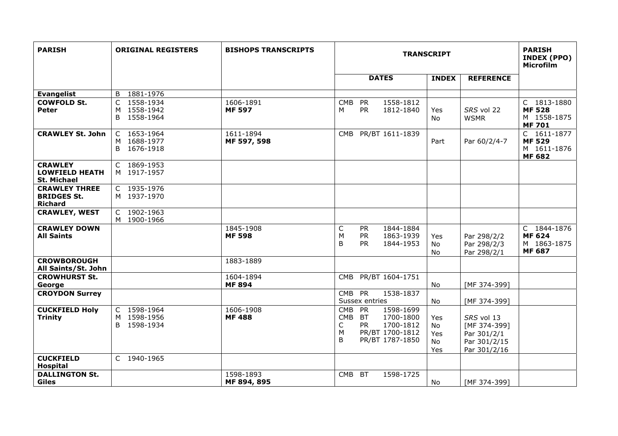| <b>PARISH</b>                                                 | <b>ORIGINAL REGISTERS</b>                               | <b>BISHOPS TRANSCRIPTS</b> | <b>TRANSCRIPT</b>                                                                                                                          |                               | <b>PARISH</b><br><b>INDEX (PPO)</b><br><b>Microfilm</b>                   |                                                              |
|---------------------------------------------------------------|---------------------------------------------------------|----------------------------|--------------------------------------------------------------------------------------------------------------------------------------------|-------------------------------|---------------------------------------------------------------------------|--------------------------------------------------------------|
|                                                               |                                                         |                            | <b>DATES</b>                                                                                                                               | <b>INDEX</b>                  | <b>REFERENCE</b>                                                          |                                                              |
| <b>Evangelist</b>                                             | B 1881-1976                                             |                            |                                                                                                                                            |                               |                                                                           |                                                              |
| <b>COWFOLD St.</b><br><b>Peter</b>                            | 1558-1934<br>$\mathsf{C}$<br>M 1558-1942<br>B 1558-1964 | 1606-1891<br><b>MF 597</b> | 1558-1812<br><b>CMB</b><br><b>PR</b><br><b>PR</b><br>1812-1840<br>м                                                                        | Yes<br>No                     | SRS vol 22<br><b>WSMR</b>                                                 | C 1813-1880<br><b>MF 528</b><br>M 1558-1875<br><b>MF701</b>  |
| <b>CRAWLEY St. John</b>                                       | C 1653-1964<br>M 1688-1977<br>B 1676-1918               | 1611-1894<br>MF 597, 598   | CMB PR/BT 1611-1839                                                                                                                        | Part                          | Par 60/2/4-7                                                              | C 1611-1877<br><b>MF 529</b><br>M 1611-1876<br><b>MF 682</b> |
| <b>CRAWLEY</b><br><b>LOWFIELD HEATH</b><br><b>St. Michael</b> | C 1869-1953<br>M 1917-1957                              |                            |                                                                                                                                            |                               |                                                                           |                                                              |
| <b>CRAWLEY THREE</b><br><b>BRIDGES St.</b><br><b>Richard</b>  | C 1935-1976<br>M 1937-1970                              |                            |                                                                                                                                            |                               |                                                                           |                                                              |
| <b>CRAWLEY, WEST</b>                                          | C 1902-1963<br>M 1900-1966                              |                            |                                                                                                                                            |                               |                                                                           |                                                              |
| <b>CRAWLEY DOWN</b><br><b>All Saints</b>                      |                                                         | 1845-1908<br><b>MF 598</b> | 1844-1884<br>C<br><b>PR</b><br>PR<br>M<br>1863-1939<br>B<br><b>PR</b><br>1844-1953                                                         | Yes<br>No<br>No               | Par 298/2/2<br>Par 298/2/3<br>Par 298/2/1                                 | C 1844-1876<br><b>MF 624</b><br>M 1863-1875<br><b>MF 687</b> |
| <b>CROWBOROUGH</b><br>All Saints/St. John                     |                                                         | 1883-1889                  |                                                                                                                                            |                               |                                                                           |                                                              |
| <b>CROWHURST St.</b><br>George                                |                                                         | 1604-1894<br><b>MF 894</b> | PR/BT 1604-1751<br><b>CMB</b>                                                                                                              | <b>No</b>                     | [MF 374-399]                                                              |                                                              |
| <b>CROYDON Surrey</b>                                         |                                                         |                            | CMB PR<br>1538-1837<br>Sussex entries                                                                                                      | No                            | [MF 374-399]                                                              |                                                              |
| <b>CUCKFIELD Holy</b><br><b>Trinity</b>                       | C 1598-1964<br>M 1598-1956<br>B 1598-1934               | 1606-1908<br><b>MF488</b>  | <b>PR</b><br>1598-1699<br><b>CMB</b><br>CMB BT<br>1700-1800<br>1700-1812<br>С<br><b>PR</b><br>M<br>PR/BT 1700-1812<br>B<br>PR/BT 1787-1850 | Yes<br>No<br>Yes<br>No<br>Yes | SRS vol 13<br>[MF 374-399]<br>Par 301/2/1<br>Par 301/2/15<br>Par 301/2/16 |                                                              |
| <b>CUCKFIELD</b><br><b>Hospital</b>                           | C 1940-1965                                             |                            |                                                                                                                                            |                               |                                                                           |                                                              |
| <b>DALLINGTON St.</b><br><b>Giles</b>                         |                                                         | 1598-1893<br>MF 894, 895   | CMB BT<br>1598-1725                                                                                                                        | No.                           | [MF 374-399]                                                              |                                                              |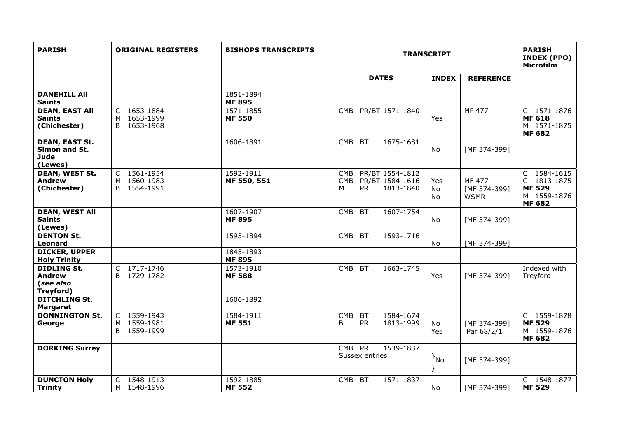| <b>PARISH</b>                                                    | <b>ORIGINAL REGISTERS</b>                 | <b>BISHOPS TRANSCRIPTS</b> | <b>TRANSCRIPT</b>                                                                             |                 |                                       | <b>PARISH</b><br>INDEX (PPO)<br><b>Microfilm</b>                            |
|------------------------------------------------------------------|-------------------------------------------|----------------------------|-----------------------------------------------------------------------------------------------|-----------------|---------------------------------------|-----------------------------------------------------------------------------|
|                                                                  |                                           |                            | <b>DATES</b>                                                                                  | <b>INDEX</b>    | <b>REFERENCE</b>                      |                                                                             |
| <b>DANEHILL AII</b><br><b>Saints</b>                             |                                           | 1851-1894<br><b>MF 895</b> |                                                                                               |                 |                                       |                                                                             |
| <b>DEAN, EAST All</b><br><b>Saints</b><br>(Chichester)           | C 1653-1884<br>M 1653-1999<br>B 1653-1968 | 1571-1855<br><b>MF 550</b> | PR/BT 1571-1840<br><b>CMB</b>                                                                 | Yes             | $\overline{MF}$ 477                   | C 1571-1876<br><b>MF 618</b><br>M 1571-1875<br><b>MF 682</b>                |
| <b>DEAN, EAST St.</b><br>Simon and St.<br><b>Jude</b><br>(Lewes) |                                           | 1606-1891                  | CMB BT<br>1675-1681                                                                           | No              | [MF 374-399]                          |                                                                             |
| <b>DEAN, WEST St.</b><br><b>Andrew</b><br>(Chichester)           | C 1561-1954<br>M 1560-1983<br>B 1554-1991 | 1592-1911<br>MF 550, 551   | PR/BT 1554-1812<br><b>CMB</b><br><b>CMB</b><br>PR/BT 1584-1616<br><b>PR</b><br>1813-1840<br>м | Yes<br>No<br>No | MF 477<br>[MF 374-399]<br><b>WSMR</b> | C 1584-1615<br>C 1813-1875<br><b>MF 529</b><br>M 1559-1876<br><b>MF 682</b> |
| <b>DEAN, WEST All</b><br><b>Saints</b><br>(Lewes)                |                                           | 1607-1907<br><b>MF 895</b> | CMB BT<br>1607-1754                                                                           | No              | [MF 374-399]                          |                                                                             |
| <b>DENTON St.</b><br><b>Leonard</b>                              |                                           | 1593-1894                  | CMB BT<br>1593-1716                                                                           | No              | [MF 374-399]                          |                                                                             |
| <b>DICKER, UPPER</b><br><b>Holy Trinity</b>                      |                                           | 1845-1893<br><b>MF 895</b> |                                                                                               |                 |                                       |                                                                             |
| <b>DIDLING St.</b><br><b>Andrew</b><br>(see also<br>Treyford)    | C 1717-1746<br>B 1729-1782                | 1573-1910<br><b>MF 588</b> | CMB BT<br>1663-1745                                                                           | <b>Yes</b>      | [MF 374-399]                          | Indexed with<br>Treyford                                                    |
| <b>DITCHLING St.</b><br><b>Margaret</b>                          |                                           | 1606-1892                  |                                                                                               |                 |                                       |                                                                             |
| <b>DONNINGTON St.</b><br>George                                  | C 1559-1943<br>M 1559-1981<br>B 1559-1999 | 1584-1911<br><b>MF 551</b> | <b>CMB</b><br>1584-1674<br><b>BT</b><br><b>PR</b><br>1813-1999<br>B                           | No<br>Yes       | [MF 374-399]<br>Par 68/2/1            | C 1559-1878<br><b>MF 529</b><br>M 1559-1876<br><b>MF 682</b>                |
| <b>DORKING Surrey</b>                                            |                                           |                            | CMB PR<br>1539-1837<br>Sussex entries                                                         | $\{N_0\}$<br>}  | [MF 374-399]                          |                                                                             |
| <b>DUNCTON Holy</b><br><b>Trinity</b>                            | C 1548-1913<br>M 1548-1996                | 1592-1885<br><b>MF 552</b> | <b>CMB</b><br><b>BT</b><br>1571-1837                                                          | No              | [MF 374-399]                          | C 1548-1877<br><b>MF 529</b>                                                |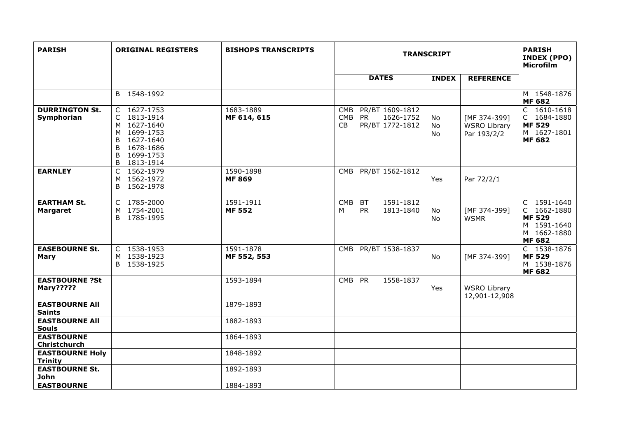| <b>PARISH</b>                             | <b>ORIGINAL REGISTERS</b>                                                                                                        | <b>BISHOPS TRANSCRIPTS</b> | <b>TRANSCRIPT</b>                                                                       |                |                                                    | <b>PARISH</b><br><b>INDEX (PPO)</b><br>Microfilm                                           |
|-------------------------------------------|----------------------------------------------------------------------------------------------------------------------------------|----------------------------|-----------------------------------------------------------------------------------------|----------------|----------------------------------------------------|--------------------------------------------------------------------------------------------|
|                                           |                                                                                                                                  |                            | <b>DATES</b>                                                                            | <b>INDEX</b>   | <b>REFERENCE</b>                                   |                                                                                            |
|                                           | B 1548-1992                                                                                                                      |                            |                                                                                         |                |                                                    | M 1548-1876<br><b>MF 682</b>                                                               |
| <b>DURRINGTON St.</b><br>Symphorian       | C 1627-1753<br>C 1813-1914<br>M 1627-1640<br>M 1699-1753<br>1627-1640<br>B<br>1678-1686<br>B<br>1699-1753<br>B<br>1813-1914<br>B | 1683-1889<br>MF 614, 615   | PR/BT 1609-1812<br><b>CMB</b><br><b>PR</b><br>CMB<br>1626-1752<br>CB<br>PR/BT 1772-1812 | No<br>No<br>No | [MF 374-399]<br><b>WSRO Library</b><br>Par 193/2/2 | C 1610-1618<br>C 1684-1880<br><b>MF 529</b><br>M 1627-1801<br><b>MF 682</b>                |
| <b>EARNLEY</b>                            | $\mathsf{C}$<br>1562-1979<br>M 1562-1972<br>1562-1978<br>B                                                                       | 1590-1898<br><b>MF869</b>  | CMB PR/BT 1562-1812                                                                     | Yes            | Par 72/2/1                                         |                                                                                            |
| <b>EARTHAM St.</b><br><b>Margaret</b>     | C 1785-2000<br>M 1754-2001<br>1785-1995<br>B                                                                                     | 1591-1911<br><b>MF 552</b> | 1591-1812<br><b>CMB</b><br><b>BT</b><br><b>PR</b><br>1813-1840<br>м                     | No<br>No       | [MF 374-399]<br><b>WSMR</b>                        | C 1591-1640<br>C 1662-1880<br><b>MF 529</b><br>M 1591-1640<br>M 1662-1880<br><b>MF 682</b> |
| <b>EASEBOURNE St.</b><br><b>Mary</b>      | C 1538-1953<br>M 1538-1923<br>B 1538-1925                                                                                        | 1591-1878<br>MF 552, 553   | PR/BT 1538-1837<br>CMB                                                                  | No             | [MF 374-399]                                       | C 1538-1876<br><b>MF529</b><br>M 1538-1876<br><b>MF 682</b>                                |
| <b>EASTBOURNE ?St</b><br><b>Mary?????</b> |                                                                                                                                  | 1593-1894                  | CMB PR<br>1558-1837                                                                     | Yes            | <b>WSRO Library</b><br>12,901-12,908               |                                                                                            |
| <b>EASTBOURNE All</b><br><b>Saints</b>    |                                                                                                                                  | 1879-1893                  |                                                                                         |                |                                                    |                                                                                            |
| <b>EASTBOURNE AII</b><br><b>Souls</b>     |                                                                                                                                  | 1882-1893                  |                                                                                         |                |                                                    |                                                                                            |
| <b>EASTBOURNE</b><br><b>Christchurch</b>  |                                                                                                                                  | 1864-1893                  |                                                                                         |                |                                                    |                                                                                            |
| <b>EASTBOURNE Holy</b><br><b>Trinity</b>  |                                                                                                                                  | 1848-1892                  |                                                                                         |                |                                                    |                                                                                            |
| <b>EASTBOURNE St.</b><br>John             |                                                                                                                                  | 1892-1893                  |                                                                                         |                |                                                    |                                                                                            |
| <b>EASTBOURNE</b>                         |                                                                                                                                  | 1884-1893                  |                                                                                         |                |                                                    |                                                                                            |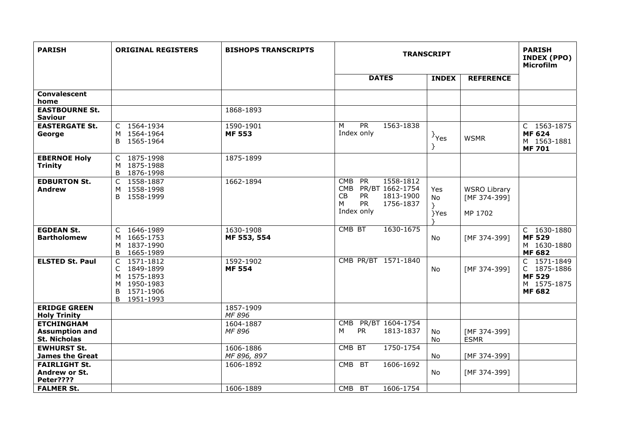| <b>PARISH</b>                                                     | <b>ORIGINAL REGISTERS</b>                                                                    | <b>BISHOPS TRANSCRIPTS</b> | <b>TRANSCRIPT</b>                                                                                                                                               |                               |                                                | <b>PARISH</b><br><b>INDEX (PPO)</b><br><b>Microfilm</b>                     |
|-------------------------------------------------------------------|----------------------------------------------------------------------------------------------|----------------------------|-----------------------------------------------------------------------------------------------------------------------------------------------------------------|-------------------------------|------------------------------------------------|-----------------------------------------------------------------------------|
|                                                                   |                                                                                              |                            | <b>DATES</b>                                                                                                                                                    | <b>INDEX</b>                  | <b>REFERENCE</b>                               |                                                                             |
| <b>Convalescent</b><br>home                                       |                                                                                              |                            |                                                                                                                                                                 |                               |                                                |                                                                             |
| <b>EASTBOURNE St.</b><br><b>Saviour</b>                           |                                                                                              | 1868-1893                  |                                                                                                                                                                 |                               |                                                |                                                                             |
| <b>EASTERGATE St.</b><br>George                                   | C 1564-1934<br>M 1564-1964<br>B 1565-1964                                                    | 1590-1901<br><b>MF 553</b> | PR<br>1563-1838<br>M<br>Index only                                                                                                                              | <sup>}</sup> Yes              | <b>WSMR</b>                                    | C 1563-1875<br><b>MF 624</b><br>M 1563-1881<br><b>MF701</b>                 |
| <b>EBERNOE Holy</b><br><b>Trinity</b>                             | C 1875-1998<br>M 1875-1988<br>B 1876-1998                                                    | 1875-1899                  |                                                                                                                                                                 |                               |                                                |                                                                             |
| <b>EDBURTON St.</b><br><b>Andrew</b>                              | C 1558-1887<br>M 1558-1998<br>1558-1999<br>B.                                                | 1662-1894                  | $\overline{PR}$<br>1558-1812<br><b>CMB</b><br><b>CMB</b><br>PR/BT 1662-1754<br><b>CB</b><br><b>PR</b><br>1813-1900<br><b>PR</b><br>1756-1837<br>м<br>Index only | Yes<br><b>No</b><br>Y<br>}Yes | <b>WSRO Library</b><br>[MF 374-399]<br>MP 1702 |                                                                             |
| <b>EGDEAN St.</b><br><b>Bartholomew</b>                           | C 1646-1989<br>M 1665-1753<br>M 1837-1990<br>1665-1989<br>B                                  | 1630-1908<br>MF 553, 554   | CMB BT<br>1630-1675                                                                                                                                             | No.                           | [MF 374-399]                                   | C 1630-1880<br><b>MF 529</b><br>M 1630-1880<br><b>MF 682</b>                |
| <b>ELSTED St. Paul</b>                                            | 1571-1812<br>C<br>C 1849-1899<br>M 1575-1893<br>M 1950-1983<br>1571-1906<br>B<br>B 1951-1993 | 1592-1902<br><b>MF 554</b> | CMB PR/BT 1571-1840                                                                                                                                             | No.                           | [MF 374-399]                                   | C 1571-1849<br>C 1875-1886<br><b>MF 529</b><br>M 1575-1875<br><b>MF 682</b> |
| <b>ERIDGE GREEN</b><br><b>Holy Trinity</b>                        |                                                                                              | 1857-1909<br>MF 896        |                                                                                                                                                                 |                               |                                                |                                                                             |
| <b>ETCHINGHAM</b><br><b>Assumption and</b><br><b>St. Nicholas</b> |                                                                                              | 1604-1887<br>MF 896        | <b>CMB</b><br>PR/BT 1604-1754<br>M<br><b>PR</b><br>1813-1837                                                                                                    | No<br>No                      | [MF 374-399]<br><b>ESMR</b>                    |                                                                             |
| <b>EWHURST St.</b><br><b>James the Great</b>                      |                                                                                              | 1606-1886<br>MF 896, 897   | 1750-1754<br>CMB BT                                                                                                                                             | No                            | [MF 374-399]                                   |                                                                             |
| <b>FAIRLIGHT St.</b><br>Andrew or St.<br>Peter????                |                                                                                              | 1606-1892                  | 1606-1692<br><b>CMB</b><br><b>BT</b>                                                                                                                            | No                            | [MF 374-399]                                   |                                                                             |
| <b>FALMER St.</b>                                                 |                                                                                              | 1606-1889                  | 1606-1754<br><b>CMB</b><br><b>BT</b>                                                                                                                            |                               |                                                |                                                                             |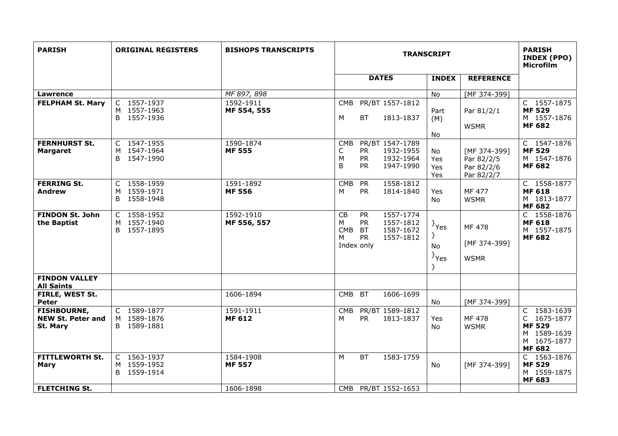| <b>PARISH</b>                                              | <b>ORIGINAL REGISTERS</b>                    | <b>BISHOPS TRANSCRIPTS</b> | <b>TRANSCRIPT</b>                                                                                                                                |                                  |                                                        | <b>PARISH</b><br>INDEX (PPO)<br><b>Microfilm</b>                                           |
|------------------------------------------------------------|----------------------------------------------|----------------------------|--------------------------------------------------------------------------------------------------------------------------------------------------|----------------------------------|--------------------------------------------------------|--------------------------------------------------------------------------------------------|
|                                                            |                                              |                            | <b>DATES</b>                                                                                                                                     | <b>INDEX</b>                     | <b>REFERENCE</b>                                       |                                                                                            |
| <b>Lawrence</b>                                            |                                              | MF 897, 898                |                                                                                                                                                  | No                               | [MF 374-399]                                           |                                                                                            |
| <b>FELPHAM St. Mary</b>                                    | C 1557-1937<br>M 1557-1963<br>B 1557-1936    | 1592-1911<br>MF 554, 555   | PR/BT 1557-1812<br><b>CMB</b><br>M<br><b>BT</b><br>1813-1837                                                                                     | Part<br>(M)<br>No.               | Par 81/2/1<br><b>WSMR</b>                              | C 1557-1875<br><b>MF 529</b><br>M 1557-1876<br><b>MF 682</b>                               |
| <b>FERNHURST St.</b><br><b>Margaret</b>                    | C 1547-1955<br>M 1547-1964<br>B 1547-1990    | 1590-1874<br><b>MF 555</b> | PR/BT 1547-1789<br><b>CMB</b><br><b>PR</b><br>1932-1955<br>С<br><b>PR</b><br>1932-1964<br>M<br>1947-1990<br>B<br><b>PR</b>                       | No<br>Yes<br>Yes<br>Yes          | [MF 374-399]<br>Par 82/2/5<br>Par 82/2/6<br>Par 82/2/7 | C 1547-1876<br><b>MF 529</b><br>M 1547-1876<br><b>MF 682</b>                               |
| <b>FERRING St.</b><br><b>Andrew</b>                        | C 1558-1959<br>M 1559-1971<br>B 1558-1948    | 1591-1892<br><b>MF 556</b> | 1558-1812<br><b>CMB</b><br><b>PR</b><br><b>PR</b><br>1814-1840<br>М                                                                              | Yes<br>No                        | MF 477<br><b>WSMR</b>                                  | C 1558-1877<br><b>MF 618</b><br>M 1813-1877<br><b>MF 682</b>                               |
| <b>FINDON St. John</b><br>the Baptist                      | C 1558-1952<br>M 1557-1940<br>B 1557-1895    | 1592-1910<br>MF 556, 557   | 1557-1774<br>CB<br><b>PR</b><br>1557-1812<br>м<br><b>PR</b><br><b>CMB</b><br><b>BT</b><br>1587-1672<br><b>PR</b><br>м<br>1557-1812<br>Index only | $\}$ Yes<br>ł.<br>No<br>$\}$ Yes | MF 478<br>[MF 374-399]<br><b>WSMR</b>                  | C 1558-1876<br><b>MF 618</b><br>M 1557-1875<br><b>MF 682</b>                               |
| <b>FINDON VALLEY</b><br><b>All Saints</b>                  |                                              |                            |                                                                                                                                                  |                                  |                                                        |                                                                                            |
| FIRLE, WEST St.<br>Peter                                   |                                              | 1606-1894                  | 1606-1699<br><b>CMB</b><br><b>BT</b>                                                                                                             | No                               | [MF 374-399]                                           |                                                                                            |
| <b>FISHBOURNE,</b><br><b>NEW St. Peter and</b><br>St. Mary | C 1589-1877<br>M 1589-1876<br>B 1589-1881    | 1591-1911<br><b>MF 612</b> | PR/BT 1589-1812<br><b>CMB</b><br><b>PR</b><br>м<br>1813-1837                                                                                     | Yes<br>No                        | MF 478<br><b>WSMR</b>                                  | C 1583-1639<br>C 1675-1877<br><b>MF 529</b><br>M 1589-1639<br>M 1675-1877<br><b>MF 682</b> |
| <b>FITTLEWORTH St.</b><br><b>Mary</b>                      | C 1563-1937<br>1559-1952<br>M<br>B 1559-1914 | 1584-1908<br><b>MF 557</b> | M<br><b>BT</b><br>1583-1759                                                                                                                      | No.                              | [MF 374-399]                                           | C 1563-1876<br><b>MF529</b><br>M 1559-1875<br><b>MF 683</b>                                |
| <b>FLETCHING St.</b>                                       |                                              | 1606-1898                  | CMB PR/BT 1552-1653                                                                                                                              |                                  |                                                        |                                                                                            |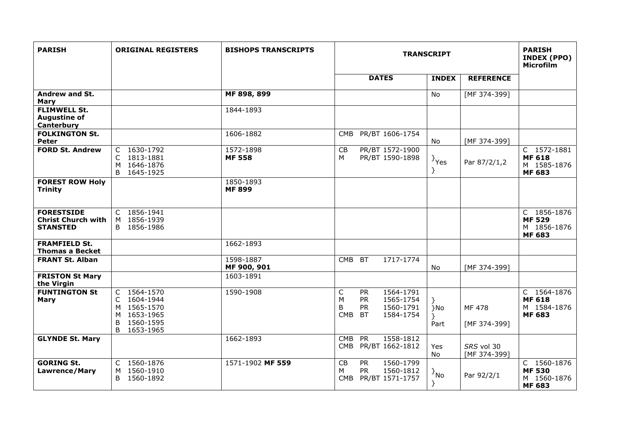| <b>PARISH</b>                                                     | <b>ORIGINAL REGISTERS</b>                                                                          | <b>BISHOPS TRANSCRIPTS</b> | <b>TRANSCRIPT</b>                   |                                                  |                                                  |                       | <b>PARISH</b><br><b>INDEX (PPO)</b><br><b>Microfilm</b> |                                                              |
|-------------------------------------------------------------------|----------------------------------------------------------------------------------------------------|----------------------------|-------------------------------------|--------------------------------------------------|--------------------------------------------------|-----------------------|---------------------------------------------------------|--------------------------------------------------------------|
|                                                                   |                                                                                                    |                            |                                     | <b>DATES</b>                                     |                                                  | <b>INDEX</b>          | <b>REFERENCE</b>                                        |                                                              |
| Andrew and St.<br>Mary                                            |                                                                                                    | MF 898, 899                |                                     |                                                  |                                                  | <b>No</b>             | [MF 374-399]                                            |                                                              |
| <b>FLIMWELL St.</b><br><b>Augustine of</b><br>Canterbury          |                                                                                                    | 1844-1893                  |                                     |                                                  |                                                  |                       |                                                         |                                                              |
| <b>FOLKINGTON St.</b><br><b>Peter</b>                             |                                                                                                    | 1606-1882                  | <b>CMB</b>                          |                                                  | PR/BT 1606-1754                                  | No                    | [MF 374-399]                                            |                                                              |
| <b>FORD St. Andrew</b>                                            | C 1630-1792<br>C<br>1813-1881<br>M 1646-1876<br>B<br>1645-1925                                     | 1572-1898<br><b>MF 558</b> | CB<br>M                             |                                                  | PR/BT 1572-1900<br>PR/BT 1590-1898               | $\rightarrow$ Yes     | Par 87/2/1,2                                            | C 1572-1881<br><b>MF 618</b><br>M 1585-1876<br><b>MF 683</b> |
| <b>FOREST ROW Holy</b><br><b>Trinity</b>                          |                                                                                                    | 1850-1893<br><b>MF 899</b> |                                     |                                                  |                                                  |                       |                                                         |                                                              |
| <b>FORESTSIDE</b><br><b>Christ Church with</b><br><b>STANSTED</b> | C 1856-1941<br>1856-1939<br>M<br>B 1856-1986                                                       |                            |                                     |                                                  |                                                  |                       |                                                         | C 1856-1876<br><b>MF529</b><br>M 1856-1876<br><b>MF 683</b>  |
| <b>FRAMFIELD St.</b><br><b>Thomas a Becket</b>                    |                                                                                                    | 1662-1893                  |                                     |                                                  |                                                  |                       |                                                         |                                                              |
| <b>FRANT St. Alban</b>                                            |                                                                                                    | 1598-1887<br>MF 900, 901   | <b>CMB</b>                          | <b>BT</b>                                        | 1717-1774                                        | No                    | [MF 374-399]                                            |                                                              |
| <b>FRISTON St Mary</b><br>the Virgin                              |                                                                                                    | 1603-1891                  |                                     |                                                  |                                                  |                       |                                                         |                                                              |
| <b>FUNTINGTON St</b><br><b>Mary</b>                               | C 1564-1570<br>1604-1944<br>C<br>1565-1570<br>M<br>M 1653-1965<br>B<br>1560-1595<br>B<br>1653-1965 | 1590-1908                  | $\mathsf C$<br>M<br>B<br><b>CMB</b> | <b>PR</b><br><b>PR</b><br><b>PR</b><br><b>BT</b> | 1564-1791<br>1565-1754<br>1560-1791<br>1584-1754 | }No<br>Y<br>Part      | <b>MF478</b><br>[MF 374-399]                            | C 1564-1876<br><b>MF 618</b><br>M 1584-1876<br><b>MF 683</b> |
| <b>GLYNDE St. Mary</b>                                            |                                                                                                    | 1662-1893                  | <b>CMB</b><br><b>CMB</b>            | <b>PR</b>                                        | 1558-1812<br>PR/BT 1662-1812                     | Yes<br>No             | SRS vol 30<br>[MF 374-399]                              |                                                              |
| <b>GORING St.</b><br><b>Lawrence/Mary</b>                         | C 1560-1876<br>1560-1910<br>M<br>B 1560-1892                                                       | 1571-1902 MF 559           | CB<br>M<br>CMB                      | <b>PR</b><br><b>PR</b>                           | 1560-1799<br>1560-1812<br>PR/BT 1571-1757        | $\{N_{\rm 1D}\}$<br>} | Par 92/2/1                                              | C 1560-1876<br><b>MF530</b><br>M 1560-1876<br><b>MF 683</b>  |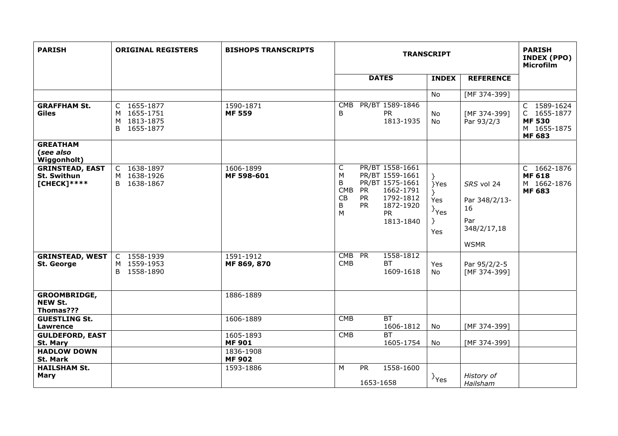| <b>PARISH</b>                                                   | <b>ORIGINAL REGISTERS</b>                                | <b>BISHOPS TRANSCRIPTS</b>              | <b>TRANSCRIPT</b>                         |                                     |                                                                                                                        |                                                                          | <b>PARISH</b><br><b>INDEX (PPO)</b><br>Microfilm                       |                                                                             |
|-----------------------------------------------------------------|----------------------------------------------------------|-----------------------------------------|-------------------------------------------|-------------------------------------|------------------------------------------------------------------------------------------------------------------------|--------------------------------------------------------------------------|------------------------------------------------------------------------|-----------------------------------------------------------------------------|
|                                                                 |                                                          |                                         |                                           |                                     | <b>DATES</b>                                                                                                           | <b>INDEX</b>                                                             | <b>REFERENCE</b>                                                       |                                                                             |
|                                                                 |                                                          |                                         |                                           |                                     |                                                                                                                        | No                                                                       | [MF 374-399]                                                           |                                                                             |
| <b>GRAFFHAM St.</b><br><b>Giles</b>                             | C 1655-1877<br>M 1655-1751<br>M 1813-1875<br>B 1655-1877 | 1590-1871<br><b>MF 559</b>              | CMB<br>B                                  |                                     | PR/BT 1589-1846<br><b>PR</b><br>1813-1935                                                                              | No<br><b>No</b>                                                          | [MF 374-399]<br>Par 93/2/3                                             | C 1589-1624<br>C 1655-1877<br><b>MF 530</b><br>M 1655-1875<br><b>MF 683</b> |
| <b>GREATHAM</b><br>(see also<br><b>Wiggonholt)</b>              |                                                          |                                         |                                           |                                     |                                                                                                                        |                                                                          |                                                                        |                                                                             |
| <b>GRINSTEAD, EAST</b><br>St. Swithun<br>$[CHECK]$ ****         | C 1638-1897<br>M 1638-1926<br>B 1638-1867                | 1606-1899<br>MF 598-601                 | C<br>M<br>B<br><b>CMB</b><br>CB<br>B<br>M | <b>PR</b><br><b>PR</b><br><b>PR</b> | PR/BT 1558-1661<br>PR/BT 1559-1661<br>PR/BT 1575-1661<br>1662-1791<br>1792-1812<br>1872-1920<br><b>PR</b><br>1813-1840 | $\}$<br>}Yes<br>$\mathcal{F}$<br>Yes<br>$\}$ Yes<br>$\mathcal{F}$<br>Yes | SRS vol 24<br>Par 348/2/13-<br>16<br>Par<br>348/2/17,18<br><b>WSMR</b> | C 1662-1876<br><b>MF 618</b><br>M 1662-1876<br><b>MF 683</b>                |
| <b>GRINSTEAD, WEST</b><br><b>St. George</b>                     | C 1558-1939<br>M 1559-1953<br>B 1558-1890                | 1591-1912<br>MF 869, 870                | CMB PR<br><b>CMB</b>                      |                                     | 1558-1812<br><b>BT</b><br>1609-1618                                                                                    | Yes<br>No                                                                | Par 95/2/2-5<br>[MF 374-399]                                           |                                                                             |
| <b>GROOMBRIDGE,</b><br><b>NEW St.</b><br>Thomas???              |                                                          | 1886-1889                               |                                           |                                     |                                                                                                                        |                                                                          |                                                                        |                                                                             |
| <b>GUESTLING St.</b><br>Lawrence                                |                                                          | 1606-1889                               | <b>CMB</b>                                |                                     | BT<br>1606-1812                                                                                                        | No                                                                       | [MF 374-399]                                                           |                                                                             |
| <b>GULDEFORD, EAST</b><br><b>St. Mary</b><br><b>HADLOW DOWN</b> |                                                          | 1605-1893<br><b>MF 901</b><br>1836-1908 | <b>CMB</b>                                |                                     | BT<br>1605-1754                                                                                                        | No                                                                       | [MF 374-399]                                                           |                                                                             |
| St. Mark                                                        |                                                          | <b>MF 902</b>                           |                                           |                                     |                                                                                                                        |                                                                          |                                                                        |                                                                             |
| <b>HAILSHAM St.</b><br><b>Mary</b>                              |                                                          | 1593-1886                               | M                                         | <b>PR</b><br>1653-1658              | 1558-1600                                                                                                              | $\}$ Yes                                                                 | History of<br>Hailsham                                                 |                                                                             |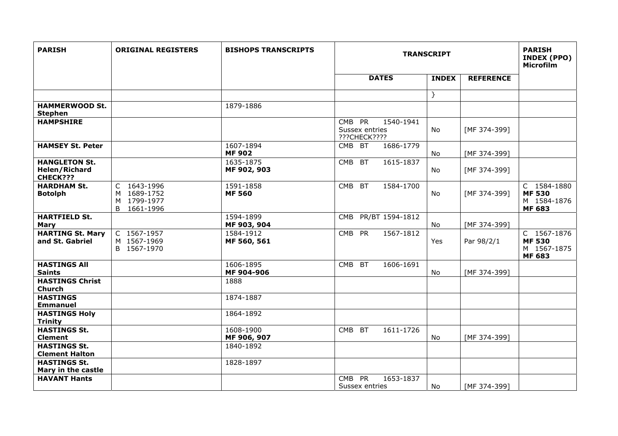| <b>PARISH</b>                                            | <b>ORIGINAL REGISTERS</b>                                   | <b>BISHOPS TRANSCRIPTS</b> | <b>TRANSCRIPT</b>                                     |              | <b>PARISH</b><br>INDEX (PPO)<br><b>Microfilm</b> |                                                              |
|----------------------------------------------------------|-------------------------------------------------------------|----------------------------|-------------------------------------------------------|--------------|--------------------------------------------------|--------------------------------------------------------------|
|                                                          |                                                             |                            | <b>DATES</b>                                          | <b>INDEX</b> | <b>REFERENCE</b>                                 |                                                              |
|                                                          |                                                             |                            |                                                       | $\}$         |                                                  |                                                              |
| <b>HAMMERWOOD St.</b><br><b>Stephen</b>                  |                                                             | 1879-1886                  |                                                       |              |                                                  |                                                              |
| <b>HAMPSHIRE</b>                                         |                                                             |                            | CMB PR<br>1540-1941<br>Sussex entries<br>???CHECK???? | No           | [MF 374-399]                                     |                                                              |
| <b>HAMSEY St. Peter</b>                                  |                                                             | 1607-1894<br><b>MF 902</b> | CMB BT<br>1686-1779                                   | No           | [MF 374-399]                                     |                                                              |
| <b>HANGLETON St.</b><br><b>Helen/Richard</b><br>CHECK??? |                                                             | 1635-1875<br>MF 902, 903   | <b>BT</b><br>1615-1837<br><b>CMB</b>                  | No.          | [MF 374-399]                                     |                                                              |
| <b>HARDHAM St.</b><br><b>Botolph</b>                     | C 1643-1996<br>M 1689-1752<br>M 1799-1977<br>B<br>1661-1996 | 1591-1858<br><b>MF 560</b> | 1584-1700<br>CMB BT                                   | No           | [MF 374-399]                                     | C 1584-1880<br><b>MF 530</b><br>M 1584-1876<br><b>MF 683</b> |
| <b>HARTFIELD St.</b><br><b>Mary</b>                      |                                                             | 1594-1899<br>MF 903, 904   | PR/BT 1594-1812<br><b>CMB</b>                         | No           | [MF 374-399]                                     |                                                              |
| <b>HARTING St. Mary</b><br>and St. Gabriel               | C 1567-1957<br>M 1567-1969<br>B 1567-1970                   | 1584-1912<br>MF 560, 561   | 1567-1812<br>CMB PR                                   | Yes          | Par 98/2/1                                       | C 1567-1876<br><b>MF 530</b><br>M 1567-1875<br><b>MF 683</b> |
| <b>HASTINGS AII</b><br><b>Saints</b>                     |                                                             | 1606-1895<br>MF 904-906    | 1606-1691<br><b>CMB</b><br><b>BT</b>                  | No           | [MF 374-399]                                     |                                                              |
| <b>HASTINGS Christ</b><br>Church                         |                                                             | 1888                       |                                                       |              |                                                  |                                                              |
| <b>HASTINGS</b><br><b>Emmanuel</b>                       |                                                             | 1874-1887                  |                                                       |              |                                                  |                                                              |
| <b>HASTINGS Holy</b><br><b>Trinity</b>                   |                                                             | 1864-1892                  |                                                       |              |                                                  |                                                              |
| <b>HASTINGS St.</b><br><b>Clement</b>                    |                                                             | 1608-1900<br>MF 906, 907   | CMB BT<br>1611-1726                                   | No           | [MF 374-399]                                     |                                                              |
| <b>HASTINGS St.</b><br><b>Clement Halton</b>             |                                                             | 1840-1892                  |                                                       |              |                                                  |                                                              |
| <b>HASTINGS St.</b><br>Mary in the castle                |                                                             | 1828-1897                  |                                                       |              |                                                  |                                                              |
| <b>HAVANT Hants</b>                                      |                                                             |                            | CMB PR<br>1653-1837<br>Sussex entries                 | No.          | [MF 374-399]                                     |                                                              |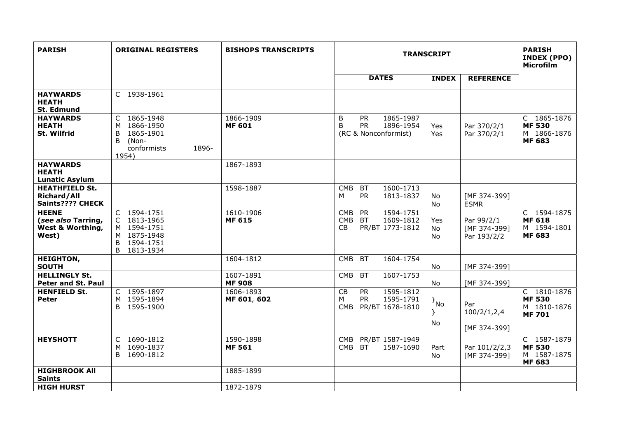| <b>PARISH</b>                                                   | <b>ORIGINAL REGISTERS</b>                                                                      | <b>BISHOPS TRANSCRIPTS</b> | <b>TRANSCRIPT</b>                                                                                     |                                   | <b>PARISH</b><br><b>INDEX (PPO)</b><br><b>Microfilm</b> |                                                              |
|-----------------------------------------------------------------|------------------------------------------------------------------------------------------------|----------------------------|-------------------------------------------------------------------------------------------------------|-----------------------------------|---------------------------------------------------------|--------------------------------------------------------------|
|                                                                 |                                                                                                |                            | <b>DATES</b>                                                                                          | <b>INDEX</b>                      | <b>REFERENCE</b>                                        |                                                              |
| <b>HAYWARDS</b><br><b>HEATH</b><br><b>St. Edmund</b>            | C 1938-1961                                                                                    |                            |                                                                                                       |                                   |                                                         |                                                              |
| <b>HAYWARDS</b><br><b>HEATH</b><br>St. Wilfrid                  | C 1865-1948<br>1866-1950<br>M<br>1865-1901<br>B<br>B<br>(Non-<br>1896-<br>conformists<br>1954) | 1866-1909<br><b>MF 601</b> | 1865-1987<br>B<br><b>PR</b><br><b>PR</b><br>1896-1954<br>B<br>(RC & Nonconformist)                    | Yes<br>Yes                        | Par 370/2/1<br>Par 370/2/1                              | C 1865-1876<br><b>MF530</b><br>M 1866-1876<br><b>MF 683</b>  |
| <b>HAYWARDS</b><br><b>HEATH</b><br><b>Lunatic Asylum</b>        |                                                                                                | 1867-1893                  |                                                                                                       |                                   |                                                         |                                                              |
| <b>HEATHFIELD St.</b><br><b>Richard/All</b><br>Saints???? CHECK |                                                                                                | 1598-1887                  | <b>CMB</b><br>1600-1713<br>BT<br><b>PR</b><br>1813-1837<br>М                                          | No<br>No                          | [MF 374-399]<br><b>ESMR</b>                             |                                                              |
| <b>HEENE</b><br>(see also Tarring,<br>West & Worthing,<br>West) | C 1594-1751<br>C 1813-1965<br>M 1594-1751<br>M 1875-1948<br>1594-1751<br>B<br>B<br>1813-1934   | 1610-1906<br><b>MF 615</b> | 1594-1751<br><b>CMB</b><br><b>PR</b><br><b>CMB</b><br><b>BT</b><br>1609-1812<br>CB<br>PR/BT 1773-1812 | Yes<br>No<br>No                   | Par 99/2/1<br>[MF 374-399]<br>Par 193/2/2               | C 1594-1875<br><b>MF 618</b><br>M 1594-1801<br><b>MF 683</b> |
| <b>HEIGHTON,</b><br><b>SOUTH</b>                                |                                                                                                | 1604-1812                  | <b>CMB</b><br><b>BT</b><br>1604-1754                                                                  | No                                | [MF 374-399]                                            |                                                              |
| <b>HELLINGLY St.</b><br>Peter and St. Paul                      |                                                                                                | 1607-1891<br><b>MF 908</b> | <b>CMB</b><br><b>BT</b><br>1607-1753                                                                  | No                                | [MF 374-399]                                            |                                                              |
| <b>HENFIELD St.</b><br>Peter                                    | C 1595-1897<br>M 1595-1894<br>B 1595-1900                                                      | 1606-1893<br>MF 601, 602   | CB<br><b>PR</b><br>1595-1812<br><b>PR</b><br>М<br>1595-1791<br><b>CMB</b><br>PR/BT 1678-1810          | $\{N_0\}$<br>$\mathcal{F}$<br>No. | Par<br>100/2/1, 2, 4<br>[MF 374-399]                    | C 1810-1876<br><b>MF530</b><br>M 1810-1876<br><b>MF701</b>   |
| <b>HEYSHOTT</b>                                                 | C 1690-1812<br>M 1690-1837<br>1690-1812<br>B.                                                  | 1590-1898<br><b>MF 561</b> | <b>CMB</b><br>PR/BT 1587-1949<br>CMB BT<br>1587-1690                                                  | Part<br><b>No</b>                 | Par 101/2/2,3<br>[MF 374-399]                           | C 1587-1879<br><b>MF 530</b><br>M 1587-1875<br><b>MF 683</b> |
| <b>HIGHBROOK All</b><br><b>Saints</b>                           |                                                                                                | 1885-1899                  |                                                                                                       |                                   |                                                         |                                                              |
| <b>HIGH HURST</b>                                               |                                                                                                | 1872-1879                  |                                                                                                       |                                   |                                                         |                                                              |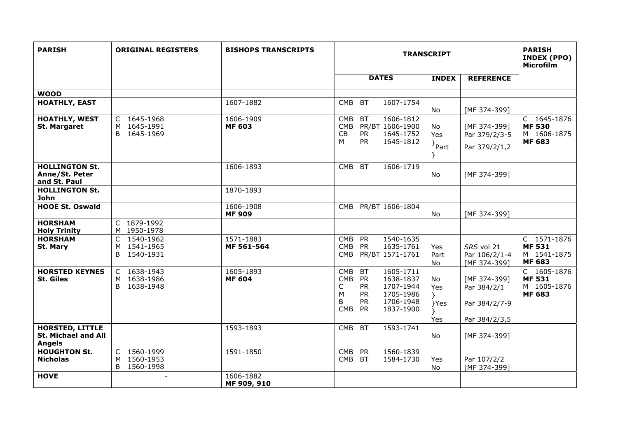| <b>PARISH</b>                                                         | <b>ORIGINAL REGISTERS</b>                           | <b>BISHOPS TRANSCRIPTS</b> | <b>TRANSCRIPT</b>                                                                                                                                                                                                 |                          |                                                | <b>PARISH</b><br><b>INDEX (PPO)</b><br><b>Microfilm</b>      |
|-----------------------------------------------------------------------|-----------------------------------------------------|----------------------------|-------------------------------------------------------------------------------------------------------------------------------------------------------------------------------------------------------------------|--------------------------|------------------------------------------------|--------------------------------------------------------------|
|                                                                       |                                                     |                            | <b>DATES</b>                                                                                                                                                                                                      | <b>INDEX</b>             | <b>REFERENCE</b>                               |                                                              |
| <b>WOOD</b>                                                           |                                                     |                            |                                                                                                                                                                                                                   |                          |                                                |                                                              |
| <b>HOATHLY, EAST</b>                                                  |                                                     | 1607-1882                  | <b>CMB</b><br><b>BT</b><br>1607-1754                                                                                                                                                                              | No                       | [MF 374-399]                                   |                                                              |
| <b>HOATHLY, WEST</b><br><b>St. Margaret</b>                           | C 1645-1968<br>M 1645-1991<br>1645-1969<br>B.       | 1606-1909<br><b>MF 603</b> | 1606-1812<br><b>CMB</b><br><b>BT</b><br><b>CMB</b><br>PR/BT 1606-1900<br>CB<br><b>PR</b><br>1645-1752<br>М<br><b>PR</b><br>1645-1812                                                                              | No<br>Yes<br>$\}$ Part   | [MF 374-399]<br>Par 379/2/3-5<br>Par 379/2/1,2 | C 1645-1876<br><b>MF 530</b><br>M 1606-1875<br><b>MF 683</b> |
| <b>HOLLINGTON St.</b><br>Anne/St. Peter<br>and St. Paul               |                                                     | 1606-1893                  | 1606-1719<br><b>CMB</b><br><b>BT</b>                                                                                                                                                                              | No                       | [MF 374-399]                                   |                                                              |
| <b>HOLLINGTON St.</b><br>John                                         |                                                     | 1870-1893                  |                                                                                                                                                                                                                   |                          |                                                |                                                              |
| <b>HOOE St. Oswald</b>                                                |                                                     | 1606-1908<br><b>MF 909</b> | PR/BT 1606-1804<br><b>CMB</b>                                                                                                                                                                                     | No                       | [MF 374-399]                                   |                                                              |
| <b>HORSHAM</b><br><b>Holy Trinity</b>                                 | C 1879-1992<br>M 1950-1978                          |                            |                                                                                                                                                                                                                   |                          |                                                |                                                              |
| <b>HORSHAM</b><br>St. Mary                                            | C 1540-1962<br>M 1541-1965<br>B 1540-1931           | 1571-1883<br>MF 561-564    | <b>PR</b><br>1540-1635<br><b>CMB</b><br><b>PR</b><br>1635-1761<br><b>CMB</b><br>PR/BT 1571-1761<br><b>CMB</b>                                                                                                     | Yes<br>Part<br><b>No</b> | SRS vol 21<br>Par 106/2/1-4<br>[MF 374-399]    | C 1571-1876<br><b>MF 531</b><br>M 1541-1875<br><b>MF 683</b> |
| <b>HORSTED KEYNES</b><br><b>St. Giles</b>                             | C 1638-1943<br>M 1638-1986<br>1638-1948<br>B.       | 1605-1893<br><b>MF 604</b> | 1605-1711<br><b>CMB</b><br><b>BT</b><br><b>CMB</b><br><b>PR</b><br>1638-1837<br>1707-1944<br><b>PR</b><br>С<br>1705-1986<br>М<br><b>PR</b><br><b>PR</b><br>B<br>1706-1948<br><b>CMB</b><br><b>PR</b><br>1837-1900 | No.<br>Yes<br>Y<br>}Yes  | [MF 374-399]<br>Par 384/2/1<br>Par 384/2/7-9   | C 1605-1876<br><b>MF531</b><br>M 1605-1876<br><b>MF 683</b>  |
| <b>HORSTED, LITTLE</b><br><b>St. Michael and All</b><br><b>Angels</b> |                                                     | 1593-1893                  | 1593-1741<br><b>CMB</b><br><b>BT</b>                                                                                                                                                                              | Yes<br>No                | Par 384/2/3,5<br>[MF 374-399]                  |                                                              |
| <b>HOUGHTON St.</b><br><b>Nicholas</b>                                | 1560-1999<br>C<br>1560-1953<br>M<br>B.<br>1560-1998 | 1591-1850                  | <b>CMB</b><br>PR<br>1560-1839<br>CMB BT<br>1584-1730                                                                                                                                                              | Yes<br>No.               | Par 107/2/2<br>[MF 374-399]                    |                                                              |
| <b>HOVE</b>                                                           | $\overline{a}$                                      | 1606-1882<br>MF 909, 910   |                                                                                                                                                                                                                   |                          |                                                |                                                              |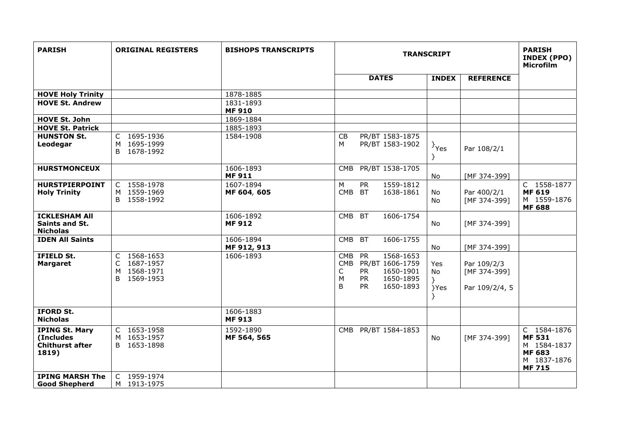| <b>PARISH</b>                                                         | <b>ORIGINAL REGISTERS</b>                                              | <b>BISHOPS TRANSCRIPTS</b> |                                                                                                                                                                    | <b>TRANSCRIPT</b>      |                                               |                                                                                            |  |  |  |  |
|-----------------------------------------------------------------------|------------------------------------------------------------------------|----------------------------|--------------------------------------------------------------------------------------------------------------------------------------------------------------------|------------------------|-----------------------------------------------|--------------------------------------------------------------------------------------------|--|--|--|--|
|                                                                       |                                                                        |                            | <b>DATES</b>                                                                                                                                                       | <b>INDEX</b>           | <b>REFERENCE</b>                              |                                                                                            |  |  |  |  |
| <b>HOVE Holy Trinity</b>                                              |                                                                        | 1878-1885                  |                                                                                                                                                                    |                        |                                               |                                                                                            |  |  |  |  |
| <b>HOVE St. Andrew</b>                                                |                                                                        | 1831-1893<br><b>MF 910</b> |                                                                                                                                                                    |                        |                                               |                                                                                            |  |  |  |  |
| <b>HOVE St. John</b>                                                  |                                                                        | 1869-1884                  |                                                                                                                                                                    |                        |                                               |                                                                                            |  |  |  |  |
| <b>HOVE St. Patrick</b>                                               |                                                                        | 1885-1893                  |                                                                                                                                                                    |                        |                                               |                                                                                            |  |  |  |  |
| <b>HUNSTON St.</b><br>Leodegar                                        | C 1695-1936<br>M 1695-1999<br>1678-1992<br>B.                          | 1584-1908                  | PR/BT 1583-1875<br>CB<br>PR/BT 1583-1902<br>M                                                                                                                      | $\}$ Yes<br>Y          | Par 108/2/1                                   |                                                                                            |  |  |  |  |
| <b>HURSTMONCEUX</b>                                                   |                                                                        | 1606-1893<br><b>MF 911</b> | CMB PR/BT 1538-1705                                                                                                                                                | No                     | [MF 374-399]                                  |                                                                                            |  |  |  |  |
| <b>HURSTPIERPOINT</b><br><b>Holy Trinity</b>                          | C 1558-1978<br>M 1559-1969<br>B 1558-1992                              | 1607-1894<br>MF 604, 605   | 1559-1812<br>M<br><b>PR</b><br>CMB BT<br>1638-1861                                                                                                                 | No<br>No               | Par 400/2/1<br>[MF 374-399]                   | C 1558-1877<br><b>MF 619</b><br>M 1559-1876<br><b>MF 688</b>                               |  |  |  |  |
| <b>ICKLESHAM All</b><br>Saints and St.<br><b>Nicholas</b>             |                                                                        | 1606-1892<br><b>MF912</b>  | <b>CMB</b><br><b>BT</b><br>1606-1754                                                                                                                               | No                     | [MF 374-399]                                  |                                                                                            |  |  |  |  |
| <b>IDEN All Saints</b>                                                |                                                                        | 1606-1894<br>MF 912, 913   | CMB BT<br>1606-1755                                                                                                                                                | No                     | [MF 374-399]                                  |                                                                                            |  |  |  |  |
| IFIELD St.<br><b>Margaret</b>                                         | C 1568-1653<br>1687-1957<br>$\mathsf{C}$<br>M 1568-1971<br>B 1569-1953 | 1606-1893                  | <b>CMB</b><br><b>PR</b><br>1568-1653<br>PR/BT 1606-1759<br><b>CMB</b><br><b>PR</b><br>1650-1901<br>C<br>M<br><b>PR</b><br>1650-1895<br>B<br><b>PR</b><br>1650-1893 | Yes<br>No<br>Y<br>}Yes | Par 109/2/3<br>[MF 374-399]<br>Par 109/2/4, 5 |                                                                                            |  |  |  |  |
| <b>IFORD St.</b><br><b>Nicholas</b>                                   |                                                                        | 1606-1883<br><b>MF 913</b> |                                                                                                                                                                    |                        |                                               |                                                                                            |  |  |  |  |
| <b>IPING St. Mary</b><br>(Includes<br><b>Chithurst after</b><br>1819) | C 1653-1958<br>M 1653-1957<br>B 1653-1898                              | 1592-1890<br>MF 564, 565   | CMB PR/BT 1584-1853                                                                                                                                                | No                     | [MF 374-399]                                  | C 1584-1876<br><b>MF531</b><br>M 1584-1837<br><b>MF 683</b><br>M 1837-1876<br><b>MF715</b> |  |  |  |  |
| <b>IPING MARSH The</b><br><b>Good Shepherd</b>                        | C 1959-1974<br>M 1913-1975                                             |                            |                                                                                                                                                                    |                        |                                               |                                                                                            |  |  |  |  |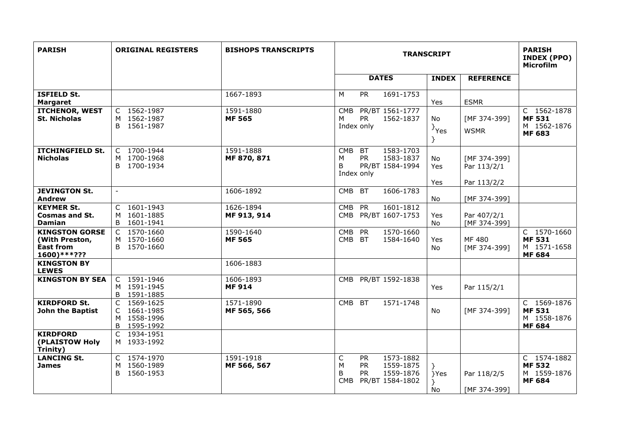| <b>PARISH</b>                                                              | <b>ORIGINAL REGISTERS</b>                                | <b>BISHOPS TRANSCRIPTS</b> | <b>TRANSCRIPT</b>                                                                                             |                         |                                            | <b>PARISH</b><br><b>INDEX (PPO)</b><br><b>Microfilm</b>      |
|----------------------------------------------------------------------------|----------------------------------------------------------|----------------------------|---------------------------------------------------------------------------------------------------------------|-------------------------|--------------------------------------------|--------------------------------------------------------------|
|                                                                            |                                                          |                            | <b>DATES</b>                                                                                                  | <b>INDEX</b>            | <b>REFERENCE</b>                           |                                                              |
| <b>ISFIELD St.</b><br><b>Margaret</b>                                      |                                                          | 1667-1893                  | 1691-1753<br>M<br><b>PR</b>                                                                                   | Yes                     | <b>ESMR</b>                                |                                                              |
| <b>ITCHENOR, WEST</b><br>St. Nicholas                                      | C 1562-1987<br>M 1562-1987<br>B 1561-1987                | 1591-1880<br><b>MF 565</b> | PR/BT 1561-1777<br><b>CMB</b><br><b>PR</b><br>1562-1837<br>M<br>Index only                                    | No<br>$\}$ Yes          | [MF 374-399]<br><b>WSMR</b>                | C 1562-1878<br><b>MF 531</b><br>M 1562-1876<br><b>MF 683</b> |
| <b>ITCHINGFIELD St.</b><br><b>Nicholas</b>                                 | C 1700-1944<br>M 1700-1968<br>B 1700-1934                | 1591-1888<br>MF 870, 871   | <b>BT</b><br>1583-1703<br><b>CMB</b><br><b>PR</b><br>1583-1837<br>M<br>PR/BT 1584-1994<br>B<br>Index only     | <b>No</b><br>Yes<br>Yes | [MF 374-399]<br>Par 113/2/1<br>Par 113/2/2 |                                                              |
| <b>JEVINGTON St.</b><br>Andrew                                             | $\sim$                                                   | 1606-1892                  | CMB<br><b>BT</b><br>1606-1783                                                                                 | No.                     | [MF 374-399]                               |                                                              |
| <b>KEYMER St.</b><br><b>Cosmas and St.</b><br><b>Damian</b>                | C 1601-1943<br>1601-1885<br>M<br>B 1601-1941             | 1626-1894<br>MF 913, 914   | <b>CMB</b><br>PR<br>1601-1812<br>CMB PR/BT 1607-1753                                                          | Yes<br>No.              | Par 407/2/1<br>[MF 374-399]                |                                                              |
| <b>KINGSTON GORSE</b><br>(With Preston,<br><b>East from</b><br>1600)***??? | C 1570-1660<br>M 1570-1660<br>B 1570-1660                | 1590-1640<br><b>MF 565</b> | 1570-1660<br><b>CMB</b><br><b>PR</b><br>CMB BT<br>1584-1640                                                   | Yes<br>No.              | MF 480<br>[MF 374-399]                     | C 1570-1660<br><b>MF 531</b><br>M 1571-1658<br><b>MF 684</b> |
| <b>KINGSTON BY</b><br><b>LEWES</b>                                         |                                                          | 1606-1883                  |                                                                                                               |                         |                                            |                                                              |
| <b>KINGSTON BY SEA</b>                                                     | C 1591-1946<br>M 1591-1945<br>B 1591-1885                | 1606-1893<br><b>MF 914</b> | CMB PR/BT 1592-1838                                                                                           | Yes                     | Par 115/2/1                                |                                                              |
| <b>KIRDFORD St.</b><br>John the Baptist                                    | C 1569-1625<br>C 1661-1985<br>M 1558-1996<br>B 1595-1992 | 1571-1890<br>MF 565, 566   | CMB BT<br>1571-1748                                                                                           | No.                     | [MF 374-399]                               | C 1569-1876<br><b>MF 531</b><br>M 1558-1876<br><b>MF 684</b> |
| <b>KIRDFORD</b><br>(PLAISTOW Holy<br>Trinity)                              | C 1934-1951<br>M 1933-1992                               |                            |                                                                                                               |                         |                                            |                                                              |
| <b>LANCING St.</b><br><b>James</b>                                         | C 1574-1970<br>M 1560-1989<br>B 1560-1953                | 1591-1918<br>MF 566, 567   | C<br>1573-1882<br><b>PR</b><br>M<br><b>PR</b><br>1559-1875<br>B<br>1559-1876<br>PR.<br>PR/BT 1584-1802<br>CMB | }<br>}Yes<br>No         | Par 118/2/5<br>[MF 374-399]                | C 1574-1882<br><b>MF 532</b><br>M 1559-1876<br><b>MF 684</b> |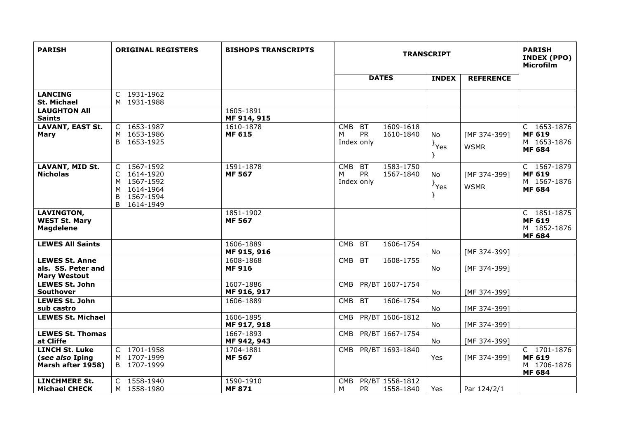| <b>PARISH</b>                                                      | <b>ORIGINAL REGISTERS</b>                                                                                    | <b>BISHOPS TRANSCRIPTS</b> | <b>TRANSCRIPT</b>                                                                 |                         |                             | <b>PARISH</b><br>INDEX (PPO)<br>Microfilm                    |
|--------------------------------------------------------------------|--------------------------------------------------------------------------------------------------------------|----------------------------|-----------------------------------------------------------------------------------|-------------------------|-----------------------------|--------------------------------------------------------------|
|                                                                    |                                                                                                              |                            | <b>DATES</b>                                                                      | <b>INDEX</b>            | <b>REFERENCE</b>            |                                                              |
| <b>LANCING</b><br><b>St. Michael</b>                               | C 1931-1962<br>M 1931-1988                                                                                   |                            |                                                                                   |                         |                             |                                                              |
| <b>LAUGHTON AII</b><br><b>Saints</b>                               |                                                                                                              | 1605-1891<br>MF 914, 915   |                                                                                   |                         |                             |                                                              |
| <b>LAVANT, EAST St.</b><br><b>Mary</b>                             | 1653-1987<br>C.<br>M 1653-1986<br>B 1653-1925                                                                | 1610-1878<br><b>MF 615</b> | 1609-1618<br><b>CMB</b><br><b>BT</b><br><b>PR</b><br>м<br>1610-1840<br>Index only | No<br>$\}$ Yes<br>$\}$  | [MF 374-399]<br><b>WSMR</b> | C 1653-1876<br><b>MF 619</b><br>M 1653-1876<br><b>MF 684</b> |
| <b>LAVANT, MID St.</b><br><b>Nicholas</b>                          | 1567-1592<br>$\mathsf{C}$<br>1614-1920<br>1567-1592<br>M<br>M 1614-1964<br>1567-1594<br>B<br>1614-1949<br>B. | 1591-1878<br><b>MF 567</b> | <b>CMB</b><br><b>BT</b><br>1583-1750<br><b>PR</b><br>М<br>1567-1840<br>Index only | No.<br>$\}$ Yes<br>$\}$ | [MF 374-399]<br><b>WSMR</b> | C 1567-1879<br><b>MF 619</b><br>M 1567-1876<br><b>MF 684</b> |
| <b>LAVINGTON,</b><br><b>WEST St. Mary</b><br><b>Magdelene</b>      |                                                                                                              | 1851-1902<br><b>MF 567</b> |                                                                                   |                         |                             | C 1851-1875<br><b>MF 619</b><br>M 1852-1876<br><b>MF 684</b> |
| <b>LEWES All Saints</b>                                            |                                                                                                              | 1606-1889<br>MF 915, 916   | <b>CMB</b><br><b>BT</b><br>1606-1754                                              | No                      | [MF 374-399]                |                                                              |
| <b>LEWES St. Anne</b><br>als. SS. Peter and<br><b>Mary Westout</b> |                                                                                                              | 1608-1868<br><b>MF 916</b> | <b>CMB</b><br><b>BT</b><br>1608-1755                                              | No                      | [MF 374-399]                |                                                              |
| <b>LEWES St. John</b><br><b>Southover</b>                          |                                                                                                              | 1607-1886<br>MF 916, 917   | PR/BT 1607-1754<br><b>CMB</b>                                                     | <b>No</b>               | [MF 374-399]                |                                                              |
| <b>LEWES St. John</b><br>sub castro                                |                                                                                                              | 1606-1889                  | 1606-1754<br><b>CMB</b><br><b>BT</b>                                              | No.                     | [MF 374-399]                |                                                              |
| <b>LEWES St. Michael</b>                                           |                                                                                                              | 1606-1895<br>MF 917, 918   | PR/BT 1606-1812<br><b>CMB</b>                                                     | <b>No</b>               | [MF 374-399]                |                                                              |
| <b>LEWES St. Thomas</b><br>at Cliffe                               |                                                                                                              | 1667-1893<br>MF 942, 943   | PR/BT 1667-1754<br><b>CMB</b>                                                     | No                      | [MF 374-399]                |                                                              |
| <b>LINCH St. Luke</b><br>(see also Iping<br>Marsh after 1958)      | C 1701-1958<br>M 1707-1999<br>B 1707-1999                                                                    | 1704-1881<br><b>MF 567</b> | PR/BT 1693-1840<br><b>CMB</b>                                                     | Yes                     | [MF 374-399]                | C 1701-1876<br><b>MF 619</b><br>M 1706-1876<br><b>MF 684</b> |
| <b>LINCHMERE St.</b><br><b>Michael CHECK</b>                       | C 1558-1940<br>M 1558-1980                                                                                   | 1590-1910<br><b>MF 871</b> | PR/BT 1558-1812<br><b>CMB</b><br>М<br><b>PR</b><br>1558-1840                      | Yes                     | Par 124/2/1                 |                                                              |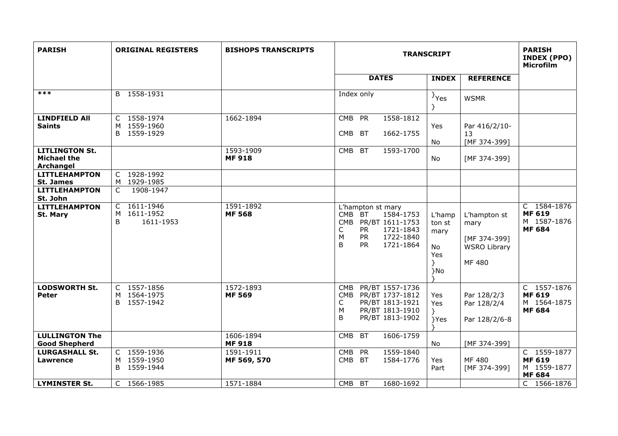| <b>PARISH</b>                                            | <b>ORIGINAL REGISTERS</b>                          | <b>BISHOPS TRANSCRIPTS</b> |                                                                                                                                                                                         | <b>TRANSCRIPT</b>                                 |                                                                       |                                                              |
|----------------------------------------------------------|----------------------------------------------------|----------------------------|-----------------------------------------------------------------------------------------------------------------------------------------------------------------------------------------|---------------------------------------------------|-----------------------------------------------------------------------|--------------------------------------------------------------|
|                                                          |                                                    |                            | <b>DATES</b>                                                                                                                                                                            | <b>INDEX</b>                                      | <b>REFERENCE</b>                                                      |                                                              |
| $***$                                                    | B 1558-1931                                        |                            | Index only                                                                                                                                                                              | <sup>}</sup> Yes                                  | <b>WSMR</b>                                                           |                                                              |
| <b>LINDFIELD All</b><br><b>Saints</b>                    | C 1558-1974<br>M 1559-1960<br>B 1559-1929          | 1662-1894                  | CMB PR<br>1558-1812<br><b>BT</b><br><b>CMB</b><br>1662-1755                                                                                                                             | Yes<br>No                                         | Par 416/2/10-<br>13<br>[MF 374-399]                                   |                                                              |
| <b>LITLINGTON St.</b><br><b>Michael the</b><br>Archangel |                                                    | 1593-1909<br><b>MF918</b>  | CMB<br><b>BT</b><br>1593-1700                                                                                                                                                           | No                                                | [MF 374-399]                                                          |                                                              |
| <b>LITTLEHAMPTON</b><br><b>St. James</b>                 | C 1928-1992<br>M 1929-1985                         |                            |                                                                                                                                                                                         |                                                   |                                                                       |                                                              |
| <b>LITTLEHAMPTON</b><br>St. John                         | 1908-1947<br>C                                     |                            |                                                                                                                                                                                         |                                                   |                                                                       |                                                              |
| <b>LITTLEHAMPTON</b><br>St. Mary                         | 1611-1946<br>C<br>1611-1952<br>M<br>B<br>1611-1953 | 1591-1892<br><b>MF 568</b> | L'hampton st mary<br><b>CMB</b><br><b>BT</b><br>1584-1753<br><b>CMB</b><br>PR/BT 1611-1753<br><b>PR</b><br>С<br>1721-1843<br>M<br><b>PR</b><br>1722-1840<br>B<br><b>PR</b><br>1721-1864 | L'hamp<br>ton st<br>mary<br>No<br>Yes<br>Y<br>}No | L'hampton st<br>mary<br>[MF 374-399]<br><b>WSRO Library</b><br>MF 480 | C 1584-1876<br><b>MF 619</b><br>M 1587-1876<br><b>MF 684</b> |
| <b>LODSWORTH St.</b><br>Peter                            | C 1557-1856<br>M 1564-1975<br>B 1557-1942          | 1572-1893<br><b>MF 569</b> | PR/BT 1557-1736<br><b>CMB</b><br>CMB PR/BT 1737-1812<br>PR/BT 1813-1921<br>C<br>M<br>PR/BT 1813-1910<br>B<br>PR/BT 1813-1902                                                            | Yes<br>Yes<br>Y<br>}Yes                           | Par 128/2/3<br>Par 128/2/4<br>Par 128/2/6-8                           | C 1557-1876<br><b>MF 619</b><br>M 1564-1875<br><b>MF 684</b> |
| <b>LULLINGTON The</b><br><b>Good Shepherd</b>            |                                                    | 1606-1894<br><b>MF918</b>  | <b>CMB</b><br><b>BT</b><br>1606-1759                                                                                                                                                    | No                                                | [MF 374-399]                                                          |                                                              |
| <b>LURGASHALL St.</b><br><b>Lawrence</b>                 | C 1559-1936<br>M 1559-1950<br>B 1559-1944          | 1591-1911<br>MF 569, 570   | 1559-1840<br><b>CMB</b><br><b>PR</b><br>1584-1776<br><b>CMB</b><br><b>BT</b>                                                                                                            | Yes<br>Part                                       | MF 480<br>[MF 374-399]                                                | C 1559-1877<br><b>MF 619</b><br>M 1559-1877<br><b>MF 684</b> |
| <b>LYMINSTER St.</b>                                     | C 1566-1985                                        | 1571-1884                  | <b>CMB</b><br><b>BT</b><br>1680-1692                                                                                                                                                    |                                                   |                                                                       | C 1566-1876                                                  |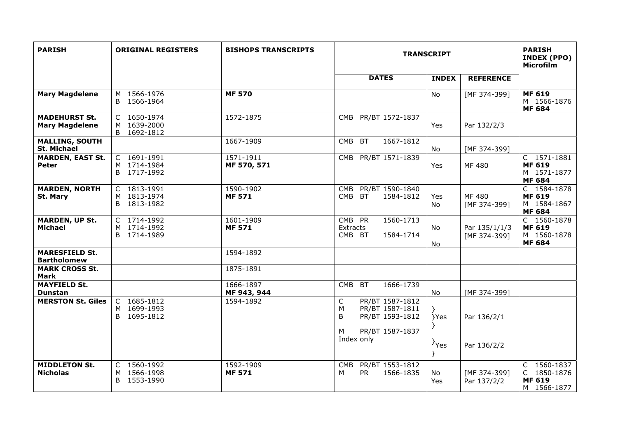| <b>PARISH</b>                                 | <b>ORIGINAL REGISTERS</b>                        | <b>BISHOPS TRANSCRIPTS</b> | <b>TRANSCRIPT</b>                                                                                       |                       |                               | <b>PARISH</b><br><b>INDEX (PPO)</b><br><b>Microfilm</b>           |
|-----------------------------------------------|--------------------------------------------------|----------------------------|---------------------------------------------------------------------------------------------------------|-----------------------|-------------------------------|-------------------------------------------------------------------|
|                                               |                                                  |                            | <b>DATES</b>                                                                                            | <b>INDEX</b>          | <b>REFERENCE</b>              |                                                                   |
| <b>Mary Magdelene</b>                         | 1566-1976<br>м<br>1566-1964<br>B.                | <b>MF 570</b>              |                                                                                                         | No                    | [MF 374-399]                  | <b>MF 619</b><br>M 1566-1876<br><b>MF 684</b>                     |
| <b>MADEHURST St.</b><br><b>Mary Magdelene</b> | C<br>1650-1974<br>1639-2000<br>M<br>B 1692-1812  | 1572-1875                  | PR/BT 1572-1837<br>CMB                                                                                  | Yes                   | Par 132/2/3                   |                                                                   |
| <b>MALLING, SOUTH</b><br><b>St. Michael</b>   |                                                  | 1667-1909                  | 1667-1812<br><b>BT</b><br>CMB                                                                           | No                    | [MF 374-399]                  |                                                                   |
| <b>MARDEN, EAST St.</b><br><b>Peter</b>       | C 1691-1991<br>M 1714-1984<br>B 1717-1992        | 1571-1911<br>MF 570, 571   | CMB PR/BT 1571-1839                                                                                     | Yes                   | MF 480                        | C 1571-1881<br><b>MF 619</b><br>M 1571-1877<br><b>MF 684</b>      |
| <b>MARDEN, NORTH</b><br>St. Mary              | C 1813-1991<br>1813-1974<br>м<br>1813-1982<br>B. | 1590-1902<br><b>MF 571</b> | PR/BT 1590-1840<br><b>CMB</b><br>CMB<br>BT.<br>1584-1812                                                | Yes<br>No.            | MF 480<br>[MF 374-399]        | C 1584-1878<br><b>MF 619</b><br>M 1584-1867<br><b>MF 684</b>      |
| <b>MARDEN, UP St.</b><br><b>Michael</b>       | C 1714-1992<br>M 1714-1992<br>B 1714-1989        | 1601-1909<br><b>MF 571</b> | CMB PR<br>1560-1713<br>Extracts<br>CMB BT<br>1584-1714                                                  | No.<br>No.            | Par 135/1/1/3<br>[MF 374-399] | C 1560-1878<br><b>MF 619</b><br>M 1560-1878<br><b>MF 684</b>      |
| <b>MARESFIELD St.</b><br><b>Bartholomew</b>   |                                                  | 1594-1892                  |                                                                                                         |                       |                               |                                                                   |
| <b>MARK CROSS St.</b><br><b>Mark</b>          |                                                  | 1875-1891                  |                                                                                                         |                       |                               |                                                                   |
| <b>MAYFIELD St.</b><br><b>Dunstan</b>         |                                                  | 1666-1897<br>MF 943, 944   | 1666-1739<br><b>CMB</b><br><b>BT</b>                                                                    | No                    | [MF 374-399]                  |                                                                   |
| <b>MERSTON St. Giles</b>                      | C 1685-1812<br>M 1699-1993<br>B 1695-1812        | 1594-1892                  | $\mathsf{C}$<br>PR/BT 1587-1812<br>PR/BT 1587-1811<br>M<br>B<br>PR/BT 1593-1812<br>PR/BT 1587-1837<br>М | }Yes                  | Par 136/2/1                   |                                                                   |
|                                               |                                                  |                            | Index only                                                                                              | <sup>}</sup> Yes<br>Y | Par 136/2/2                   |                                                                   |
| <b>MIDDLETON St.</b><br><b>Nicholas</b>       | C 1560-1992<br>1566-1998<br>м<br>B 1553-1990     | 1592-1909<br><b>MF 571</b> | PR/BT 1553-1812<br><b>CMB</b><br>м<br><b>PR</b><br>1566-1835                                            | No<br>Yes             | [MF 374-399]<br>Par 137/2/2   | 1560-1837<br>C<br>C.<br>1850-1876<br><b>MF 619</b><br>M 1566-1877 |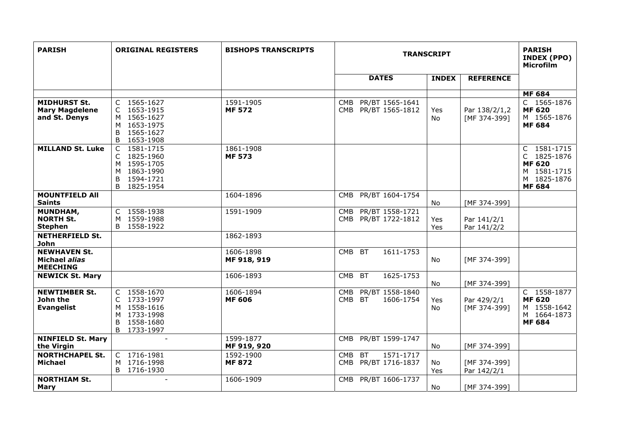| <b>PARISH</b>                                                 | <b>ORIGINAL REGISTERS</b>                                                                                  | <b>BISHOPS TRANSCRIPTS</b> | <b>TRANSCRIPT</b>                                           |              |                               | <b>PARISH</b><br><b>INDEX (PPO)</b><br><b>Microfilm</b>                                    |
|---------------------------------------------------------------|------------------------------------------------------------------------------------------------------------|----------------------------|-------------------------------------------------------------|--------------|-------------------------------|--------------------------------------------------------------------------------------------|
|                                                               |                                                                                                            |                            | <b>DATES</b>                                                | <b>INDEX</b> | <b>REFERENCE</b>              |                                                                                            |
|                                                               |                                                                                                            |                            |                                                             |              |                               | <b>MF 684</b>                                                                              |
| <b>MIDHURST St.</b><br><b>Mary Magdelene</b><br>and St. Denys | C 1565-1627<br>C 1653-1915<br>M 1565-1627<br>M 1653-1975<br>1565-1627<br>B<br>1653-1908<br>B               | 1591-1905<br><b>MF 572</b> | PR/BT 1565-1641<br>CMB<br>CMB PR/BT 1565-1812               | Yes<br>No    | Par 138/2/1,2<br>[MF 374-399] | C 1565-1876<br><b>MF 620</b><br>M 1565-1876<br><b>MF 684</b>                               |
| <b>MILLAND St. Luke</b>                                       | 1581-1715<br>$\mathsf{C}$<br>C 1825-1960<br>M 1595-1705<br>M 1863-1990<br>B<br>1594-1721<br>B<br>1825-1954 | 1861-1908<br><b>MF 573</b> |                                                             |              |                               | C 1581-1715<br>C 1825-1876<br><b>MF 620</b><br>M 1581-1715<br>M 1825-1876<br><b>MF 684</b> |
| <b>MOUNTFIELD All</b><br><b>Saints</b>                        |                                                                                                            | 1604-1896                  | PR/BT 1604-1754<br>CMB                                      | No           | [MF 374-399]                  |                                                                                            |
| MUNDHAM,<br><b>NORTH St.</b><br><b>Stephen</b>                | C 1558-1938<br>1559-1988<br>M<br>B<br>1558-1922                                                            | 1591-1909                  | PR/BT 1558-1721<br>CMB<br>CMB PR/BT 1722-1812               | Yes<br>Yes   | Par 141/2/1<br>Par 141/2/2    |                                                                                            |
| <b>NETHERFIELD St.</b><br><b>John</b>                         |                                                                                                            | 1862-1893                  |                                                             |              |                               |                                                                                            |
| <b>NEWHAVEN St.</b><br>Michael alias<br><b>MEECHING</b>       |                                                                                                            | 1606-1898<br>MF 918, 919   | <b>CMB</b><br><b>BT</b><br>1611-1753                        | No           | [MF 374-399]                  |                                                                                            |
| <b>NEWICK St. Mary</b>                                        |                                                                                                            | 1606-1893                  | 1625-1753<br><b>CMB</b><br><b>BT</b>                        | <b>No</b>    | [MF 374-399]                  |                                                                                            |
| <b>NEWTIMBER St.</b><br>John the<br><b>Evangelist</b>         | C 1558-1670<br>C 1733-1997<br>M 1558-1616<br>M 1733-1998<br>B<br>1558-1680<br>B 1733-1997                  | 1606-1894<br><b>MF 606</b> | PR/BT 1558-1840<br><b>CMB</b><br>CMB BT<br>1606-1754        | Yes<br>No    | Par 429/2/1<br>[MF 374-399]   | C 1558-1877<br><b>MF 620</b><br>M 1558-1642<br>M 1664-1873<br><b>MF 684</b>                |
| <b>NINFIELD St. Mary</b><br>the Virgin                        | $\overline{\phantom{a}}$                                                                                   | 1599-1877<br>MF 919, 920   | PR/BT 1599-1747<br><b>CMB</b>                               | No           | [MF 374-399]                  |                                                                                            |
| <b>NORTHCHAPEL St.</b><br><b>Michael</b>                      | C 1716-1981<br>1716-1998<br>M<br>B 1716-1930                                                               | 1592-1900<br><b>MF 872</b> | <b>BT</b><br>1571-1717<br><b>CMB</b><br>CMB PR/BT 1716-1837 | No<br>Yes    | [MF 374-399]<br>Par 142/2/1   |                                                                                            |
| <b>NORTHIAM St.</b><br>Mary                                   |                                                                                                            | 1606-1909                  | CMB PR/BT 1606-1737                                         | No           | [MF 374-399]                  |                                                                                            |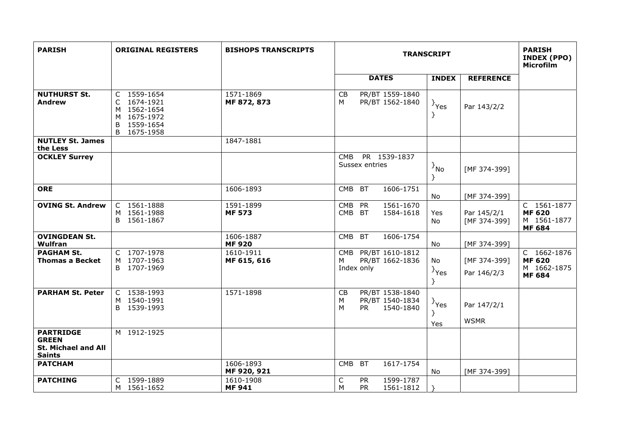| <b>PARISH</b>                                                            | <b>ORIGINAL REGISTERS</b>                                                                 | <b>BISHOPS TRANSCRIPTS</b> |                                                                              | <b>TRANSCRIPT</b>                                             | <b>PARISH</b><br><b>INDEX (PPO)</b><br><b>Microfilm</b>      |
|--------------------------------------------------------------------------|-------------------------------------------------------------------------------------------|----------------------------|------------------------------------------------------------------------------|---------------------------------------------------------------|--------------------------------------------------------------|
|                                                                          |                                                                                           |                            | <b>DATES</b>                                                                 | <b>INDEX</b><br><b>REFERENCE</b>                              |                                                              |
| <b>NUTHURST St.</b><br><b>Andrew</b>                                     | C 1559-1654<br>C 1674-1921<br>M 1562-1654<br>M 1675-1972<br>1559-1654<br>B<br>B 1675-1958 | 1571-1869<br>MF 872, 873   | CB<br>PR/BT 1559-1840<br>M<br>PR/BT 1562-1840                                | $\}$ Yes<br>Par 143/2/2<br>ł                                  |                                                              |
| <b>NUTLEY St. James</b><br>the Less                                      |                                                                                           | 1847-1881                  |                                                                              |                                                               |                                                              |
| <b>OCKLEY Surrey</b>                                                     |                                                                                           |                            | PR 1539-1837<br><b>CMB</b><br>Sussex entries                                 | $\{N_{\rm 10}\}$<br>[MF 374-399]<br>ł                         |                                                              |
| <b>ORE</b>                                                               |                                                                                           | 1606-1893                  | CMB BT<br>1606-1751                                                          | [MF 374-399]<br>No                                            |                                                              |
| <b>OVING St. Andrew</b>                                                  | C 1561-1888<br>M 1561-1988<br>B 1561-1867                                                 | 1591-1899<br><b>MF 573</b> | 1561-1670<br><b>CMB</b><br>PR<br>CMB BT<br>1584-1618                         | Yes<br>Par 145/2/1<br>[MF 374-399]<br>No.                     | C 1561-1877<br><b>MF 620</b><br>M 1561-1877<br><b>MF 684</b> |
| <b>OVINGDEAN St.</b><br>Wulfran                                          |                                                                                           | 1606-1887<br><b>MF920</b>  | <b>CMB</b><br><b>BT</b><br>1606-1754                                         | No<br>[MF 374-399]                                            |                                                              |
| <b>PAGHAM St.</b><br><b>Thomas a Becket</b>                              | C 1707-1978<br>M 1707-1963<br>B 1707-1969                                                 | 1610-1911<br>MF 615, 616   | CMB PR/BT 1610-1812<br>М<br>PR/BT 1662-1836<br>Index only                    | No<br>[MF 374-399]<br>$\rightarrow$ Yes<br>Par 146/2/3        | C 1662-1876<br><b>MF 620</b><br>M 1662-1875<br><b>MF 684</b> |
| <b>PARHAM St. Peter</b>                                                  | C 1538-1993<br>M 1540-1991<br>B 1539-1993                                                 | 1571-1898                  | CB<br>PR/BT 1538-1840<br>PR/BT 1540-1834<br>м<br>M<br><b>PR</b><br>1540-1840 | $\{y_{\text{es}}\}$<br>Par 147/2/1<br>ŀ<br><b>WSMR</b><br>Yes |                                                              |
| <b>PARTRIDGE</b><br><b>GREEN</b><br>St. Michael and All<br><b>Saints</b> | M 1912-1925                                                                               |                            |                                                                              |                                                               |                                                              |
| <b>PATCHAM</b>                                                           |                                                                                           | 1606-1893<br>MF 920, 921   | 1617-1754<br>CMB BT                                                          | [MF 374-399]<br>No                                            |                                                              |
| <b>PATCHING</b>                                                          | C 1599-1889<br>M 1561-1652                                                                | 1610-1908<br><b>MF 941</b> | $\mathsf C$<br>1599-1787<br><b>PR</b><br><b>PR</b><br>M<br>1561-1812         |                                                               |                                                              |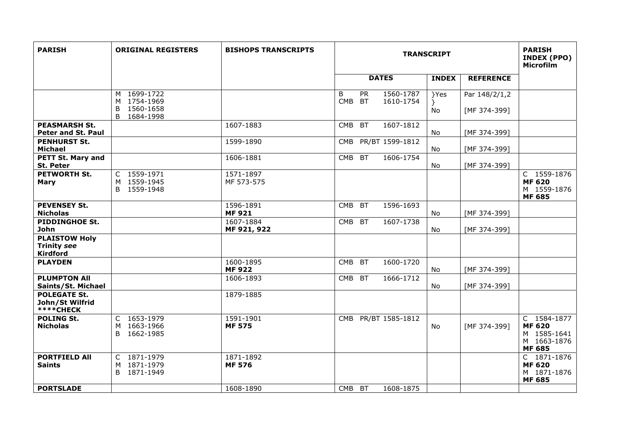| <b>PARISH</b>                                                 | <b>ORIGINAL REGISTERS</b>                                      | <b>BISHOPS TRANSCRIPTS</b> |                                           | <b>TRANSCRIPT</b>      |                  |                               | <b>PARISH</b><br><b>INDEX (PPO)</b><br>Microfilm                            |
|---------------------------------------------------------------|----------------------------------------------------------------|----------------------------|-------------------------------------------|------------------------|------------------|-------------------------------|-----------------------------------------------------------------------------|
|                                                               |                                                                |                            | <b>DATES</b>                              |                        | <b>INDEX</b>     | <b>REFERENCE</b>              |                                                                             |
|                                                               | M 1699-1722<br>M 1754-1969<br>B<br>1560-1658<br>1684-1998<br>B |                            | B<br><b>PR</b><br><b>CMB</b><br><b>BT</b> | 1560-1787<br>1610-1754 | }Yes<br>}<br>No. | Par 148/2/1,2<br>[MF 374-399] |                                                                             |
| <b>PEASMARSH St.</b><br>Peter and St. Paul                    |                                                                | 1607-1883                  | <b>BT</b><br><b>CMB</b>                   | 1607-1812              | No               | [MF 374-399]                  |                                                                             |
| <b>PENHURST St.</b><br><b>Michael</b>                         |                                                                | 1599-1890                  | <b>CMB</b>                                | PR/BT 1599-1812        | No               | [MF 374-399]                  |                                                                             |
| <b>PETT St. Mary and</b><br><b>St. Peter</b>                  |                                                                | 1606-1881                  | CMB BT                                    | 1606-1754              | No.              | [MF 374-399]                  |                                                                             |
| <b>PETWORTH St.</b><br><b>Mary</b>                            | C 1559-1971<br>M 1559-1945<br>B 1559-1948                      | 1571-1897<br>MF 573-575    |                                           |                        |                  |                               | C 1559-1876<br><b>MF 620</b><br>M 1559-1876<br><b>MF 685</b>                |
| <b>PEVENSEY St.</b><br><b>Nicholas</b>                        |                                                                | 1596-1891<br><b>MF921</b>  | <b>CMB</b><br><b>BT</b>                   | 1596-1693              | No               | [MF 374-399]                  |                                                                             |
| <b>PIDDINGHOE St.</b><br>John                                 |                                                                | 1607-1884<br>MF 921, 922   | CMB BT                                    | 1607-1738              | No               | [MF 374-399]                  |                                                                             |
| <b>PLAISTOW Holy</b><br><b>Trinity see</b><br><b>Kirdford</b> |                                                                |                            |                                           |                        |                  |                               |                                                                             |
| <b>PLAYDEN</b>                                                |                                                                | 1600-1895<br><b>MF922</b>  | <b>CMB</b><br><b>BT</b>                   | 1600-1720              | No.              | [MF 374-399]                  |                                                                             |
| <b>PLUMPTON AII</b><br>Saints/St. Michael                     |                                                                | 1606-1893                  | <b>BT</b><br><b>CMB</b>                   | 1666-1712              | No               | [MF 374-399]                  |                                                                             |
| <b>POLEGATE St.</b><br>John/St Wilfrid<br><b>****CHECK</b>    |                                                                | 1879-1885                  |                                           |                        |                  |                               |                                                                             |
| <b>POLING St.</b><br><b>Nicholas</b>                          | C 1653-1979<br>M 1663-1966<br>B 1662-1985                      | 1591-1901<br><b>MF 575</b> | CMB PR/BT 1585-1812                       |                        | No.              | [MF 374-399]                  | C 1584-1877<br><b>MF 620</b><br>M 1585-1641<br>M 1663-1876<br><b>MF 685</b> |
| <b>PORTFIELD All</b><br><b>Saints</b>                         | C 1871-1979<br>1871-1979<br>м<br>1871-1949<br>B                | 1871-1892<br><b>MF 576</b> |                                           |                        |                  |                               | C 1871-1876<br><b>MF 620</b><br>M 1871-1876<br><b>MF 685</b>                |
| <b>PORTSLADE</b>                                              |                                                                | 1608-1890                  | CMB BT                                    | 1608-1875              |                  |                               |                                                                             |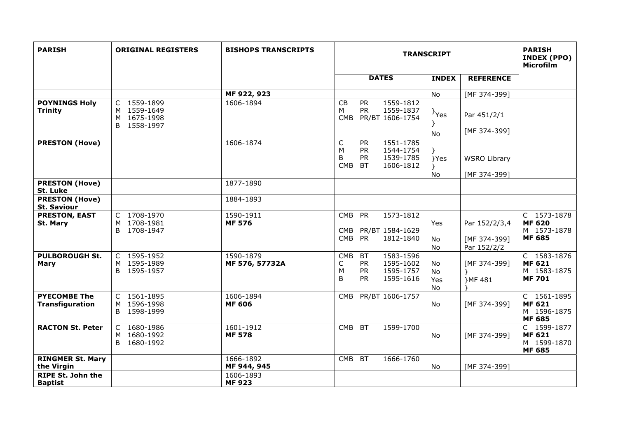| <b>PARISH</b>                               | <b>ORIGINAL REGISTERS</b>                                   | <b>BISHOPS TRANSCRIPTS</b>  | <b>TRANSCRIPT</b>                                                                                                                 |                              |                                              | <b>PARISH</b><br>INDEX (PPO)<br><b>Microfilm</b>             |
|---------------------------------------------|-------------------------------------------------------------|-----------------------------|-----------------------------------------------------------------------------------------------------------------------------------|------------------------------|----------------------------------------------|--------------------------------------------------------------|
|                                             |                                                             |                             | <b>DATES</b>                                                                                                                      | <b>INDEX</b>                 | <b>REFERENCE</b>                             |                                                              |
|                                             |                                                             | MF 922, 923                 |                                                                                                                                   | No                           | [MF 374-399]                                 |                                                              |
| <b>POYNINGS Holy</b><br><b>Trinity</b>      | C 1559-1899<br>1559-1649<br>M<br>M 1675-1998<br>B 1558-1997 | 1606-1894                   | 1559-1812<br>CB<br><b>PR</b><br><b>PR</b><br>1559-1837<br>м<br><b>CMB</b><br>PR/BT 1606-1754                                      | <sup>}</sup> Yes<br>No       | Par 451/2/1<br>[MF 374-399]                  |                                                              |
| <b>PRESTON (Hove)</b>                       |                                                             | 1606-1874                   | C<br>1551-1785<br><b>PR</b><br>M<br><b>PR</b><br>1544-1754<br><b>PR</b><br>1539-1785<br>B<br><b>CMB</b><br><b>BT</b><br>1606-1812 | }Yes<br>Y<br>No              | <b>WSRO Library</b><br>[MF 374-399]          |                                                              |
| <b>PRESTON (Hove)</b><br>St. Luke           |                                                             | 1877-1890                   |                                                                                                                                   |                              |                                              |                                                              |
| <b>PRESTON (Hove)</b><br><b>St. Saviour</b> |                                                             | 1884-1893                   |                                                                                                                                   |                              |                                              |                                                              |
| <b>PRESTON, EAST</b><br>St. Mary            | C 1708-1970<br>M 1708-1981<br>B 1708-1947                   | 1590-1911<br><b>MF 576</b>  | <b>CMB</b><br>PR<br>1573-1812<br>PR/BT 1584-1629<br>CMB<br>CMB PR<br>1812-1840                                                    | Yes<br>No<br>No              | Par 152/2/3,4<br>[MF 374-399]<br>Par 152/2/2 | C 1573-1878<br><b>MF 620</b><br>M 1573-1878<br><b>MF 685</b> |
| <b>PULBOROUGH St.</b><br><b>Mary</b>        | C 1595-1952<br>M 1595-1989<br>B.<br>1595-1957               | 1590-1879<br>MF 576, 57732A | 1583-1596<br><b>CMB</b><br><b>BT</b><br>1595-1602<br><b>PR</b><br>С<br><b>PR</b><br>1595-1757<br>М<br><b>PR</b><br>B<br>1595-1616 | <b>No</b><br>No<br>Yes<br>No | [MF 374-399]<br>}MF 481                      | C 1583-1876<br><b>MF 621</b><br>M 1583-1875<br><b>MF701</b>  |
| <b>PYECOMBE The</b><br>Transfiguration      | C 1561-1895<br>1596-1998<br>M<br>B 1598-1999                | 1606-1894<br><b>MF 606</b>  | PR/BT 1606-1757<br><b>CMB</b>                                                                                                     | No                           | [MF 374-399]                                 | C 1561-1895<br><b>MF 621</b><br>M 1596-1875<br><b>MF 685</b> |
| <b>RACTON St. Peter</b>                     | C 1680-1986<br>M 1680-1992<br>B 1680-1992                   | 1601-1912<br><b>MF 578</b>  | <b>CMB</b><br><b>BT</b><br>1599-1700                                                                                              | No                           | [MF 374-399]                                 | C 1599-1877<br><b>MF 621</b><br>M 1599-1870<br><b>MF 685</b> |
| <b>RINGMER St. Mary</b><br>the Virgin       |                                                             | 1666-1892<br>MF 944, 945    | <b>CMB</b><br><b>BT</b><br>1666-1760                                                                                              | No                           | [MF 374-399]                                 |                                                              |
| <b>RIPE St. John the</b><br><b>Baptist</b>  |                                                             | 1606-1893<br><b>MF923</b>   |                                                                                                                                   |                              |                                              |                                                              |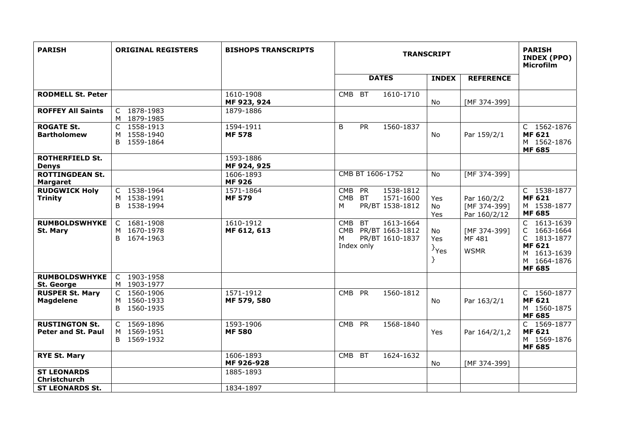| <b>PARISH</b>                                      | <b>ORIGINAL REGISTERS</b>                        | <b>BISHOPS TRANSCRIPTS</b> | <b>TRANSCRIPT</b>                                                                                 |                                |                                             | <b>PARISH</b><br><b>INDEX (PPO)</b><br><b>Microfilm</b>                                                   |
|----------------------------------------------------|--------------------------------------------------|----------------------------|---------------------------------------------------------------------------------------------------|--------------------------------|---------------------------------------------|-----------------------------------------------------------------------------------------------------------|
|                                                    |                                                  |                            | <b>DATES</b>                                                                                      | <b>INDEX</b>                   | <b>REFERENCE</b>                            |                                                                                                           |
| <b>RODMELL St. Peter</b>                           |                                                  | 1610-1908<br>MF 923, 924   | CMB BT<br>1610-1710                                                                               | No                             | [MF 374-399]                                |                                                                                                           |
| <b>ROFFEY All Saints</b>                           | C 1878-1983<br>M 1879-1985                       | 1879-1886                  |                                                                                                   |                                |                                             |                                                                                                           |
| <b>ROGATE St.</b><br><b>Bartholomew</b>            | 1558-1913<br>C<br>M 1558-1940<br>B 1559-1864     | 1594-1911<br><b>MF 578</b> | B<br><b>PR</b><br>1560-1837                                                                       | No                             | Par 159/2/1                                 | C 1562-1876<br><b>MF 621</b><br>M 1562-1876<br><b>MF 685</b>                                              |
| <b>ROTHERFIELD St.</b><br><b>Denys</b>             |                                                  | 1593-1886<br>MF 924, 925   |                                                                                                   |                                |                                             |                                                                                                           |
| <b>ROTTINGDEAN St.</b><br><b>Margaret</b>          |                                                  | 1606-1893<br><b>MF926</b>  | CMB BT 1606-1752                                                                                  | No                             | [MF 374-399]                                |                                                                                                           |
| <b>RUDGWICK Holy</b><br><b>Trinity</b>             | C 1538-1964<br>M 1538-1991<br>1538-1994<br>B     | 1571-1864<br><b>MF 579</b> | 1538-1812<br><b>CMB</b><br><b>PR</b><br>CMB BT<br>1571-1600<br>PR/BT 1538-1812<br>м               | Yes<br>No<br>Yes               | Par 160/2/2<br>[MF 374-399]<br>Par 160/2/12 | C 1538-1877<br><b>MF 621</b><br>M 1538-1877<br><b>MF 685</b>                                              |
| <b>RUMBOLDSWHYKE</b><br>St. Mary                   | 1681-1908<br>C<br>M 1670-1978<br>1674-1963<br>B. | 1610-1912<br>MF 612, 613   | 1613-1664<br><b>BT</b><br><b>CMB</b><br>CMB PR/BT 1663-1812<br>PR/BT 1610-1837<br>м<br>Index only | No.<br>Yes<br>} <sub>Yes</sub> | [MF 374-399]<br>MF 481<br><b>WSMR</b>       | C 1613-1639<br>C 1663-1664<br>C 1813-1877<br><b>MF 621</b><br>M 1613-1639<br>M 1664-1876<br><b>MF 685</b> |
| <b>RUMBOLDSWHYKE</b><br>St. George                 | $\mathsf{C}$<br>1903-1958<br>M 1903-1977         |                            |                                                                                                   |                                |                                             |                                                                                                           |
| <b>RUSPER St. Mary</b><br><b>Magdelene</b>         | C 1560-1906<br>M 1560-1933<br>B 1560-1935        | 1571-1912<br>MF 579, 580   | <b>CMB</b><br><b>PR</b><br>1560-1812                                                              | No                             | Par 163/2/1                                 | C 1560-1877<br><b>MF 621</b><br>M 1560-1875<br><b>MF 685</b>                                              |
| <b>RUSTINGTON St.</b><br><b>Peter and St. Paul</b> | C 1569-1896<br>M 1569-1951<br>B 1569-1932        | 1593-1906<br><b>MF 580</b> | CMB PR<br>1568-1840                                                                               | Yes                            | Par 164/2/1,2                               | C 1569-1877<br><b>MF 621</b><br>M 1569-1876<br><b>MF 685</b>                                              |
| <b>RYE St. Mary</b>                                |                                                  | 1606-1893<br>MF 926-928    | <b>CMB</b><br><b>BT</b><br>1624-1632                                                              | No                             | [MF 374-399]                                |                                                                                                           |
| <b>ST LEONARDS</b><br>Christchurch                 |                                                  | 1885-1893                  |                                                                                                   |                                |                                             |                                                                                                           |
| <b>ST LEONARDS St.</b>                             |                                                  | 1834-1897                  |                                                                                                   |                                |                                             |                                                                                                           |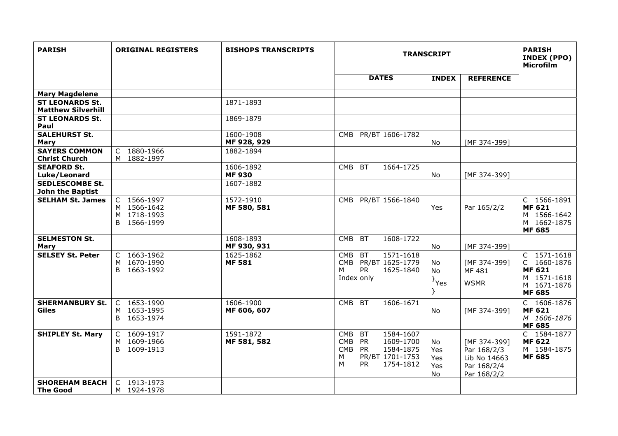| <b>PARISH</b>                                       | <b>ORIGINAL REGISTERS</b>                                | <b>BISHOPS TRANSCRIPTS</b> | <b>TRANSCRIPT</b>                                                                                                                                          |                                |                                                                           | <b>PARISH</b><br>INDEX (PPO)<br>Microfilm                                                  |
|-----------------------------------------------------|----------------------------------------------------------|----------------------------|------------------------------------------------------------------------------------------------------------------------------------------------------------|--------------------------------|---------------------------------------------------------------------------|--------------------------------------------------------------------------------------------|
|                                                     |                                                          |                            | <b>DATES</b>                                                                                                                                               | <b>INDEX</b>                   | <b>REFERENCE</b>                                                          |                                                                                            |
| <b>Mary Magdelene</b>                               |                                                          |                            |                                                                                                                                                            |                                |                                                                           |                                                                                            |
| <b>ST LEONARDS St.</b><br><b>Matthew Silverhill</b> |                                                          | 1871-1893                  |                                                                                                                                                            |                                |                                                                           |                                                                                            |
| <b>ST LEONARDS St.</b><br>Paul                      |                                                          | 1869-1879                  |                                                                                                                                                            |                                |                                                                           |                                                                                            |
| <b>SALEHURST St.</b><br>Mary                        |                                                          | 1600-1908<br>MF 928, 929   | CMB PR/BT 1606-1782                                                                                                                                        | No                             | [MF 374-399]                                                              |                                                                                            |
| <b>SAYERS COMMON</b><br><b>Christ Church</b>        | C 1880-1966<br>M 1882-1997                               | 1882-1894                  |                                                                                                                                                            |                                |                                                                           |                                                                                            |
| <b>SEAFORD St.</b><br>Luke/Leonard                  |                                                          | 1606-1892<br><b>MF930</b>  | <b>BT</b><br>1664-1725<br><b>CMB</b>                                                                                                                       | No                             | [MF 374-399]                                                              |                                                                                            |
| <b>SEDLESCOMBE St.</b><br><b>John the Baptist</b>   |                                                          | 1607-1882                  |                                                                                                                                                            |                                |                                                                           |                                                                                            |
| <b>SELHAM St. James</b>                             | C 1566-1997<br>M 1566-1642<br>M 1718-1993<br>B 1566-1999 | 1572-1910<br>MF 580, 581   | CMB PR/BT 1566-1840                                                                                                                                        | Yes                            | Par 165/2/2                                                               | C 1566-1891<br><b>MF 621</b><br>M 1566-1642<br>M 1662-1875<br><b>MF 685</b>                |
| <b>SELMESTON St.</b><br><b>Mary</b>                 |                                                          | 1608-1893<br>MF 930, 931   | 1608-1722<br><b>CMB</b><br><b>BT</b>                                                                                                                       | No                             | [MF 374-399]                                                              |                                                                                            |
| <b>SELSEY St. Peter</b>                             | C 1663-1962<br>1670-1990<br>M<br>B 1663-1992             | 1625-1862<br><b>MF 581</b> | 1571-1618<br><b>CMB</b><br><b>BT</b><br>CMB PR/BT 1625-1779<br><b>PR</b><br>1625-1840<br>м<br>Index only                                                   | No<br>No<br>$\}$ Yes           | [MF 374-399]<br>MF 481<br><b>WSMR</b>                                     | C 1571-1618<br>C 1660-1876<br><b>MF 621</b><br>M 1571-1618<br>M 1671-1876<br><b>MF 685</b> |
| <b>SHERMANBURY St.</b><br>Giles                     | C 1653-1990<br>M 1653-1995<br>B 1653-1974                | 1606-1900<br>MF 606, 607   | CMB BT<br>1606-1671                                                                                                                                        | No.                            | [MF 374-399]                                                              | C 1606-1876<br><b>MF 621</b><br>M 1606-1876<br><b>MF 685</b>                               |
| <b>SHIPLEY St. Mary</b>                             | C 1609-1917<br>M 1609-1966<br>B 1609-1913                | 1591-1872<br>MF 581, 582   | 1584-1607<br><b>CMB</b><br><b>BT</b><br><b>CMB</b><br><b>PR</b><br>1609-1700<br>CMB PR<br>1584-1875<br>PR/BT 1701-1753<br>M<br><b>PR</b><br>1754-1812<br>м | No<br>Yes<br>Yes<br>Yes<br>No. | [MF 374-399]<br>Par 168/2/3<br>Lib No 14663<br>Par 168/2/4<br>Par 168/2/2 | C 1584-1877<br><b>MF 622</b><br>M 1584-1875<br><b>MF 685</b>                               |
| <b>SHOREHAM BEACH</b><br><b>The Good</b>            | C 1913-1973<br>M 1924-1978                               |                            |                                                                                                                                                            |                                |                                                                           |                                                                                            |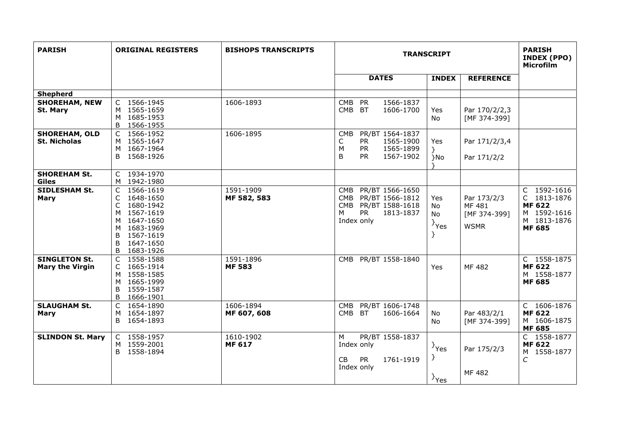| <b>PARISH</b>                                  | <b>ORIGINAL REGISTERS</b>                                                                                                                          | <b>BISHOPS TRANSCRIPTS</b> | <b>TRANSCRIPT</b>                                                                                                    |                                               |                                                      | <b>PARISH</b><br>INDEX (PPO)<br>Microfilm                                                  |
|------------------------------------------------|----------------------------------------------------------------------------------------------------------------------------------------------------|----------------------------|----------------------------------------------------------------------------------------------------------------------|-----------------------------------------------|------------------------------------------------------|--------------------------------------------------------------------------------------------|
|                                                |                                                                                                                                                    |                            | <b>DATES</b>                                                                                                         | <b>INDEX</b>                                  | <b>REFERENCE</b>                                     |                                                                                            |
| <b>Shepherd</b>                                |                                                                                                                                                    |                            |                                                                                                                      |                                               |                                                      |                                                                                            |
| <b>SHOREHAM, NEW</b><br>St. Mary               | 1566-1945<br>C<br>M 1565-1659<br>M 1685-1953<br>B<br>1566-1955                                                                                     | 1606-1893                  | 1566-1837<br><b>CMB</b><br><b>PR</b><br><b>CMB</b><br>1606-1700<br>BT                                                | Yes<br>No                                     | Par 170/2/2,3<br>[MF 374-399]                        |                                                                                            |
| <b>SHOREHAM, OLD</b><br><b>St. Nicholas</b>    | 1566-1952<br>C<br>M 1565-1647<br>M 1667-1964<br>1568-1926<br>B.                                                                                    | 1606-1895                  | PR/BT 1564-1837<br><b>CMB</b><br><b>PR</b><br>1565-1900<br>C<br><b>PR</b><br>M<br>1565-1899<br>1567-1902<br>B<br>PR. | Yes<br>$\mathcal{F}$<br>}No                   | Par 171/2/3,4<br>Par 171/2/2                         |                                                                                            |
| <b>SHOREHAM St.</b><br><b>Giles</b>            | C 1934-1970<br>M 1942-1980                                                                                                                         |                            |                                                                                                                      |                                               |                                                      |                                                                                            |
| <b>SIDLESHAM St.</b><br>Mary                   | C 1566-1619<br>1648-1650<br>C<br>C<br>1680-1942<br>M 1567-1619<br>M 1647-1650<br>M 1683-1969<br>B<br>1567-1619<br>B<br>1647-1650<br>1683-1926<br>B | 1591-1909<br>MF 582, 583   | PR/BT 1566-1650<br>CMB<br>CMB PR/BT 1566-1812<br>CMB PR/BT 1588-1618<br><b>PR</b><br>1813-1837<br>м<br>Index only    | Yes<br>No<br>No<br>$\}$ Yes                   | Par 173/2/3<br>MF 481<br>[MF 374-399]<br><b>WSMR</b> | C 1592-1616<br>C 1813-1876<br><b>MF 622</b><br>M 1592-1616<br>M 1813-1876<br><b>MF 685</b> |
| <b>SINGLETON St.</b><br><b>Mary the Virgin</b> | $\mathsf{C}$<br>1558-1588<br>C 1665-1914<br>1558-1585<br>M<br>M 1665-1999<br>B<br>1559-1587<br>B<br>1666-1901                                      | 1591-1896<br><b>MF 583</b> | PR/BT 1558-1840<br><b>CMB</b>                                                                                        | Yes                                           | MF 482                                               | C 1558-1875<br><b>MF 622</b><br>M 1558-1877<br><b>MF 685</b>                               |
| <b>SLAUGHAM St.</b><br><b>Mary</b>             | C<br>1654-1890<br>M 1654-1897<br>1654-1893<br>B                                                                                                    | 1606-1894<br>MF 607, 608   | PR/BT 1606-1748<br><b>CMB</b><br>CMB BT<br>1606-1664                                                                 | No<br><b>No</b>                               | Par 483/2/1<br>[MF 374-399]                          | C 1606-1876<br><b>MF 622</b><br>M 1606-1875<br><b>MF 685</b>                               |
| <b>SLINDON St. Mary</b>                        | C 1558-1957<br>M 1559-2001<br>B 1558-1894                                                                                                          | 1610-1902<br><b>MF 617</b> | PR/BT 1558-1837<br>M<br>Index only<br><b>PR</b><br><b>CB</b><br>1761-1919<br>Index only                              | <sup>}</sup> Yes<br>}<br>$\{Y_{\text{res}}\}$ | Par 175/2/3<br>MF 482                                | C 1558-1877<br><b>MF 622</b><br>M 1558-1877<br>$\cal C$                                    |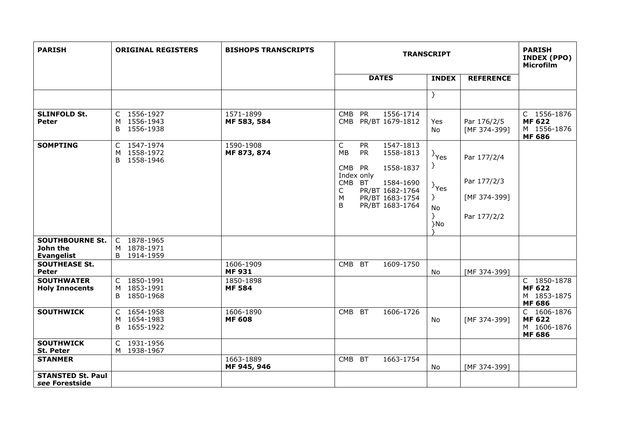| <b>PARISH</b>                                           | <b>ORIGINAL REGISTERS</b>                       | <b>BISHOPS TRANSCRIPTS</b> | <b>TRANSCRIPT</b>                                                                                                                                                                                                    |                                                            |                                                           | <b>PARISH</b><br><b>INDEX (PPO)</b><br><b>Microfilm</b>      |
|---------------------------------------------------------|-------------------------------------------------|----------------------------|----------------------------------------------------------------------------------------------------------------------------------------------------------------------------------------------------------------------|------------------------------------------------------------|-----------------------------------------------------------|--------------------------------------------------------------|
|                                                         |                                                 |                            | <b>DATES</b>                                                                                                                                                                                                         | <b>INDEX</b>                                               | <b>REFERENCE</b>                                          |                                                              |
|                                                         |                                                 |                            |                                                                                                                                                                                                                      | $\mathcal{F}$                                              |                                                           |                                                              |
| <b>SLINFOLD St.</b><br><b>Peter</b>                     | C 1556-1927<br>M 1556-1943<br>B 1556-1938       | 1571-1899<br>MF 583, 584   | CMB<br><b>PR</b><br>1556-1714<br>PR/BT 1679-1812<br><b>CMB</b>                                                                                                                                                       | Yes<br>No                                                  | Par 176/2/5<br>[MF 374-399]                               | C 1556-1876<br><b>MF 622</b><br>M 1556-1876<br><b>MF 686</b> |
| <b>SOMPTING</b>                                         | C 1547-1974<br>M 1558-1972<br>B 1558-1946       | 1590-1908<br>MF 873, 874   | $\mathsf{C}$<br><b>PR</b><br>1547-1813<br>MB<br><b>PR</b><br>1558-1813<br>CMB<br><b>PR</b><br>1558-1837<br>Index only<br>CMB BT<br>1584-1690<br>PR/BT 1682-1764<br>C<br>М<br>PR/BT 1683-1754<br>B<br>PR/BT 1683-1764 | $\}$ Yes<br>}<br>$\}$ Yes<br>$\}$<br><b>No</b><br>}<br>}No | Par 177/2/4<br>Par 177/2/3<br>[MF 374-399]<br>Par 177/2/2 |                                                              |
| <b>SOUTHBOURNE St.</b><br>John the<br><b>Evangelist</b> | C 1878-1965<br>M 1878-1971<br>B 1914-1959       |                            |                                                                                                                                                                                                                      |                                                            |                                                           |                                                              |
| <b>SOUTHEASE St.</b><br>Peter                           |                                                 | 1606-1909<br><b>MF931</b>  | <b>CMB</b><br><b>BT</b><br>1609-1750                                                                                                                                                                                 | No                                                         | [MF 374-399]                                              |                                                              |
| <b>SOUTHWATER</b><br><b>Holy Innocents</b>              | $C$ 1850-1991<br>M 1853-1991<br>1850-1968<br>B  | 1850-1898<br><b>MF 584</b> |                                                                                                                                                                                                                      |                                                            |                                                           | C 1850-1878<br><b>MF 622</b><br>M 1853-1875<br><b>MF 686</b> |
| <b>SOUTHWICK</b>                                        | C 1654-1958<br>1654-1983<br>M<br>B<br>1655-1922 | 1606-1890<br><b>MF 608</b> | CMB BT<br>1606-1726                                                                                                                                                                                                  | <b>No</b>                                                  | [MF 374-399]                                              | C 1606-1876<br><b>MF 622</b><br>M 1606-1876<br><b>MF 686</b> |
| <b>SOUTHWICK</b><br>St. Peter                           | C 1931-1956<br>M 1938-1967                      |                            |                                                                                                                                                                                                                      |                                                            |                                                           |                                                              |
| <b>STANMER</b>                                          |                                                 | 1663-1889<br>MF 945, 946   | <b>BT</b><br><b>CMB</b><br>1663-1754                                                                                                                                                                                 | No                                                         | [MF 374-399]                                              |                                                              |
| <b>STANSTED St. Paul</b><br>see Forestside              |                                                 |                            |                                                                                                                                                                                                                      |                                                            |                                                           |                                                              |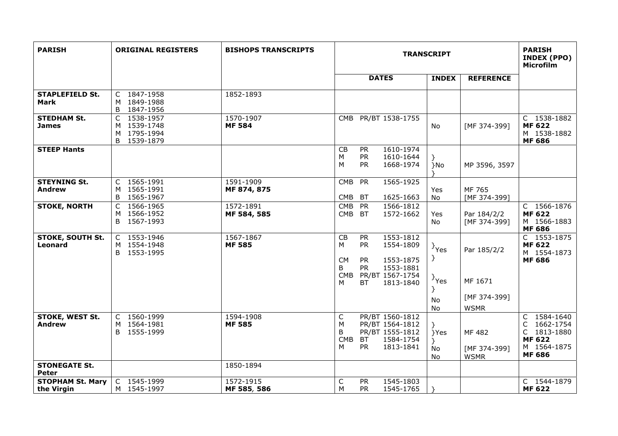| <b>PARISH</b>                         | <b>ORIGINAL REGISTERS</b>                                   | <b>BISHOPS TRANSCRIPTS</b> | <b>TRANSCRIPT</b>                                                                                                                    |                              |                                        | <b>PARISH</b><br><b>INDEX (PPO)</b><br>Microfilm                                                              |
|---------------------------------------|-------------------------------------------------------------|----------------------------|--------------------------------------------------------------------------------------------------------------------------------------|------------------------------|----------------------------------------|---------------------------------------------------------------------------------------------------------------|
|                                       |                                                             |                            | <b>DATES</b>                                                                                                                         | <b>INDEX</b>                 | <b>REFERENCE</b>                       |                                                                                                               |
| <b>STAPLEFIELD St.</b><br><b>Mark</b> | C 1847-1958<br>M 1849-1988<br>1847-1956<br>B                | 1852-1893                  |                                                                                                                                      |                              |                                        |                                                                                                               |
| <b>STEDHAM St.</b><br><b>James</b>    | 1538-1957<br>C<br>M 1539-1748<br>M 1795-1994<br>B 1539-1879 | 1570-1907<br><b>MF 584</b> | PR/BT 1538-1755<br>CMB                                                                                                               | <b>No</b>                    | [MF 374-399]                           | C 1538-1882<br><b>MF 622</b><br>M 1538-1882<br><b>MF 686</b>                                                  |
| <b>STEEP Hants</b>                    |                                                             |                            | 1610-1974<br>CB<br><b>PR</b><br>PR<br>M<br>1610-1644<br>M<br>PR<br>1668-1974                                                         | }<br>}No                     | MP 3596, 3597                          |                                                                                                               |
| <b>STEYNING St.</b><br><b>Andrew</b>  | C 1565-1991<br>M 1565-1991<br>1565-1967<br>B                | 1591-1909<br>MF 874, 875   | <b>CMB</b><br><b>PR</b><br>1565-1925<br><b>CMB</b><br>1625-1663<br><b>BT</b>                                                         | Yes<br><b>No</b>             | MF 765<br>[MF 374-399]                 |                                                                                                               |
| <b>STOKE, NORTH</b>                   | 1566-1965<br>C<br>1566-1952<br>М<br>B 1567-1993             | 1572-1891<br>MF 584, 585   | 1566-1812<br><b>CMB</b><br><b>PR</b><br><b>CMB</b><br><b>BT</b><br>1572-1662                                                         | Yes<br>No                    | Par 184/2/2<br>[MF 374-399]            | C 1566-1876<br><b>MF 622</b><br>M 1566-1883<br><b>MF 686</b>                                                  |
| <b>STOKE, SOUTH St.</b><br>Leonard    | C 1553-1946<br>M 1554-1948<br>B 1553-1995                   | 1567-1867<br><b>MF 585</b> | CB<br>1553-1812<br><b>PR</b><br><b>PR</b><br>M<br>1554-1809<br><b>CM</b><br><b>PR</b><br>1553-1875<br><b>PR</b><br>1553-1881<br>B    | $\}$ Yes<br>}                | Par 185/2/2                            | C 1553-1875<br><b>MF 622</b><br>M 1554-1873<br><b>MF 686</b>                                                  |
|                                       |                                                             |                            | <b>CMB</b><br>PR/BT 1567-1754<br>M<br>ВT<br>1813-1840                                                                                | $\}$ Yes<br>$\}$<br>No<br>No | MF 1671<br>[MF 374-399]<br><b>WSMR</b> |                                                                                                               |
| STOKE, WEST St.<br><b>Andrew</b>      | C 1560-1999<br>1564-1981<br>M<br>B 1555-1999                | 1594-1908<br><b>MF 585</b> | PR/BT 1560-1812<br>C<br>PR/BT 1564-1812<br>М<br>B<br>PR/BT 1555-1812<br><b>CMB</b><br>BT<br>1584-1754<br><b>PR</b><br>M<br>1813-1841 | }Yes<br>No<br>No             | MF 482<br>[MF 374-399]<br><b>WSMR</b>  | $\overline{C}$ 1584-1640<br>1662-1754<br>C<br>1813-1880<br>C<br><b>MF 622</b><br>M 1564-1875<br><b>MF 686</b> |
| <b>STONEGATE St.</b><br>Peter         |                                                             | 1850-1894                  |                                                                                                                                      |                              |                                        |                                                                                                               |
| <b>STOPHAM St. Mary</b><br>the Virgin | C 1545-1999<br>M 1545-1997                                  | 1572-1915<br>MF 585, 586   | $\mathsf C$<br><b>PR</b><br>1545-1803<br>M<br><b>PR</b><br>1545-1765                                                                 |                              |                                        | C 1544-1879<br><b>MF 622</b>                                                                                  |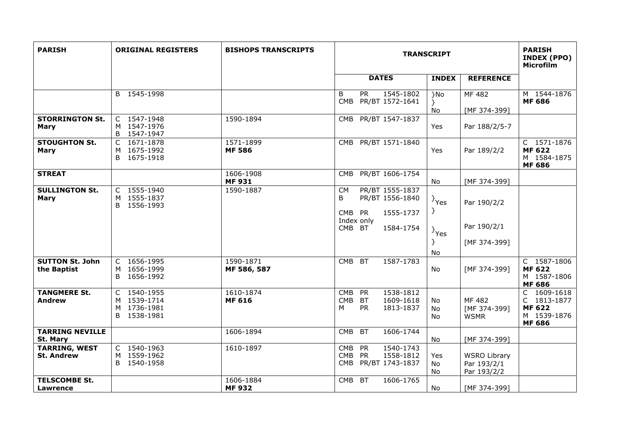| <b>PARISH</b>                             | <b>ORIGINAL REGISTERS</b>                                   | <b>BISHOPS TRANSCRIPTS</b> | <b>TRANSCRIPT</b>                                                                                      |                             |                                                   | <b>PARISH</b><br>INDEX (PPO)<br><b>Microfilm</b>                               |
|-------------------------------------------|-------------------------------------------------------------|----------------------------|--------------------------------------------------------------------------------------------------------|-----------------------------|---------------------------------------------------|--------------------------------------------------------------------------------|
|                                           |                                                             |                            | <b>DATES</b>                                                                                           | <b>INDEX</b>                | <b>REFERENCE</b>                                  |                                                                                |
|                                           | B 1545-1998                                                 |                            | B<br><b>PR</b><br>1545-1802<br>PR/BT 1572-1641<br><b>CMB</b>                                           | }No<br>$\mathcal{F}$<br>No  | MF 482<br>[MF 374-399]                            | M 1544-1876<br><b>MF 686</b>                                                   |
| <b>STORRINGTON St.</b><br><b>Mary</b>     | C 1547-1948<br>M 1547-1976<br>1547-1947<br>B                | 1590-1894                  | PR/BT 1547-1837<br><b>CMB</b>                                                                          | Yes                         | Par 188/2/5-7                                     |                                                                                |
| <b>STOUGHTON St.</b><br>Mary              | C 1671-1878<br>1675-1992<br>М<br>1675-1918<br><sub>B</sub>  | 1571-1899<br><b>MF 586</b> | CMB PR/BT 1571-1840                                                                                    | Yes                         | Par 189/2/2                                       | C 1571-1876<br><b>MF 622</b><br>M 1584-1875<br><b>MF 686</b>                   |
| <b>STREAT</b>                             |                                                             | 1606-1908<br><b>MF 931</b> | PR/BT 1606-1754<br>CMB                                                                                 | No                          | [MF 374-399]                                      |                                                                                |
| <b>SULLINGTON St.</b><br><b>Mary</b>      | C 1555-1940<br>1555-1837<br>M<br>1556-1993<br>B             | 1590-1887                  | PR/BT 1555-1837<br><b>CM</b><br>B<br>PR/BT 1556-1840<br>CMB PR<br>1555-1737<br>Index only              | $\}$ Yes<br>}               | Par 190/2/2                                       |                                                                                |
|                                           |                                                             |                            | 1584-1754<br>CMB BT                                                                                    | <sup>}</sup> Yes<br>}<br>No | Par 190/2/1<br>[MF 374-399]                       |                                                                                |
| <b>SUTTON St. John</b><br>the Baptist     | C 1656-1995<br>1656-1999<br>M<br>1656-1992<br>B             | 1590-1871<br>MF 586, 587   | <b>BT</b><br>1587-1783<br><b>CMB</b>                                                                   | No                          | [MF 374-399]                                      | C 1587-1806<br><b>MF 622</b><br>M 1587-1806<br><b>MF 686</b>                   |
| <b>TANGMERE St.</b><br>Andrew             | C 1540-1955<br>M 1539-1714<br>1736-1981<br>M<br>B 1538-1981 | 1610-1874<br><b>MF 616</b> | <b>CMB</b><br>PR<br>1538-1812<br><b>CMB</b><br><b>BT</b><br>1609-1618<br><b>PR</b><br>1813-1837<br>м   | No<br>No<br>No              | MF 482<br>[MF 374-399]<br><b>WSMR</b>             | C<br>1609-1618<br>C 1813-1877<br><b>MF 622</b><br>M 1539-1876<br><b>MF 686</b> |
| <b>TARRING NEVILLE</b><br>St. Mary        |                                                             | 1606-1894                  | 1606-1744<br><b>CMB</b><br><b>BT</b>                                                                   | No                          | [MF 374-399]                                      |                                                                                |
| <b>TARRING, WEST</b><br><b>St. Andrew</b> | C 1540-1963<br>1559-1962<br>M<br>B 1540-1958                | 1610-1897                  | 1540-1743<br>PR<br><b>CMB</b><br><b>CMB</b><br><b>PR</b><br>1558-1812<br>PR/BT 1743-1837<br><b>CMB</b> | Yes<br>No<br>No             | <b>WSRO Library</b><br>Par 193/2/1<br>Par 193/2/2 |                                                                                |
| <b>TELSCOMBE St.</b><br><b>Lawrence</b>   |                                                             | 1606-1884<br><b>MF 932</b> | CMB BT<br>1606-1765                                                                                    | No.                         | [MF 374-399]                                      |                                                                                |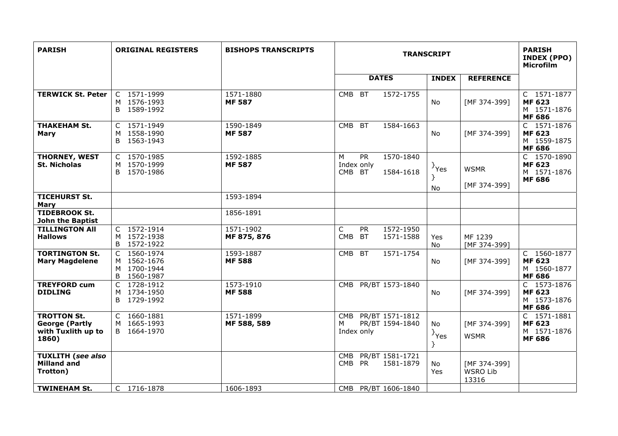| <b>PARISH</b>                                                              | <b>ORIGINAL REGISTERS</b>                                   | <b>BISHOPS TRANSCRIPTS</b> | <b>TRANSCRIPT</b>                                                   |                                 |                                          | <b>PARISH</b><br>INDEX (PPO)<br><b>Microfilm</b>             |
|----------------------------------------------------------------------------|-------------------------------------------------------------|----------------------------|---------------------------------------------------------------------|---------------------------------|------------------------------------------|--------------------------------------------------------------|
|                                                                            |                                                             |                            | <b>DATES</b>                                                        | <b>INDEX</b>                    | <b>REFERENCE</b>                         |                                                              |
| <b>TERWICK St. Peter</b>                                                   | C 1571-1999<br>M 1576-1993<br>B 1589-1992                   | 1571-1880<br><b>MF 587</b> | <b>BT</b><br>1572-1755<br>CMB                                       | <b>No</b>                       | [MF 374-399]                             | C 1571-1877<br><b>MF 623</b><br>M 1571-1876<br><b>MF 686</b> |
| <b>THAKEHAM St.</b><br>Mary                                                | C 1571-1949<br>M 1558-1990<br>B 1563-1943                   | 1590-1849<br><b>MF587</b>  | <b>CMB</b><br><b>BT</b><br>1584-1663                                | <b>No</b>                       | [MF 374-399]                             | C 1571-1876<br><b>MF 623</b><br>M 1559-1875<br><b>MF 686</b> |
| THORNEY, WEST<br><b>St. Nicholas</b>                                       | 1570-1985<br>$\mathsf{C}$<br>M 1570-1999<br>B<br>1570-1986  | 1592-1885<br><b>MF587</b>  | <b>PR</b><br>1570-1840<br>M<br>Index only<br>CMB BT<br>1584-1618    | $\{Y_{\text{res}}\}$<br>No      | <b>WSMR</b><br>[MF 374-399]              | C 1570-1890<br><b>MF 623</b><br>M 1571-1876<br><b>MF 686</b> |
| <b>TICEHURST St.</b><br><b>Mary</b>                                        |                                                             | 1593-1894                  |                                                                     |                                 |                                          |                                                              |
| <b>TIDEBROOK St.</b><br><b>John the Baptist</b>                            |                                                             | 1856-1891                  |                                                                     |                                 |                                          |                                                              |
| <b>TILLINGTON All</b><br><b>Hallows</b>                                    | C 1572-1914<br>M 1572-1938<br>1572-1922<br>B                | 1571-1902<br>MF 875, 876   | C<br><b>PR</b><br>1572-1950<br><b>CMB</b><br><b>BT</b><br>1571-1588 | Yes<br>No                       | MF 1239<br>[MF 374-399]                  |                                                              |
| <b>TORTINGTON St.</b><br><b>Mary Magdelene</b>                             | C 1560-1974<br>M 1562-1676<br>M 1700-1944<br>1560-1987<br>B | 1593-1887<br><b>MF 588</b> | <b>BT</b><br>1571-1754<br><b>CMB</b>                                | No.                             | [MF 374-399]                             | C 1560-1877<br><b>MF 623</b><br>M 1560-1877<br><b>MF 686</b> |
| <b>TREYFORD cum</b><br><b>DIDLING</b>                                      | 1728-1912<br>C<br>M 1734-1950<br>B 1729-1992                | 1573-1910<br><b>MF588</b>  | PR/BT 1573-1840<br><b>CMB</b>                                       | No                              | [MF 374-399]                             | C 1573-1876<br><b>MF 623</b><br>M 1573-1876<br><b>MF 686</b> |
| <b>TROTTON St.</b><br><b>George (Partly</b><br>with Tuxlith up to<br>1860) | 1660-1881<br>C<br>1665-1993<br>B 1664-1970                  | 1571-1899<br>MF 588, 589   | PR/BT 1571-1812<br><b>CMB</b><br>PR/BT 1594-1840<br>M<br>Index only | No<br>$\rightarrow$ Yes<br>$\}$ | [MF 374-399]<br><b>WSMR</b>              | C 1571-1881<br><b>MF 623</b><br>M 1571-1876<br><b>MF 686</b> |
| <b>TUXLITH (see also</b><br><b>Milland and</b><br>Trotton)                 |                                                             |                            | PR/BT 1581-1721<br><b>CMB</b><br>CMB PR<br>1581-1879                | No<br>Yes                       | [MF 374-399]<br><b>WSRO Lib</b><br>13316 |                                                              |
| <b>TWINEHAM St.</b>                                                        | C 1716-1878                                                 | 1606-1893                  | PR/BT 1606-1840<br>CMB                                              |                                 |                                          |                                                              |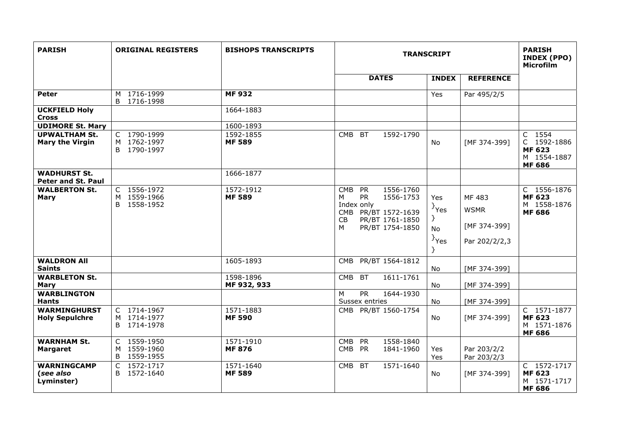| <b>PARISH</b>                                  | <b>ORIGINAL REGISTERS</b>                    | <b>BISHOPS TRANSCRIPTS</b> | <b>TRANSCRIPT</b>                                                                                                                                  |                                                    |                                                        | <b>PARISH</b><br>INDEX (PPO)<br><b>Microfilm</b>                       |
|------------------------------------------------|----------------------------------------------|----------------------------|----------------------------------------------------------------------------------------------------------------------------------------------------|----------------------------------------------------|--------------------------------------------------------|------------------------------------------------------------------------|
|                                                |                                              |                            | <b>DATES</b>                                                                                                                                       | <b>INDEX</b>                                       | <b>REFERENCE</b>                                       |                                                                        |
| Peter                                          | M 1716-1999<br>B<br>1716-1998                | <b>MF 932</b>              |                                                                                                                                                    | Yes                                                | Par 495/2/5                                            |                                                                        |
| <b>UCKFIELD Holy</b><br><b>Cross</b>           |                                              | 1664-1883                  |                                                                                                                                                    |                                                    |                                                        |                                                                        |
| <b>UDIMORE St. Mary</b>                        |                                              | 1600-1893                  |                                                                                                                                                    |                                                    |                                                        |                                                                        |
| <b>UPWALTHAM St.</b><br><b>Mary the Virgin</b> | C 1790-1999<br>M 1762-1997<br>B 1790-1997    | 1592-1855<br><b>MF 589</b> | CMB BT<br>1592-1790                                                                                                                                | No.                                                | [MF 374-399]                                           | C 1554<br>C 1592-1886<br><b>MF 623</b><br>M 1554-1887<br><b>MF 686</b> |
| <b>WADHURST St.</b><br>Peter and St. Paul      |                                              | 1666-1877                  |                                                                                                                                                    |                                                    |                                                        |                                                                        |
| <b>WALBERTON St.</b><br><b>Mary</b>            | C 1556-1972<br>M 1559-1966<br>B 1558-1952    | 1572-1912<br><b>MF 589</b> | <b>CMB</b><br>PR<br>1556-1760<br><b>PR</b><br>1556-1753<br>M<br>Index only<br>CMB PR/BT 1572-1639<br>PR/BT 1761-1850<br>CB<br>PR/BT 1754-1850<br>M | Yes<br>$\}$ Yes<br>}<br>No<br>$\{Y_{\text{res}}\}$ | MF 483<br><b>WSMR</b><br>[MF 374-399]<br>Par 202/2/2,3 | C 1556-1876<br><b>MF 623</b><br>M 1558-1876<br><b>MF 686</b>           |
| <b>WALDRON All</b><br><b>Saints</b>            |                                              | 1605-1893                  | PR/BT 1564-1812<br><b>CMB</b>                                                                                                                      | No                                                 | [MF 374-399]                                           |                                                                        |
| <b>WARBLETON St.</b><br><b>Mary</b>            |                                              | 1598-1896<br>MF 932, 933   | CMB BT<br>1611-1761                                                                                                                                | No                                                 | [MF 374-399]                                           |                                                                        |
| <b>WARBLINGTON</b><br><b>Hants</b>             |                                              |                            | $\overline{PR}$<br>M<br>1644-1930<br>Sussex entries                                                                                                | No                                                 | [MF 374-399]                                           |                                                                        |
| <b>WARMINGHURST</b><br><b>Holy Sepulchre</b>   | C 1714-1967<br>M 1714-1977<br>B 1714-1978    | 1571-1883<br><b>MF 590</b> | CMB PR/BT 1560-1754                                                                                                                                | No                                                 | [MF 374-399]                                           | C 1571-1877<br><b>MF 623</b><br>M 1571-1876<br><b>MF 686</b>           |
| <b>WARNHAM St.</b><br><b>Margaret</b>          | C 1559-1950<br>M 1559-1960<br>1559-1955<br>B | 1571-1910<br><b>MF 876</b> | <b>PR</b><br>1558-1840<br><b>CMB</b><br>CMB PR<br>1841-1960                                                                                        | Yes<br>Yes                                         | Par 203/2/2<br>Par 203/2/3                             |                                                                        |
| <b>WARNINGCAMP</b><br>(see also<br>Lyminster)  | $1572 - 1717$<br>C<br>B.<br>1572-1640        | 1571-1640<br><b>MF 589</b> | CMB BT<br>1571-1640                                                                                                                                | No                                                 | [MF 374-399]                                           | C 1572-1717<br><b>MF 623</b><br>M 1571-1717<br><b>MF 686</b>           |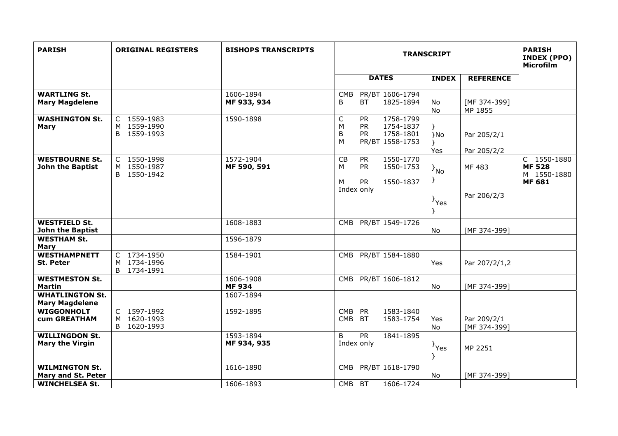| <b>PARISH</b>                                   | <b>ORIGINAL REGISTERS</b>                 | <b>BISHOPS TRANSCRIPTS</b> | <b>TRANSCRIPT</b>                                                                                                 |                       |                             | <b>PARISH</b><br>INDEX (PPO)<br><b>Microfilm</b>             |
|-------------------------------------------------|-------------------------------------------|----------------------------|-------------------------------------------------------------------------------------------------------------------|-----------------------|-----------------------------|--------------------------------------------------------------|
|                                                 |                                           |                            | <b>DATES</b>                                                                                                      | <b>INDEX</b>          | <b>REFERENCE</b>            |                                                              |
| <b>WARTLING St.</b><br><b>Mary Magdelene</b>    |                                           | 1606-1894<br>MF 933, 934   | PR/BT 1606-1794<br><b>CMB</b><br>1825-1894<br>B<br>ВT                                                             | No<br><b>No</b>       | [MF 374-399]<br>MP 1855     |                                                              |
| <b>WASHINGTON St.</b><br><b>Mary</b>            | C 1559-1983<br>M 1559-1990<br>B 1559-1993 | 1590-1898                  | 1758-1799<br>C<br><b>PR</b><br>M<br><b>PR</b><br>1754-1837<br>B<br><b>PR</b><br>1758-1801<br>PR/BT 1558-1753<br>M | ł.<br>}No<br>Yes      | Par 205/2/1<br>Par 205/2/2  |                                                              |
| <b>WESTBOURNE St.</b><br>John the Baptist       | C 1550-1998<br>M 1550-1987<br>B 1550-1942 | 1572-1904<br>MF 590, 591   | 1550-1770<br>CB<br><b>PR</b><br>1550-1753<br><b>PR</b><br>м<br><b>PR</b><br>1550-1837<br>M                        | $\{N_0\}$<br>}-       | MF 483                      | C 1550-1880<br><b>MF 528</b><br>M 1550-1880<br><b>MF 681</b> |
|                                                 |                                           |                            | Index only                                                                                                        | <sup>}</sup> Yes<br>Y | Par 206/2/3                 |                                                              |
| <b>WESTFIELD St.</b><br><b>John the Baptist</b> |                                           | 1608-1883                  | CMB PR/BT 1549-1726                                                                                               | No                    | [MF 374-399]                |                                                              |
| <b>WESTHAM St.</b><br>Mary                      |                                           | 1596-1879                  |                                                                                                                   |                       |                             |                                                              |
| <b>WESTHAMPNETT</b><br>St. Peter                | C 1734-1950<br>M 1734-1996<br>B 1734-1991 | 1584-1901                  | PR/BT 1584-1880<br><b>CMB</b>                                                                                     | Yes                   | Par 207/2/1,2               |                                                              |
| <b>WESTMESTON St.</b><br><b>Martin</b>          |                                           | 1606-1908<br><b>MF 934</b> | CMB PR/BT 1606-1812                                                                                               | No                    | [MF 374-399]                |                                                              |
| <b>WHATLINGTON St.</b><br><b>Mary Magdelene</b> |                                           | 1607-1894                  |                                                                                                                   |                       |                             |                                                              |
| <b>WIGGONHOLT</b><br><b>cum GREATHAM</b>        | C 1597-1992<br>M 1620-1993<br>B 1620-1993 | 1592-1895                  | <b>PR</b><br>1583-1840<br><b>CMB</b><br><b>CMB</b><br><b>BT</b><br>1583-1754                                      | Yes<br>No             | Par 209/2/1<br>[MF 374-399] |                                                              |
| <b>WILLINGDON St.</b><br><b>Mary the Virgin</b> |                                           | 1593-1894<br>MF 934, 935   | B<br><b>PR</b><br>1841-1895<br>Index only                                                                         | $\{Y_{\text{res}}\}$  | MP 2251                     |                                                              |
| <b>WILMINGTON St.</b><br>Mary and St. Peter     |                                           | 1616-1890                  | PR/BT 1618-1790<br>CMB                                                                                            | No                    | [MF 374-399]                |                                                              |
| <b>WINCHELSEA St.</b>                           |                                           | 1606-1893                  | 1606-1724<br>CMB BT                                                                                               |                       |                             |                                                              |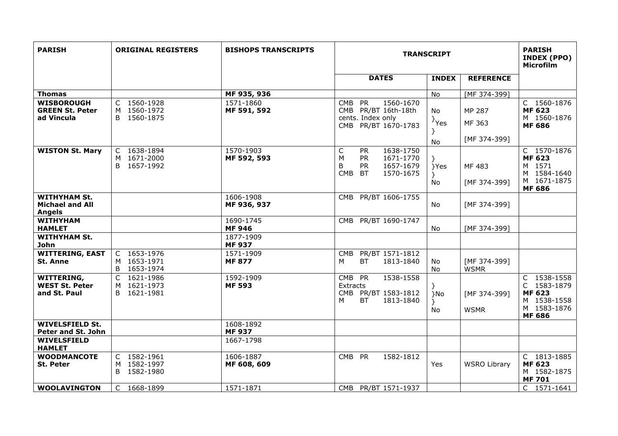| <b>PARISH</b>                                                  | <b>ORIGINAL REGISTERS</b>                    | <b>BISHOPS TRANSCRIPTS</b> | <b>TRANSCRIPT</b>                                                                                                                           |                             |                                  | <b>PARISH</b><br>INDEX (PPO)<br>Microfilm                                                  |
|----------------------------------------------------------------|----------------------------------------------|----------------------------|---------------------------------------------------------------------------------------------------------------------------------------------|-----------------------------|----------------------------------|--------------------------------------------------------------------------------------------|
|                                                                |                                              |                            | <b>DATES</b>                                                                                                                                | <b>INDEX</b>                | <b>REFERENCE</b>                 |                                                                                            |
| <b>Thomas</b>                                                  |                                              | MF 935, 936                |                                                                                                                                             | <b>No</b>                   | [MF 374-399]                     |                                                                                            |
| <b>WISBOROUGH</b><br><b>GREEN St. Peter</b><br>ad Vincula      | C 1560-1928<br>M 1560-1972<br>B 1560-1875    | 1571-1860<br>MF 591, 592   | <b>PR</b><br>1560-1670<br><b>CMB</b><br>CMB PR/BT 16th-18th<br>cents. Index only<br>CMB PR/BT 1670-1783                                     | <b>No</b><br>$\}$ Yes<br>No | MP 287<br>MF 363<br>[MF 374-399] | C 1560-1876<br><b>MF 623</b><br>M 1560-1876<br><b>MF 686</b>                               |
| <b>WISTON St. Mary</b>                                         | C 1638-1894<br>M 1671-2000<br>B 1657-1992    | 1570-1903<br>MF 592, 593   | $\mathsf C$<br>1638-1750<br><b>PR</b><br>M<br><b>PR</b><br>1671-1770<br><b>PR</b><br>B<br>1657-1679<br><b>CMB</b><br><b>BT</b><br>1570-1675 | $\}$<br>}Yes<br>$\}$<br>No  | MF 483<br>[MF 374-399]           | C 1570-1876<br><b>MF 623</b><br>M 1571<br>M 1584-1640<br>M 1671-1875<br><b>MF 686</b>      |
| <b>WITHYHAM St.</b><br><b>Michael and All</b><br><b>Angels</b> |                                              | 1606-1908<br>MF 936, 937   | CMB PR/BT 1606-1755                                                                                                                         | <b>No</b>                   | [MF 374-399]                     |                                                                                            |
| <b>WITHYHAM</b><br><b>HAMLET</b>                               |                                              | 1690-1745<br><b>MF 946</b> | PR/BT 1690-1747<br>CMB.                                                                                                                     | No                          | [MF 374-399]                     |                                                                                            |
| <b>WITHYHAM St.</b><br><b>John</b>                             |                                              | 1877-1909<br><b>MF 937</b> |                                                                                                                                             |                             |                                  |                                                                                            |
| <b>WITTERING, EAST</b><br><b>St. Anne</b>                      | C 1653-1976<br>M 1653-1971<br>B 1653-1974    | 1571-1909<br><b>MF 877</b> | PR/BT 1571-1812<br><b>CMB</b><br>М<br><b>BT</b><br>1813-1840                                                                                | No<br>No                    | [MF 374-399]<br><b>WSMR</b>      |                                                                                            |
| <b>WITTERING,</b><br><b>WEST St. Peter</b><br>and St. Paul     | C 1621-1986<br>1621-1973<br>M<br>B 1621-1981 | 1592-1909<br><b>MF 593</b> | CMB PR<br>1538-1558<br>Extracts<br>PR/BT 1583-1812<br>CMB<br>BT<br>1813-1840<br>м                                                           | }No<br>}<br>No.             | [MF 374-399]<br><b>WSMR</b>      | C 1538-1558<br>C 1583-1879<br><b>MF 623</b><br>M 1538-1558<br>M 1583-1876<br><b>MF 686</b> |
| <b>WIVELSFIELD St.</b><br>Peter and St. John                   |                                              | 1608-1892<br><b>MF 937</b> |                                                                                                                                             |                             |                                  |                                                                                            |
| WIVELSFIELD<br><b>HAMLET</b>                                   |                                              | 1667-1798                  |                                                                                                                                             |                             |                                  |                                                                                            |
| <b>WOODMANCOTE</b><br><b>St. Peter</b>                         | C 1582-1961<br>M 1582-1997<br>B 1582-1980    | 1606-1887<br>MF 608, 609   | CMB PR<br>1582-1812                                                                                                                         | Yes                         | <b>WSRO Library</b>              | C 1813-1885<br><b>MF 623</b><br>M 1582-1875<br><b>MF701</b>                                |
| <b>WOOLAVINGTON</b>                                            | 1668-1899<br>$\mathsf{C}$                    | 1571-1871                  | CMB PR/BT 1571-1937                                                                                                                         |                             |                                  | C 1571-1641                                                                                |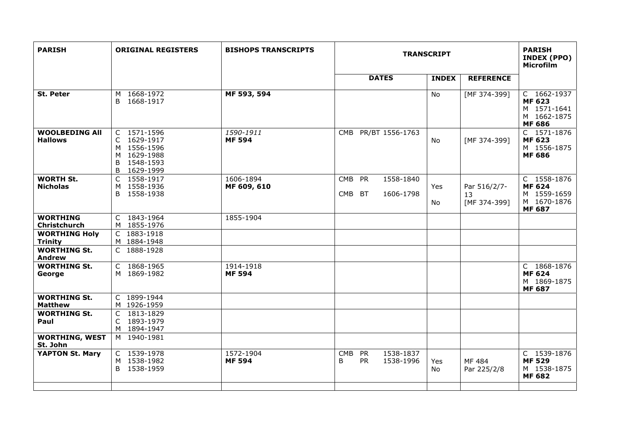| <b>PARISH</b>                           | <b>ORIGINAL REGISTERS</b>                                                                     | <b>BISHOPS TRANSCRIPTS</b> | <b>TRANSCRIPT</b>                                            |              |                                    | <b>PARISH</b><br><b>INDEX (PPO)</b><br>Microfilm                            |
|-----------------------------------------|-----------------------------------------------------------------------------------------------|----------------------------|--------------------------------------------------------------|--------------|------------------------------------|-----------------------------------------------------------------------------|
|                                         |                                                                                               |                            | <b>DATES</b>                                                 | <b>INDEX</b> | <b>REFERENCE</b>                   |                                                                             |
| <b>St. Peter</b>                        | 1668-1972<br>М<br>1668-1917<br>B.                                                             | MF 593, 594                |                                                              | <b>No</b>    | [MF 374-399]                       | C 1662-1937<br><b>MF 623</b><br>M 1571-1641<br>M 1662-1875<br><b>MF 686</b> |
| <b>WOOLBEDING All</b><br><b>Hallows</b> | C 1571-1596<br>1629-1917<br>C.<br>M 1556-1596<br>M 1629-1988<br>1548-1593<br>B<br>B 1629-1999 | 1590-1911<br><b>MF 594</b> | CMB PR/BT 1556-1763                                          | No.          | [MF 374-399]                       | C 1571-1876<br><b>MF 623</b><br>M 1556-1875<br><b>MF 686</b>                |
| <b>WORTH St.</b><br><b>Nicholas</b>     | 1558-1917<br>C<br>1558-1936<br>M<br>B 1558-1938                                               | 1606-1894<br>MF 609, 610   | CMB PR<br>1558-1840<br>CMB BT<br>1606-1798                   | Yes<br>No    | Par 516/2/7-<br>13<br>[MF 374-399] | C 1558-1876<br><b>MF 624</b><br>M 1559-1659<br>M 1670-1876<br><b>MF 687</b> |
| <b>WORTHING</b><br>Christchurch         | C 1843-1964<br>M 1855-1976                                                                    | 1855-1904                  |                                                              |              |                                    |                                                                             |
| <b>WORTHING Holy</b><br><b>Trinity</b>  | 1883-1918<br>C<br>M 1884-1948                                                                 |                            |                                                              |              |                                    |                                                                             |
| <b>WORTHING St.</b><br><b>Andrew</b>    | C 1888-1928                                                                                   |                            |                                                              |              |                                    |                                                                             |
| <b>WORTHING St.</b><br>George           | C 1868-1965<br>M 1869-1982                                                                    | 1914-1918<br><b>MF 594</b> |                                                              |              |                                    | C 1868-1876<br><b>MF 624</b><br>M 1869-1875<br><b>MF 687</b>                |
| <b>WORTHING St.</b><br><b>Matthew</b>   | C 1899-1944<br>M 1926-1959                                                                    |                            |                                                              |              |                                    |                                                                             |
| <b>WORTHING St.</b><br>Paul             | 1813-1829<br>C<br>1893-1979<br>C<br>M 1894-1947                                               |                            |                                                              |              |                                    |                                                                             |
| <b>WORTHING, WEST</b><br>St. John       | M 1940-1981                                                                                   |                            |                                                              |              |                                    |                                                                             |
| <b>YAPTON St. Mary</b>                  | C 1539-1978<br>M 1538-1982<br>1538-1959<br>B                                                  | 1572-1904<br><b>MF 594</b> | <b>CMB</b><br>PR<br>1538-1837<br><b>PR</b><br>B<br>1538-1996 | Yes<br>No    | MF 484<br>Par 225/2/8              | C 1539-1876<br><b>MF 529</b><br>M 1538-1875<br><b>MF 682</b>                |
|                                         |                                                                                               |                            |                                                              |              |                                    |                                                                             |